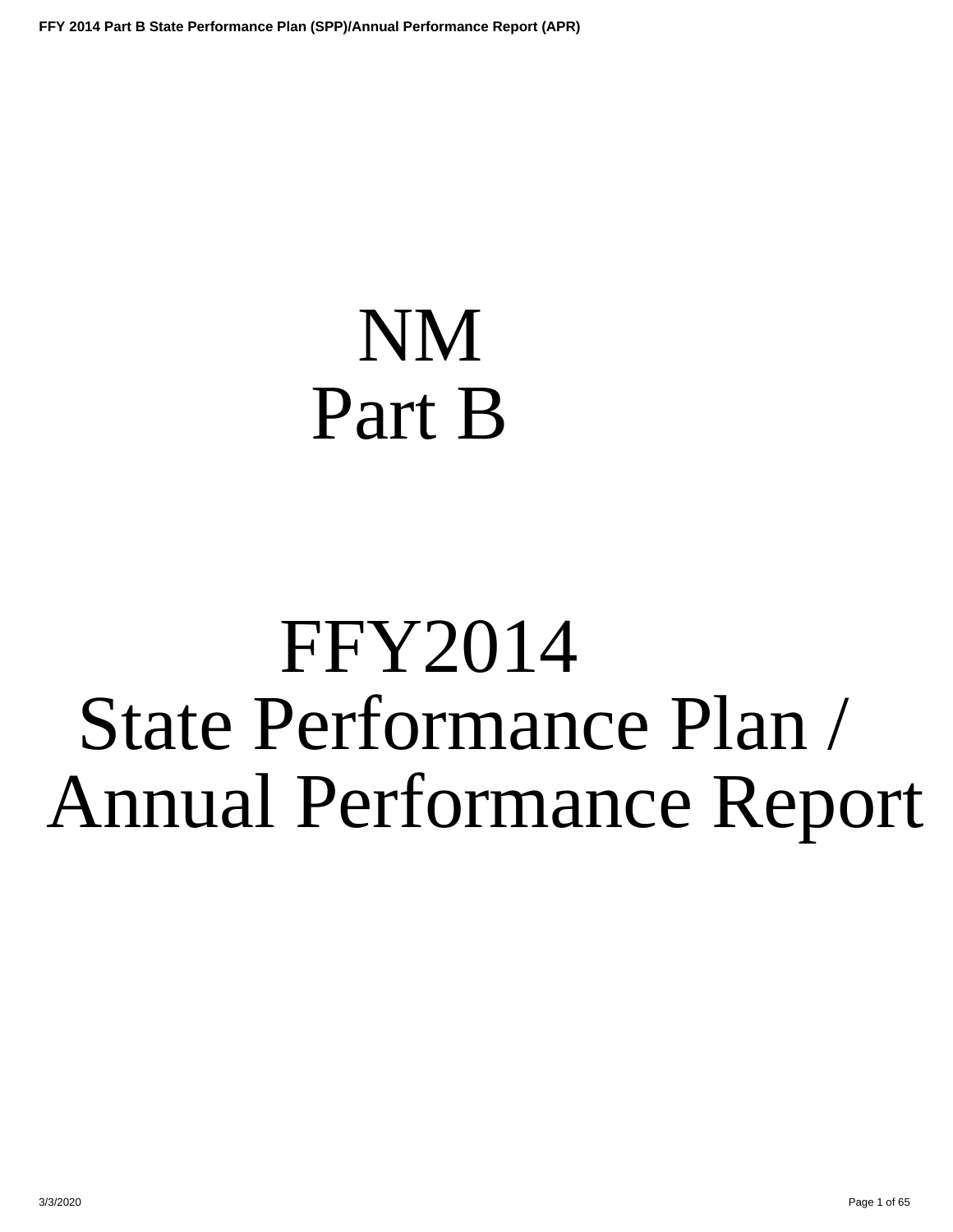# <span id="page-0-0"></span>NM Part B

# FFY2014 State Performance Plan / Annual Performance Report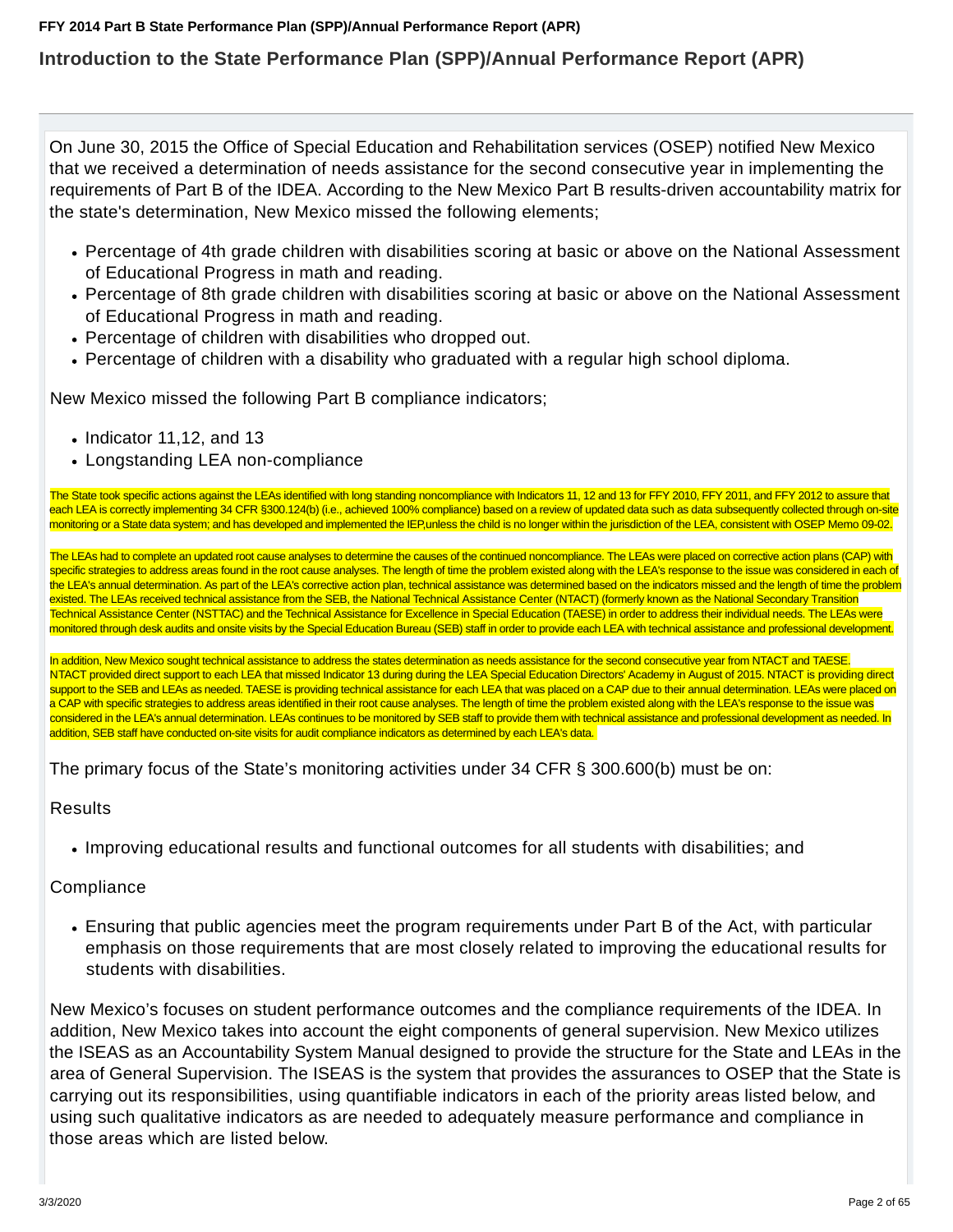## **Introduction to the State Performance Plan (SPP)/Annual Performance Report (APR)**

On June 30, 2015 the Office of Special Education and Rehabilitation services (OSEP) notified New Mexico that we received a determination of needs assistance for the second consecutive year in implementing the requirements of Part B of the IDEA. According to the New Mexico Part B results-driven accountability matrix for the state's determination, New Mexico missed the following elements;

- Percentage of 4th grade children with disabilities scoring at basic or above on the National Assessment of Educational Progress in math and reading.
- Percentage of 8th grade children with disabilities scoring at basic or above on the National Assessment of Educational Progress in math and reading.
- Percentage of children with disabilities who dropped out.
- Percentage of children with a disability who graduated with a regular high school diploma.

New Mexico missed the following Part B compliance indicators;

- $\bullet$  Indicator 11,12, and 13
- Longstanding LEA non-compliance

The State took specific actions against the LEAs identified with long standing noncompliance with Indicators 11, 12 and 13 for FFY 2010, FFY 2011, and FFY 2012 to assure that each LEA is correctly implementing 34 CFR §300.124(b) (i.e., achieved 100% compliance) based on a review of updated data such as data subsequently collected through on-site monitoring or a State data system; and has developed and implemented the IEP,unless the child is no longer within the jurisdiction of the LEA, consistent with OSEP Memo 09-02.

The LEAs had to complete an updated root cause analyses to determine the causes of the continued noncompliance. The LEAs were placed on corrective action plans (CAP) with specific strategies to address areas found in the root cause analyses. The length of time the problem existed along with the LEA's response to the issue was considered in each of the LEA's annual determination. As part of the LEA's corrective action plan, technical assistance was determined based on the indicators missed and the length of time the problem existed. The LEAs received technical assistance from the SEB, the National Technical Assistance Center (NTACT) (formerly known as the National Secondary Transition Technical Assistance Center (NSTTAC) and the Technical Assistance for Excellence in Special Education (TAESE) in order to address their individual needs. The LEAs were monitored through desk audits and onsite visits by the Special Education Bureau (SEB) staff in order to provide each LEA with technical assistance and professional development.

In addition, New Mexico sought technical assistance to address the states determination as needs assistance for the second consecutive year from NTACT and TAESE. NTACT provided direct support to each LEA that missed Indicator 13 during during the LEA Special Education Directors' Academy in August of 2015. NTACT is providing direct support to the SEB and LEAs as needed. TAESE is providing technical assistance for each LEA that was placed on a CAP due to their annual determination. LEAs were placed on a CAP with specific strategies to address areas identified in their root cause analyses. The length of time the problem existed along with the LEA's response to the issue was considered in the LEA's annual determination. LEAs continues to be monitored by SEB staff to provide them with technical assistance and professional development as needed. In addition, SEB staff have conducted on-site visits for audit compliance indicators as determined by each LEA's data.

The primary focus of the State's monitoring activities under 34 CFR § 300.600(b) must be on:

### Results

Improving educational results and functional outcomes for all students with disabilities; and

## **Compliance**

Ensuring that public agencies meet the program requirements under Part B of the Act, with particular emphasis on those requirements that are most closely related to improving the educational results for students with disabilities.

New Mexico's focuses on student performance outcomes and the compliance requirements of the IDEA. In addition, New Mexico takes into account the eight components of general supervision. New Mexico utilizes the ISEAS as an Accountability System Manual designed to provide the structure for the State and LEAs in the area of General Supervision. The ISEAS is the system that provides the assurances to OSEP that the State is carrying out its responsibilities, using quantifiable indicators in each of the priority areas listed below, and using such qualitative indicators as are needed to adequately measure performance and compliance in those areas which are listed below.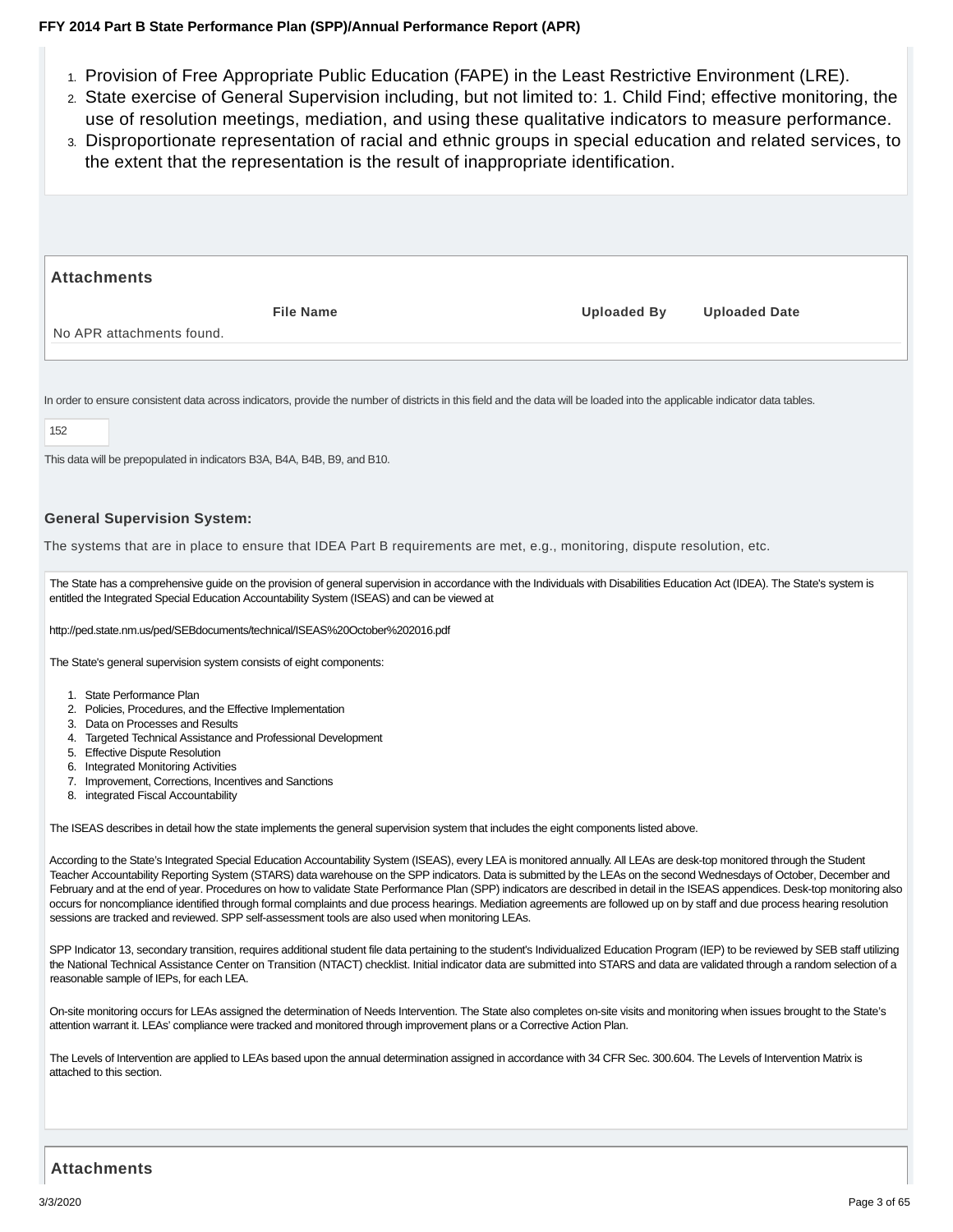- 1. Provision of Free Appropriate Public Education (FAPE) in the Least Restrictive Environment (LRE).
- 2. State exercise of General Supervision including, but not limited to: 1. Child Find; effective monitoring, the use of resolution meetings, mediation, and using these qualitative indicators to measure performance.
- Disproportionate representation of racial and ethnic groups in special education and related services, to 3. the extent that the representation is the result of inappropriate identification.

| <b>Attachments</b>        |                  |                    |                      |
|---------------------------|------------------|--------------------|----------------------|
|                           | <b>File Name</b> | <b>Uploaded By</b> | <b>Uploaded Date</b> |
| No APR attachments found. |                  |                    |                      |

In order to ensure consistent data across indicators, provide the number of districts in this field and the data will be loaded into the applicable indicator data tables.

#### 152

This data will be prepopulated in indicators B3A, B4A, B4B, B9, and B10.

#### **General Supervision System:**

The systems that are in place to ensure that IDEA Part B requirements are met, e.g., monitoring, dispute resolution, etc.

The State has a comprehensive guide on the provision of general supervision in accordance with the Individuals with Disabilities Education Act (IDEA). The State's system is entitled the Integrated Special Education Accountability System (ISEAS) and can be viewed at

http://ped.state.nm.us/ped/SEBdocuments/technical/ISEAS%20October%202016.pdf

The State's general supervision system consists of eight components:

- 1. State Performance Plan
- 2. Policies, Procedures, and the Effective Implementation
- 3. Data on Processes and Results
- 4. Targeted Technical Assistance and Professional Development
- 5. Effective Dispute Resolution
- 6. Integrated Monitoring Activities
- 7. Improvement, Corrections, Incentives and Sanctions
- 8. integrated Fiscal Accountability

The ISEAS describes in detail how the state implements the general supervision system that includes the eight components listed above.

According to the State's Integrated Special Education Accountability System (ISEAS), every LEA is monitored annually. All LEAs are desk-top monitored through the Student Teacher Accountability Reporting System (STARS) data warehouse on the SPP indicators. Data is submitted by the LEAs on the second Wednesdays of October, December and February and at the end of year. Procedures on how to validate State Performance Plan (SPP) indicators are described in detail in the ISEAS appendices. Desk-top monitoring also occurs for noncompliance identified through formal complaints and due process hearings. Mediation agreements are followed up on by staff and due process hearing resolution sessions are tracked and reviewed. SPP self-assessment tools are also used when monitoring LEAs.

SPP Indicator 13, secondary transition, requires additional student file data pertaining to the student's Individualized Education Program (IEP) to be reviewed by SEB staff utilizing the National Technical Assistance Center on Transition (NTACT) checklist. Initial indicator data are submitted into STARS and data are validated through a random selection of a reasonable sample of IEPs, for each LEA.

On-site monitoring occurs for LEAs assigned the determination of Needs Intervention. The State also completes on-site visits and monitoring when issues brought to the State's attention warrant it. LEAs' compliance were tracked and monitored through improvement plans or a Corrective Action Plan.

The Levels of Intervention are applied to LEAs based upon the annual determination assigned in accordance with 34 CFR Sec. 300.604. The Levels of Intervention Matrix is attached to this section.

#### **Attachments**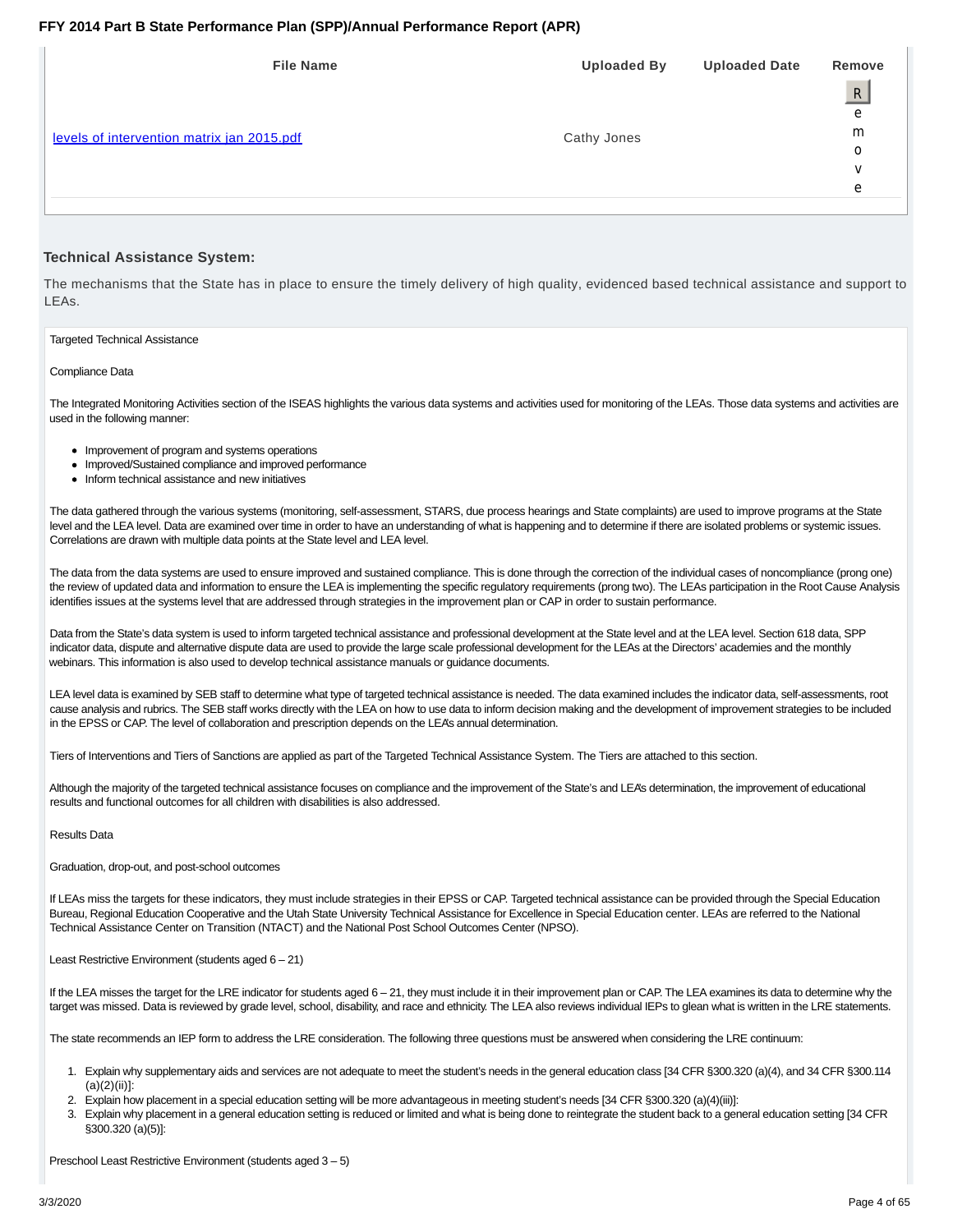| <b>File Name</b>                           | <b>Uploaded By</b> | <b>Uploaded Date</b> | Remove         |
|--------------------------------------------|--------------------|----------------------|----------------|
|                                            |                    |                      | $\overline{R}$ |
|                                            |                    |                      | е              |
| levels of intervention matrix jan 2015.pdf | Cathy Jones        |                      | m              |
|                                            |                    |                      | O              |
|                                            |                    |                      | v              |
|                                            |                    |                      | е              |
|                                            |                    |                      |                |
|                                            |                    |                      |                |

#### **Technical Assistance System:**

The mechanisms that the State has in place to ensure the timely delivery of high quality, evidenced based technical assistance and support to LEAs.

Targeted Technical Assistance

Compliance Data

The Integrated Monitoring Activities section of the ISEAS highlights the various data systems and activities used for monitoring of the LEAs. Those data systems and activities are used in the following manner:

- Improvement of program and systems operations
- Improved/Sustained compliance and improved performance
- Inform technical assistance and new initiatives

The data gathered through the various systems (monitoring, self-assessment, STARS, due process hearings and State complaints) are used to improve programs at the State level and the LEA level. Data are examined over time in order to have an understanding of what is happening and to determine if there are isolated problems or systemic issues. Correlations are drawn with multiple data points at the State level and LEA level.

The data from the data systems are used to ensure improved and sustained compliance. This is done through the correction of the individual cases of noncompliance (prong one) the review of updated data and information to ensure the LEA is implementing the specific regulatory requirements (prong two). The LEAs participation in the Root Cause Analysis identifies issues at the systems level that are addressed through strategies in the improvement plan or CAP in order to sustain performance.

Data from the State's data system is used to inform targeted technical assistance and professional development at the State level and at the LEA level. Section 618 data, SPP indicator data, dispute and alternative dispute data are used to provide the large scale professional development for the LEAs at the Directors' academies and the monthly webinars. This information is also used to develop technical assistance manuals or guidance documents.

LEA level data is examined by SEB staff to determine what type of targeted technical assistance is needed. The data examined includes the indicator data, self-assessments, root cause analysis and rubrics. The SEB staff works directly with the LEA on how to use data to inform decision making and the development of improvement strategies to be included in the EPSS or CAP. The level of collaboration and prescription depends on the LEA's annual determination.

Tiers of Interventions and Tiers of Sanctions are applied as part of the Targeted Technical Assistance System. The Tiers are attached to this section.

Although the majority of the targeted technical assistance focuses on compliance and the improvement of the State's and LEA's determination, the improvement of educational results and functional outcomes for all children with disabilities is also addressed.

#### Results Data

Graduation, drop-out, and post-school outcomes

If LEAs miss the targets for these indicators, they must include strategies in their EPSS or CAP. Targeted technical assistance can be provided through the Special Education Bureau, Regional Education Cooperative and the Utah State University Technical Assistance for Excellence in Special Education center. LEAs are referred to the National Technical Assistance Center on Transition (NTACT) and the National Post School Outcomes Center (NPSO).

#### Least Restrictive Environment (students aged 6 – 21)

If the LEA misses the target for the LRE indicator for students aged 6 - 21, they must include it in their improvement plan or CAP. The LEA examines its data to determine why the target was missed. Data is reviewed by grade level, school, disability, and race and ethnicity. The LEA also reviews individual IEPs to glean what is written in the LRE statements.

The state recommends an IEP form to address the LRE consideration. The following three questions must be answered when considering the LRE continuum:

- Explain why supplementary aids and services are not adequate to meet the student's needs in the general education class [34 CFR §300.320 (a)(4), and 34 CFR §300.114 1.  $(a)(2)(ii)!$
- 2. Explain how placement in a special education setting will be more advantageous in meeting student's needs [34 CFR §300.320 (a)(4)(iii)]:
- Explain why placement in a general education setting is reduced or limited and what is being done to reintegrate the student back to a general education setting [34 CFR 3. §300.320 (a)(5)]:

Preschool Least Restrictive Environment (students aged 3 – 5)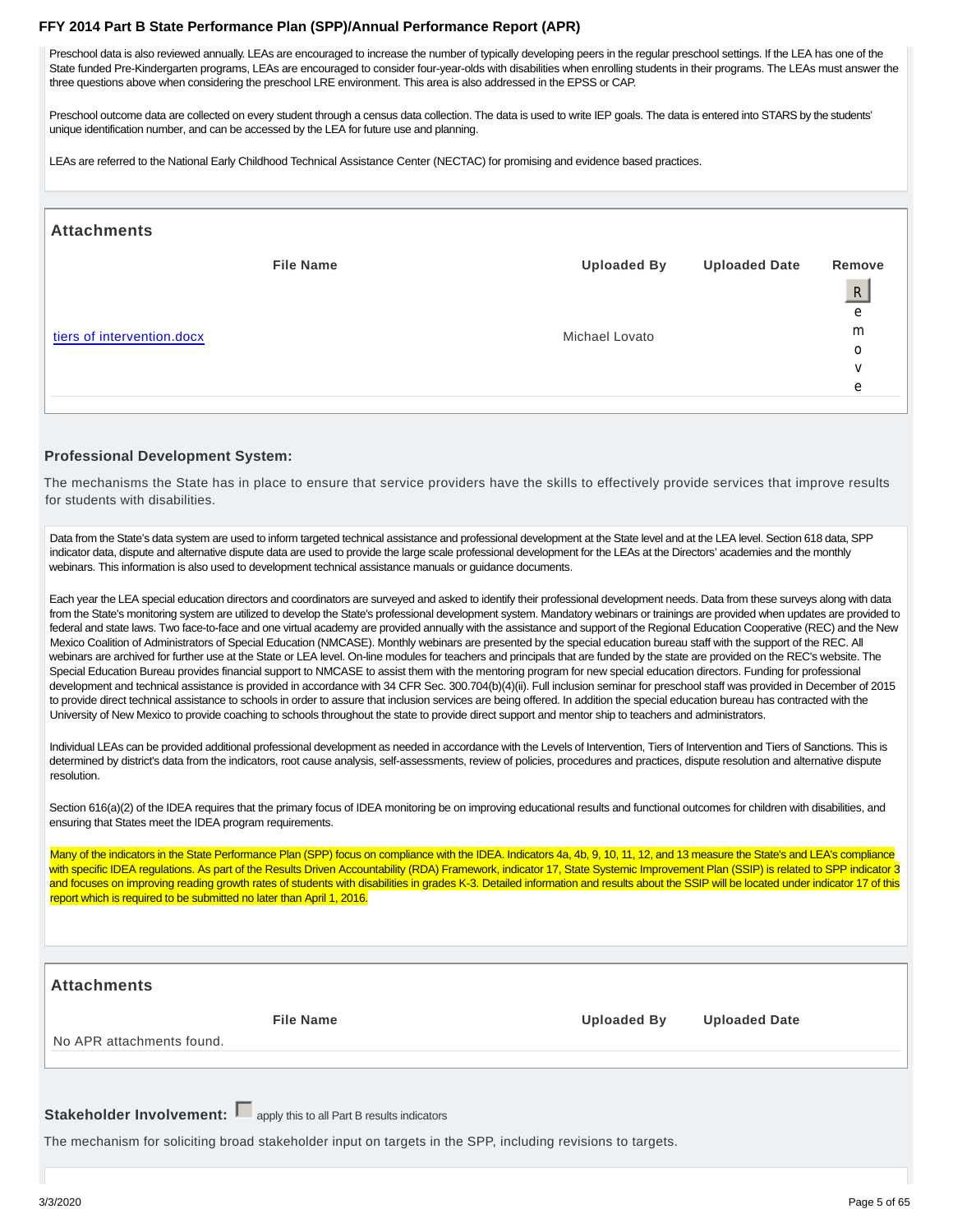Preschool data is also reviewed annually. LEAs are encouraged to increase the number of typically developing peers in the regular preschool settings. If the LEA has one of the State funded Pre-Kindergarten programs, LEAs are encouraged to consider four-year-olds with disabilities when enrolling students in their programs. The LEAs must answer the three questions above when considering the preschool LRE environment. This area is also addressed in the EPSS or CAP.

Preschool outcome data are collected on every student through a census data collection. The data is used to write IEP goals. The data is entered into STARS by the students' unique identification number, and can be accessed by the LEA for future use and planning.

LEAs are referred to the National Early Childhood Technical Assistance Center (NECTAC) for promising and evidence based practices.

| <b>Attachments</b>                             |                |                    |                      |              |
|------------------------------------------------|----------------|--------------------|----------------------|--------------|
|                                                |                | <b>Uploaded By</b> | <b>Uploaded Date</b> | Remove       |
|                                                |                |                    |                      | $\mathsf{R}$ |
|                                                |                |                    |                      | e            |
| <b>File Name</b><br>tiers of intervention.docx |                |                    |                      | m            |
|                                                | Michael Lovato |                    | 0                    |              |
|                                                |                |                    |                      | V            |
|                                                |                |                    |                      | e            |
|                                                |                |                    |                      |              |

#### **Professional Development System:**

The mechanisms the State has in place to ensure that service providers have the skills to effectively provide services that improve results for students with disabilities.

Data from the State's data system are used to inform targeted technical assistance and professional development at the State level and at the LEA level. Section 618 data, SPP indicator data, dispute and alternative dispute data are used to provide the large scale professional development for the LEAs at the Directors' academies and the monthly webinars. This information is also used to development technical assistance manuals or guidance documents.

Each year the LEA special education directors and coordinators are surveyed and asked to identify their professional development needs. Data from these surveys along with data from the State's monitoring system are utilized to develop the State's professional development system. Mandatory webinars or trainings are provided when updates are provided to federal and state laws. Two face-to-face and one virtual academy are provided annually with the assistance and support of the Regional Education Cooperative (REC) and the New Mexico Coalition of Administrators of Special Education (NMCASE). Monthly webinars are presented by the special education bureau staff with the support of the REC. All webinars are archived for further use at the State or LEA level. On-line modules for teachers and principals that are funded by the state are provided on the REC's website. The Special Education Bureau provides financial support to NMCASE to assist them with the mentoring program for new special education directors. Funding for professional development and technical assistance is provided in accordance with 34 CFR Sec. 300.704(b)(4)(ii). Full inclusion seminar for preschool staff was provided in December of 2015 to provide direct technical assistance to schools in order to assure that inclusion services are being offered. In addition the special education bureau has contracted with the University of New Mexico to provide coaching to schools throughout the state to provide direct support and mentor ship to teachers and administrators.

Individual LEAs can be provided additional professional development as needed in accordance with the Levels of Intervention, Tiers of Intervention and Tiers of Sanctions. This is determined by district's data from the indicators, root cause analysis, self-assessments, review of policies, procedures and practices, dispute resolution and alternative dispute resolution.

Section 616(a)(2) of the IDEA requires that the primary focus of IDEA monitoring be on improving educational results and functional outcomes for children with disabilities, and ensuring that States meet the IDEA program requirements.

Many of the indicators in the State Performance Plan (SPP) focus on compliance with the IDEA. Indicators 4a, 4b, 9, 10, 11, 12, and 13 measure the State's and LEA's compliance with specific IDEA regulations. As part of the Results Driven Accountability (RDA) Framework, indicator 17, State Systemic Improvement Plan (SSIP) is related to SPP indicator 3 and focuses on improving reading growth rates of students with disabilities in grades K-3. Detailed information and results about the SSIP will be located under indicator 17 of this report which is required to be submitted no later than April 1, 2016.

| <b>Attachments</b>                                                                                          |                    |                      |
|-------------------------------------------------------------------------------------------------------------|--------------------|----------------------|
| <b>File Name</b><br>No APR attachments found.                                                               | <b>Uploaded By</b> | <b>Uploaded Date</b> |
| Stakeholder Involvement: papply this to all Part B results indicators                                       |                    |                      |
| The mechanism for soliciting broad stakeholder input on targets in the SPP, including revisions to targets. |                    |                      |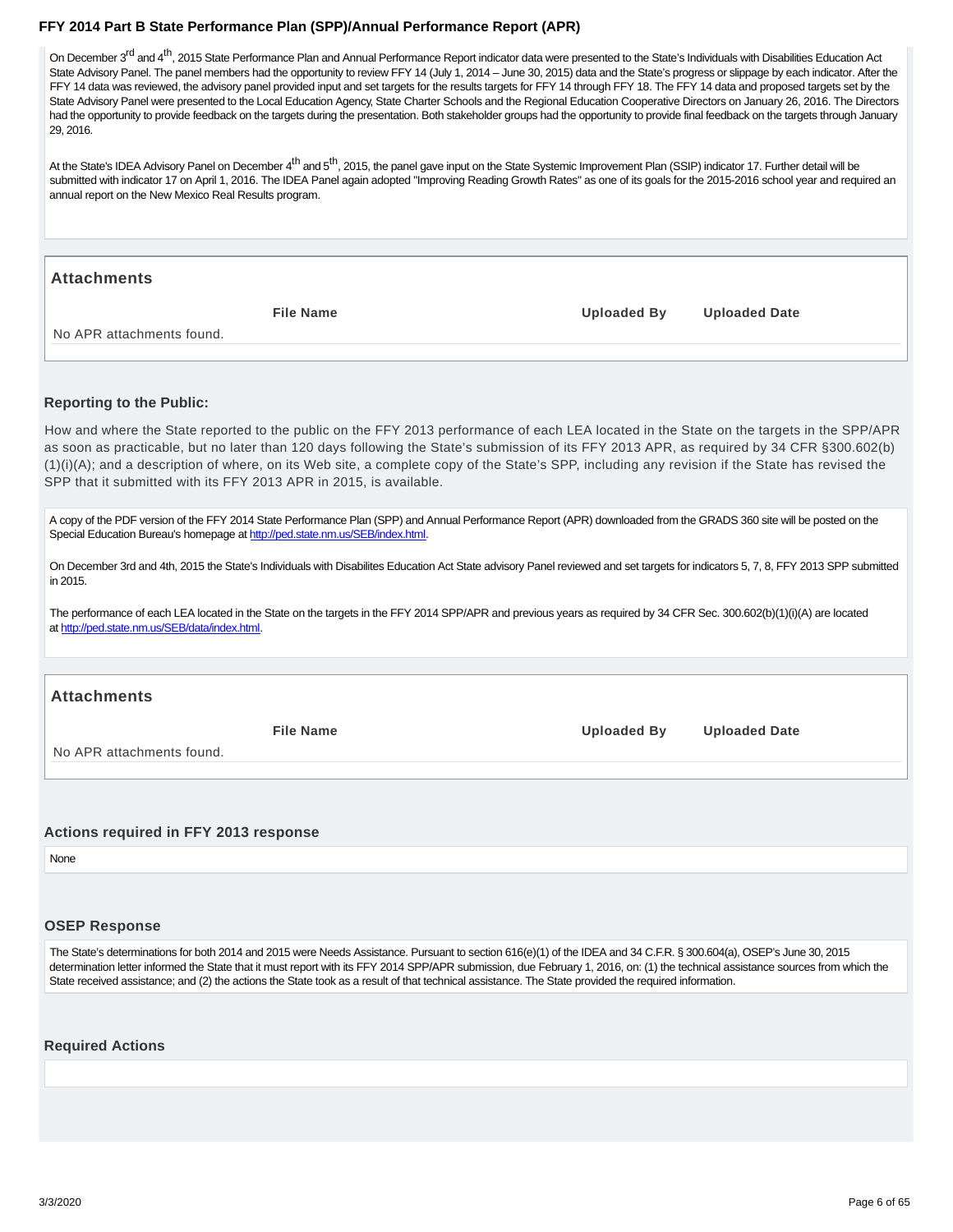<span id="page-5-0"></span>On December 3<sup>rd</sup> and 4<sup>th</sup>, 2015 State Performance Plan and Annual Performance Report indicator data were presented to the State's Individuals with Disabilities Education Act State Advisory Panel. The panel members had the opportunity to review FFY 14 (July 1, 2014 – June 30, 2015) data and the State's progress or slippage by each indicator. After the FFY 14 data was reviewed, the advisory panel provided input and set targets for the results targets for FFY 14 through FFY 18. The FFY 14 data and proposed targets set by the State Advisory Panel were presented to the Local Education Agency, State Charter Schools and the Regional Education Cooperative Directors on January 26, 2016. The Directors had the opportunity to provide feedback on the targets during the presentation. Both stakeholder groups had the opportunity to provide final feedback on the targets through January 29, 2016.

At the State's IDEA Advisory Panel on December 4<sup>th</sup> and 5<sup>th</sup>, 2015, the panel gave input on the State Systemic Improvement Plan (SSIP) indicator 17. Further detail will be submitted with indicator 17 on April 1, 2016. The IDEA Panel again adopted "Improving Reading Growth Rates" as one of its goals for the 2015-2016 school year and required an annual report on the New Mexico Real Results program.

#### **Attachments**

**File Name Uploaded By Uploaded Date**

No APR attachments found.

#### **Reporting to the Public:**

How and where the State reported to the public on the FFY 2013 performance of each LEA located in the State on the targets in the SPP/APR as soon as practicable, but no later than 120 days following the State's submission of its FFY 2013 APR, as required by 34 CFR §300.602(b) (1)(i)(A); and a description of where, on its Web site, a complete copy of the State's SPP, including any revision if the State has revised the SPP that it submitted with its FFY 2013 APR in 2015, is available.

A copy of the PDF version of the FFY 2014 State Performance Plan (SPP) and Annual Performance Report (APR) downloaded from the GRADS 360 site will be posted on the Special Education Bureau's homepage at http://ped.state.nm.us/SEB/index.html.

On December 3rd and 4th, 2015 the State's Individuals with Disabilites Education Act State advisory Panel reviewed and set targets for indicators 5, 7, 8, FFY 2013 SPP submitted in 2015.

The performance of each LEA located in the State on the targets in the FFY 2014 SPP/APR and previous years as required by 34 CFR Sec. 300.602(b)(1)(i)(A) are located at http://ped.state.nm.us/SEB/data/index.html.

#### **Attachments**

No APR attachments found.

**File Name Uploaded By Uploaded Date**

## **Actions required in FFY 2013 response**

None

#### **OSEP Response**

The State's determinations for both 2014 and 2015 were Needs Assistance. Pursuant to section 616(e)(1) of the IDEA and 34 C.F.R. § 300.604(a), OSEP's June 30, 2015 determination letter informed the State that it must report with its FFY 2014 SPP/APR submission, due February 1, 2016, on: (1) the technical assistance sources from which the State received assistance; and (2) the actions the State took as a result of that technical assistance. The State provided the required information.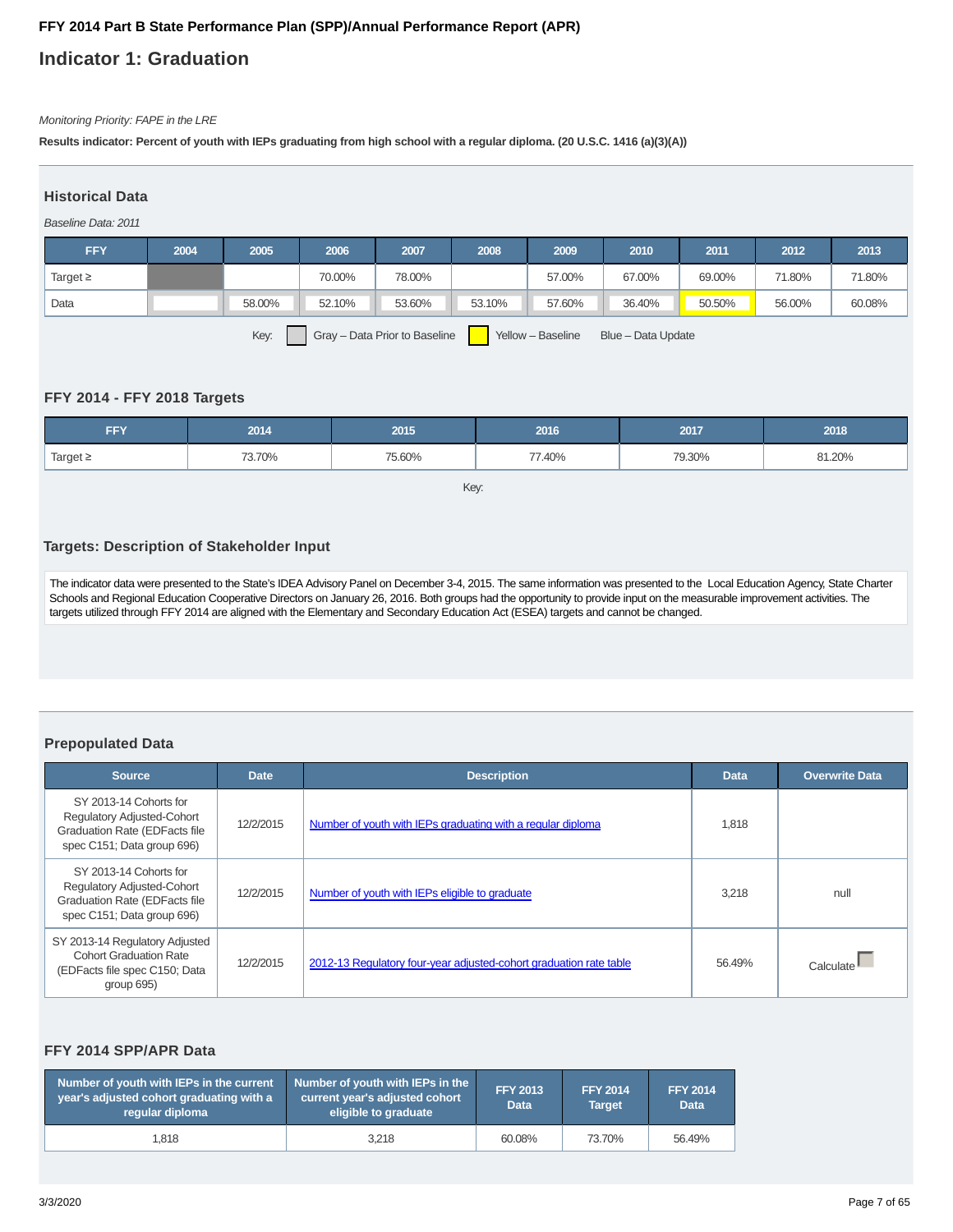## **Indicator 1: Graduation**

#### Monitoring Priority: FAPE in the LRE

**Results indicator: Percent of youth with IEPs graduating from high school with a regular diploma. (20 U.S.C. 1416 (a)(3)(A))**

#### **Historical Data**

Baseline Data: 2011

| <b>FFY</b>                                                                       | 2004 | 2005   | 2006   | 2007   | 2008   | 2009   | 2010   | 2011   | 2012   | 2013   |
|----------------------------------------------------------------------------------|------|--------|--------|--------|--------|--------|--------|--------|--------|--------|
| Target $\geq$                                                                    |      |        | 70.00% | 78.00% |        | 57.00% | 67.00% | 69.00% | 71.80% | 71.80% |
| Data                                                                             |      | 58.00% | 52.10% | 53.60% | 53.10% | 57.60% | 36.40% | 50.50% | 56.00% | 60.08% |
| Gray - Data Prior to Baseline<br>Key:<br>Yellow - Baseline<br>Blue - Data Update |      |        |        |        |        |        |        |        |        |        |

#### **FFY 2014 - FFY 2018 Targets**

| <b>FFY</b>    | 2014   | 2015   | 2016   | 2017   | 2018   |
|---------------|--------|--------|--------|--------|--------|
| Target $\geq$ | 73.70% | 75.60% | 77.40% | 79.30% | 81.20% |

Key:

#### **Targets: Description of Stakeholder Input**

The indicator data were presented to the State's IDEA Advisory Panel on December 3-4, 2015. The same information was presented to the Local Education Agency, State Charter Schools and Regional Education Cooperative Directors on January 26, 2016. Both groups had the opportunity to provide input on the measurable improvement activities. The targets utilized through FFY 2014 are aligned with the Elementary and Secondary Education Act (ESEA) targets and cannot be changed.

#### **Prepopulated Data**

| <b>Source</b>                                                                                                                     | <b>Date</b> | <b>Description</b>                                                 | <b>Data</b> | <b>Overwrite Data</b> |
|-----------------------------------------------------------------------------------------------------------------------------------|-------------|--------------------------------------------------------------------|-------------|-----------------------|
| SY 2013-14 Cohorts for<br><b>Regulatory Adjusted-Cohort</b><br><b>Graduation Rate (EDFacts file</b><br>spec C151; Data group 696) | 12/2/2015   | Number of youth with IEPs graduating with a regular diploma        | 1,818       |                       |
| SY 2013-14 Cohorts for<br><b>Regulatory Adjusted-Cohort</b><br><b>Graduation Rate (EDFacts file</b><br>spec C151; Data group 696) | 12/2/2015   | Number of youth with IEPs eligible to graduate                     | 3.218       | null                  |
| SY 2013-14 Regulatory Adjusted<br><b>Cohort Graduation Rate</b><br>(EDFacts file spec C150; Data<br>group 695)                    | 12/2/2015   | 2012-13 Regulatory four-year adjusted-cohort graduation rate table | 56.49%      | Calculate             |

#### **FFY 2014 SPP/APR Data**

| Number of youth with IEPs in the current<br>year's adjusted cohort graduating with a<br>requiar diploma | Number of youth with IEPs in the<br>current year's adjusted cohort<br>eligible to graduate | <b>FFY 2013</b><br><b>Data</b> | <b>FFY 2014</b><br><b>Target</b> | <b>FFY 2014</b><br><b>Data</b> |
|---------------------------------------------------------------------------------------------------------|--------------------------------------------------------------------------------------------|--------------------------------|----------------------------------|--------------------------------|
| 1.818                                                                                                   | 3.218                                                                                      | 60.08%                         | 73.70%                           | 56.49%                         |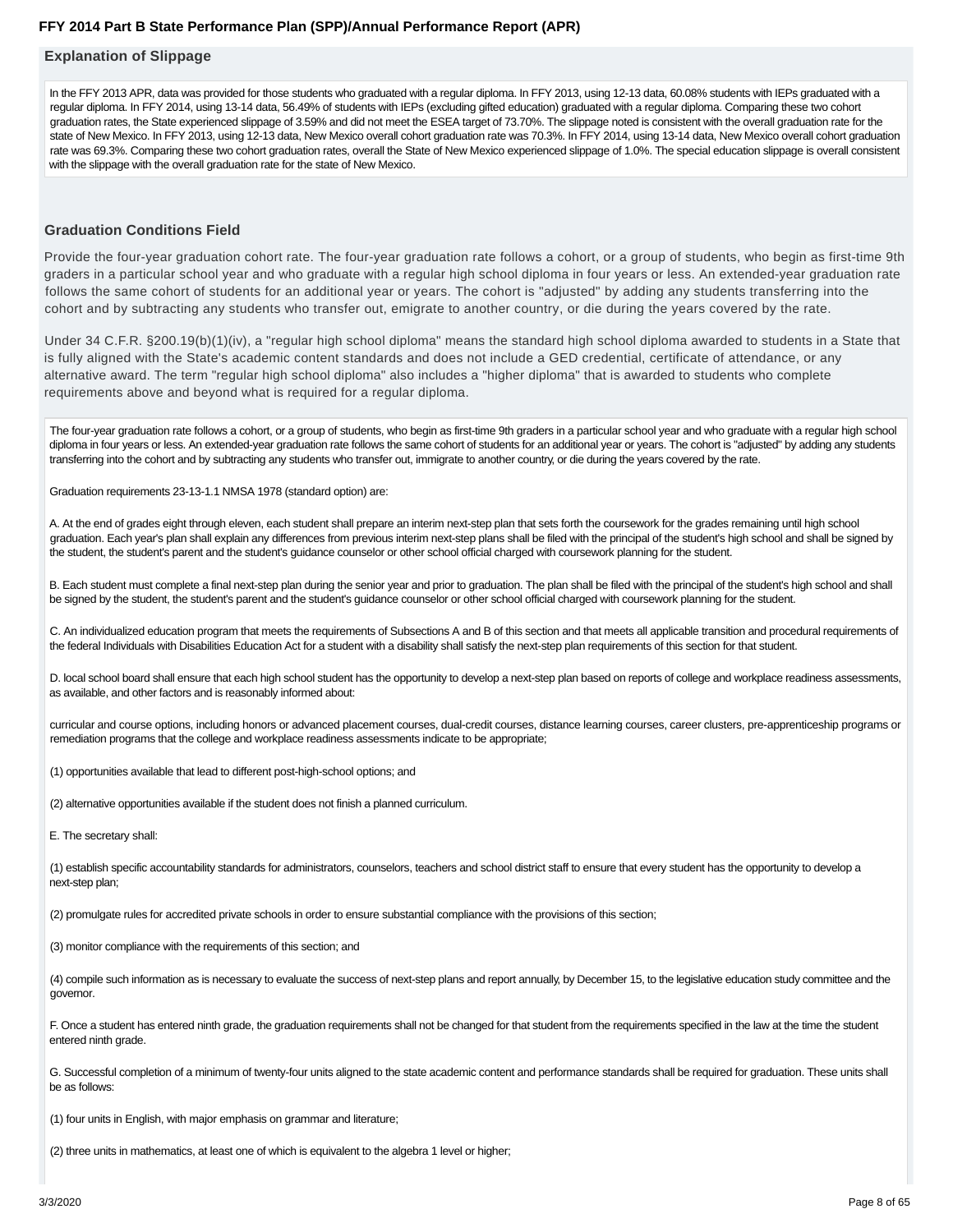#### **Explanation of Slippage**

In the FFY 2013 APR, data was provided for those students who graduated with a regular diploma. In FFY 2013, using 12-13 data, 60.08% students with IEPs graduated with a regular diploma. In FFY 2014, using 13-14 data, 56.49% of students with IEPs (excluding gifted education) graduated with a regular diploma. Comparing these two cohort graduation rates, the State experienced slippage of 3.59% and did not meet the ESEA target of 73.70%. The slippage noted is consistent with the overall graduation rate for the state of New Mexico. In FFY 2013, using 12-13 data, New Mexico overall cohort graduation rate was 70.3%. In FFY 2014, using 13-14 data, New Mexico overall cohort graduation rate was 69.3%. Comparing these two cohort graduation rates, overall the State of New Mexico experienced slippage of 1.0%. The special education slippage is overall consistent with the slippage with the overall graduation rate for the state of New Mexico.

#### **Graduation Conditions Field**

Provide the four-year graduation cohort rate. The four-year graduation rate follows a cohort, or a group of students, who begin as first-time 9th graders in a particular school year and who graduate with a regular high school diploma in four years or less. An extended-year graduation rate follows the same cohort of students for an additional year or years. The cohort is "adjusted" by adding any students transferring into the cohort and by subtracting any students who transfer out, emigrate to another country, or die during the years covered by the rate.

Under 34 C.F.R. §200.19(b)(1)(iv), a "regular high school diploma" means the standard high school diploma awarded to students in a State that is fully aligned with the State's academic content standards and does not include a GED credential, certificate of attendance, or any alternative award. The term "regular high school diploma" also includes a "higher diploma" that is awarded to students who complete requirements above and beyond what is required for a regular diploma.

The four-year graduation rate follows a cohort, or a group of students, who begin as first-time 9th graders in a particular school year and who graduate with a regular high school diploma in four years or less. An extended-year graduation rate follows the same cohort of students for an additional year or years. The cohort is "adjusted" by adding any students transferring into the cohort and by subtracting any students who transfer out, immigrate to another country, or die during the years covered by the rate.

Graduation requirements 23-13-1.1 NMSA 1978 (standard option) are:

A. At the end of grades eight through eleven, each student shall prepare an interim next-step plan that sets forth the coursework for the grades remaining until high school graduation. Each year's plan shall explain any differences from previous interim next-step plans shall be filed with the principal of the student's high school and shall be signed by the student, the student's parent and the student's guidance counselor or other school official charged with coursework planning for the student.

B. Each student must complete a final next-step plan during the senior year and prior to graduation. The plan shall be filed with the principal of the student's high school and shall be signed by the student, the student's parent and the student's guidance counselor or other school official charged with coursework planning for the student.

C. An individualized education program that meets the requirements of Subsections A and B of this section and that meets all applicable transition and procedural requirements of the federal Individuals with Disabilities Education Act for a student with a disability shall satisfy the next-step plan requirements of this section for that student.

D. local school board shall ensure that each high school student has the opportunity to develop a next-step plan based on reports of college and workplace readiness assessments, as available, and other factors and is reasonably informed about:

curricular and course options, including honors or advanced placement courses, dual-credit courses, distance learning courses, career clusters, pre-apprenticeship programs or remediation programs that the college and workplace readiness assessments indicate to be appropriate;

(1) opportunities available that lead to different post-high-school options; and

(2) alternative opportunities available if the student does not finish a planned curriculum.

E. The secretary shall:

(1) establish specific accountability standards for administrators, counselors, teachers and school district staff to ensure that every student has the opportunity to develop a next-step plan;

(2) promulgate rules for accredited private schools in order to ensure substantial compliance with the provisions of this section;

(3) monitor compliance with the requirements of this section; and

(4) compile such information as is necessary to evaluate the success of next-step plans and report annually, by December 15, to the legislative education study committee and the governor.

F. Once a student has entered ninth grade, the graduation requirements shall not be changed for that student from the requirements specified in the law at the time the student entered ninth grade.

G. Successful completion of a minimum of twenty-four units aligned to the state academic content and performance standards shall be required for graduation. These units shall be as follows:

(1) four units in English, with major emphasis on grammar and literature;

(2) three units in mathematics, at least one of which is equivalent to the algebra 1 level or higher;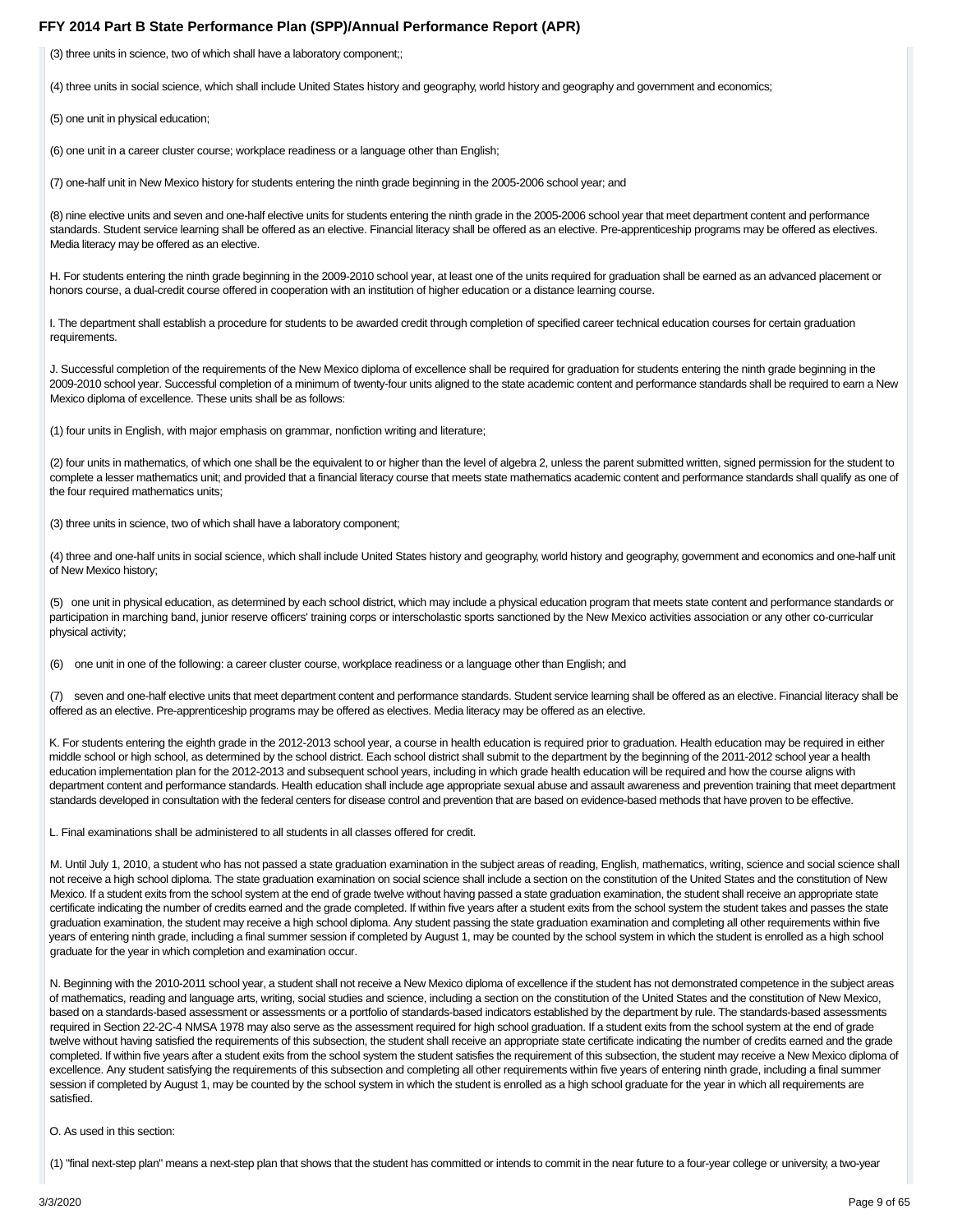(3) three units in science, two of which shall have a laboratory component;;

(4) three units in social science, which shall include United States history and geography, world history and geography and government and economics;

(5) one unit in physical education;

(6) one unit in a career cluster course; workplace readiness or a language other than English;

(7) one-half unit in New Mexico history for students entering the ninth grade beginning in the 2005-2006 school year; and

(8) nine elective units and seven and one-half elective units for students entering the ninth grade in the 2005-2006 school year that meet department content and performance standards. Student service learning shall be offered as an elective. Financial literacy shall be offered as an elective. Pre-apprenticeship programs may be offered as electives. Media literacy may be offered as an elective.

H. For students entering the ninth grade beginning in the 2009-2010 school year, at least one of the units required for graduation shall be earned as an advanced placement or honors course, a dual-credit course offered in cooperation with an institution of higher education or a distance learning course.

I. The department shall establish a procedure for students to be awarded credit through completion of specified career technical education courses for certain graduation requirements.

J. Successful completion of the requirements of the New Mexico diploma of excellence shall be required for graduation for students entering the ninth grade beginning in the 2009-2010 school year. Successful completion of a minimum of twenty-four units aligned to the state academic content and performance standards shall be required to earn a New Mexico diploma of excellence. These units shall be as follows:

(1) four units in English, with major emphasis on grammar, nonfiction writing and literature;

(2) four units in mathematics, of which one shall be the equivalent to or higher than the level of algebra 2, unless the parent submitted written, signed permission for the student to complete a lesser mathematics unit; and provided that a financial literacy course that meets state mathematics academic content and performance standards shall qualify as one of the four required mathematics units;

(3) three units in science, two of which shall have a laboratory component;

(4) three and one-half units in social science, which shall include United States history and geography, world history and geography, government and economics and one-half unit of New Mexico history;

(5) one unit in physical education, as determined by each school district, which may include a physical education program that meets state content and performance standards or participation in marching band, junior reserve officers' training corps or interscholastic sports sanctioned by the New Mexico activities association or any other co-curricular physical activity;

(6) one unit in one of the following: a career cluster course, workplace readiness or a language other than English; and

(7) seven and one-half elective units that meet department content and performance standards. Student service learning shall be offered as an elective. Financial literacy shall be offered as an elective. Pre-apprenticeship programs may be offered as electives. Media literacy may be offered as an elective.

K. For students entering the eighth grade in the 2012-2013 school year, a course in health education is required prior to graduation. Health education may be required in either middle school or high school, as determined by the school district. Each school district shall submit to the department by the beginning of the 2011-2012 school year a health education implementation plan for the 2012-2013 and subsequent school years, including in which grade health education will be required and how the course aligns with department content and performance standards. Health education shall include age appropriate sexual abuse and assault awareness and prevention training that meet department standards developed in consultation with the federal centers for disease control and prevention that are based on evidence-based methods that have proven to be effective.

L. Final examinations shall be administered to all students in all classes offered for credit.

M. Until July 1, 2010, a student who has not passed a state graduation examination in the subject areas of reading, English, mathematics, writing, science and social science shall not receive a high school diploma. The state graduation examination on social science shall include a section on the constitution of the United States and the constitution of New Mexico. If a student exits from the school system at the end of grade twelve without having passed a state graduation examination, the student shall receive an appropriate state certificate indicating the number of credits earned and the grade completed. If within five years after a student exits from the school system the student takes and passes the state graduation examination, the student may receive a high school diploma. Any student passing the state graduation examination and completing all other requirements within five years of entering ninth grade, including a final summer session if completed by August 1, may be counted by the school system in which the student is enrolled as a high school graduate for the year in which completion and examination occur.

N. Beginning with the 2010-2011 school year, a student shall not receive a New Mexico diploma of excellence if the student has not demonstrated competence in the subject areas of mathematics, reading and language arts, writing, social studies and science, including a section on the constitution of the United States and the constitution of New Mexico, based on a standards-based assessment or assessments or a portfolio of standards-based indicators established by the department by rule. The standards-based assessments required in Section 22-2C-4 NMSA 1978 may also serve as the assessment required for high school graduation. If a student exits from the school system at the end of grade twelve without having satisfied the requirements of this subsection, the student shall receive an appropriate state certificate indicating the number of credits earned and the grade completed. If within five years after a student exits from the school system the student satisfies the requirement of this subsection, the student may receive a New Mexico diploma of excellence. Any student satisfying the requirements of this subsection and completing all other requirements within five years of entering ninth grade, including a final summer session if completed by August 1, may be counted by the school system in which the student is enrolled as a high school graduate for the year in which all requirements are satisfied.

O. As used in this section:

(1) "final next-step plan" means a next-step plan that shows that the student has committed or intends to commit in the near future to a four-year college or university, a two-year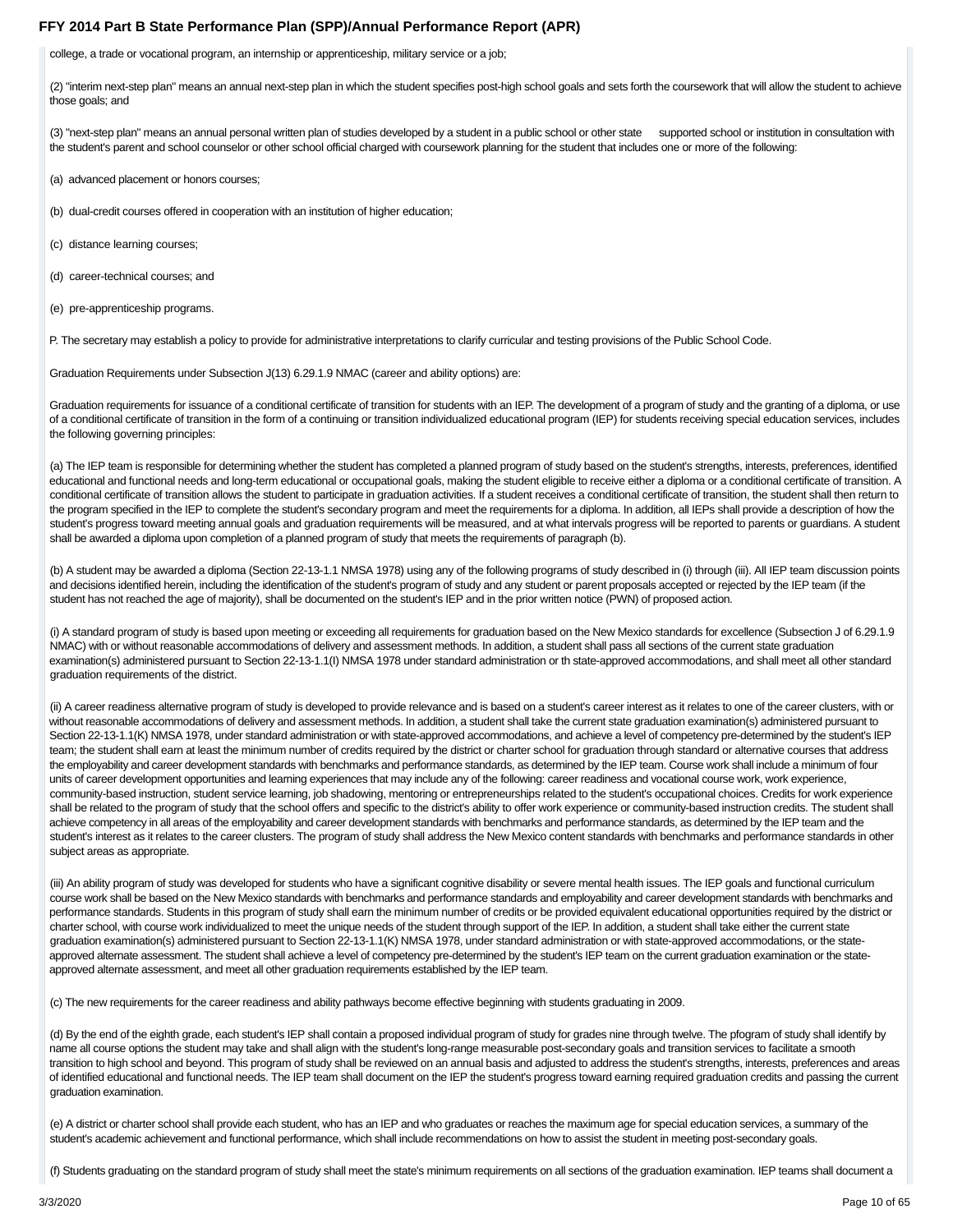college, a trade or vocational program, an internship or apprenticeship, military service or a job;

(2) "interim next-step plan" means an annual next-step plan in which the student specifies post-high school goals and sets forth the coursework that will allow the student to achieve those goals; and

(3) "next-step plan" means an annual personal written plan of studies developed by a student in a public school or other state supported school or institution in consultation with the student's parent and school counselor or other school official charged with coursework planning for the student that includes one or more of the following:

(a) advanced placement or honors courses;

(b) dual-credit courses offered in cooperation with an institution of higher education;

(c) distance learning courses;

(d) career-technical courses; and

(e) pre-apprenticeship programs.

P. The secretary may establish a policy to provide for administrative interpretations to clarify curricular and testing provisions of the Public School Code.

Graduation Requirements under Subsection J(13) 6.29.1.9 NMAC (career and ability options) are:

Graduation requirements for issuance of a conditional certificate of transition for students with an IEP. The development of a program of study and the granting of a diploma, or use of a conditional certificate of transition in the form of a continuing or transition individualized educational program (IEP) for students receiving special education services, includes the following governing principles:

(a) The IEP team is responsible for determining whether the student has completed a planned program of study based on the student's strengths, interests, preferences, identified educational and functional needs and long-term educational or occupational goals, making the student eligible to receive either a diploma or a conditional certificate of transition. A conditional certificate of transition allows the student to participate in graduation activities. If a student receives a conditional certificate of transition, the student shall then return to the program specified in the IEP to complete the student's secondary program and meet the requirements for a diploma. In addition, all IEPs shall provide a description of how the student's progress toward meeting annual goals and graduation requirements will be measured, and at what intervals progress will be reported to parents or guardians. A student shall be awarded a diploma upon completion of a planned program of study that meets the requirements of paragraph (b).

(b) A student may be awarded a diploma (Section 22-13-1.1 NMSA 1978) using any of the following programs of study described in (i) through (iii). All IEP team discussion points and decisions identified herein, including the identification of the student's program of study and any student or parent proposals accepted or rejected by the IEP team (if the student has not reached the age of majority), shall be documented on the student's IEP and in the prior written notice (PWN) of proposed action.

(i) A standard program of study is based upon meeting or exceeding all requirements for graduation based on the New Mexico standards for excellence (Subsection J of 6.29.1.9 NMAC) with or without reasonable accommodations of delivery and assessment methods. In addition, a student shall pass all sections of the current state graduation examination(s) administered pursuant to Section 22-13-1.1(I) NMSA 1978 under standard administration or th state-approved accommodations, and shall meet all other standard graduation requirements of the district.

(ii) A career readiness alternative program of study is developed to provide relevance and is based on a student's career interest as it relates to one of the career clusters, with or without reasonable accommodations of delivery and assessment methods. In addition, a student shall take the current state graduation examination(s) administered pursuant to Section 22-13-1.1(K) NMSA 1978, under standard administration or with state-approved accommodations, and achieve a level of competency pre-determined by the student's IEP team; the student shall earn at least the minimum number of credits required by the district or charter school for graduation through standard or alternative courses that address the employability and career development standards with benchmarks and performance standards, as determined by the IEP team. Course work shall include a minimum of four units of career development opportunities and learning experiences that may include any of the following: career readiness and vocational course work, work experience, community-based instruction, student service learning, job shadowing, mentoring or entrepreneurships related to the student's occupational choices. Credits for work experience shall be related to the program of study that the school offers and specific to the district's ability to offer work experience or community-based instruction credits. The student shall achieve competency in all areas of the employability and career development standards with benchmarks and performance standards, as determined by the IEP team and the student's interest as it relates to the career clusters. The program of study shall address the New Mexico content standards with benchmarks and performance standards in other subject areas as appropriate.

(iii) An ability program of study was developed for students who have a significant cognitive disability or severe mental health issues. The IEP goals and functional curriculum course work shall be based on the New Mexico standards with benchmarks and performance standards and employability and career development standards with benchmarks and performance standards. Students in this program of study shall earn the minimum number of credits or be provided equivalent educational opportunities required by the district or charter school, with course work individualized to meet the unique needs of the student through support of the IEP. In addition, a student shall take either the current state graduation examination(s) administered pursuant to Section 22-13-1.1(K) NMSA 1978, under standard administration or with state-approved accommodations, or the stateapproved alternate assessment. The student shall achieve a level of competency pre-determined by the student's IEP team on the current graduation examination or the stateapproved alternate assessment, and meet all other graduation requirements established by the IEP team.

(c) The new requirements for the career readiness and ability pathways become effective beginning with students graduating in 2009.

(d) By the end of the eighth grade, each student's IEP shall contain a proposed individual program of study for grades nine through twelve. The pfogram of study shall identify by name all course options the student may take and shall align with the student's long-range measurable post-secondary goals and transition services to facilitate a smooth transition to high school and beyond. This program of study shall be reviewed on an annual basis and adjusted to address the student's strengths, interests, preferences and areas of identified educational and functional needs. The IEP team shall document on the IEP the student's progress toward earning required graduation credits and passing the current graduation examination.

(e) A district or charter school shall provide each student, who has an IEP and who graduates or reaches the maximum age for special education services, a summary of the student's academic achievement and functional performance, which shall include recommendations on how to assist the student in meeting post-secondary goals.

(f) Students graduating on the standard program of study shall meet the state's minimum requirements on all sections of the graduation examination. IEP teams shall document a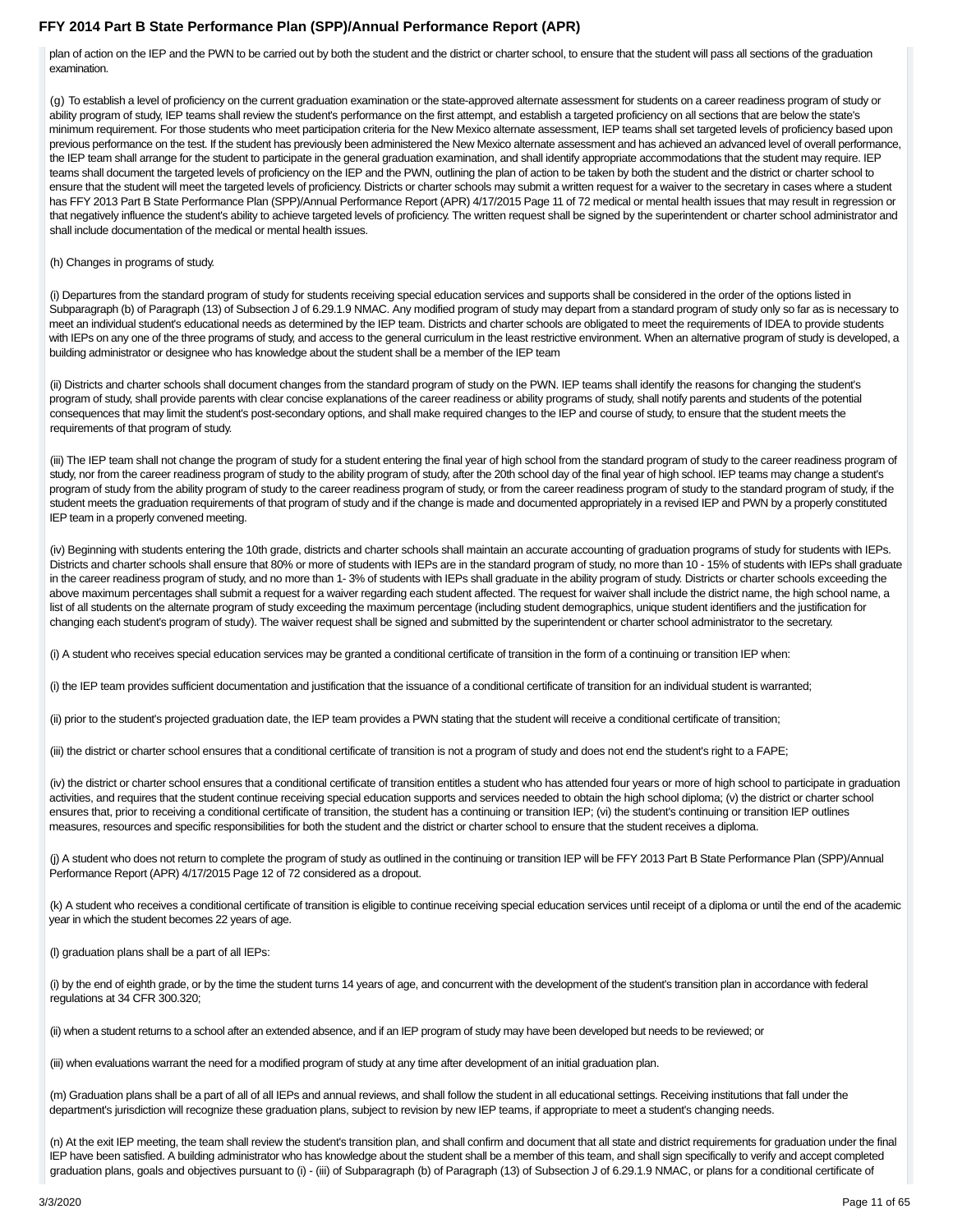plan of action on the IEP and the PWN to be carried out by both the student and the district or charter school, to ensure that the student will pass all sections of the graduation examination.

(g) To establish a level of proficiency on the current graduation examination or the state-approved alternate assessment for students on a career readiness program of study or ability program of study, IEP teams shall review the student's performance on the first attempt, and establish a targeted proficiency on all sections that are below the state's minimum requirement. For those students who meet participation criteria for the New Mexico alternate assessment, IEP teams shall set targeted levels of proficiency based upon previous performance on the test. If the student has previously been administered the New Mexico alternate assessment and has achieved an advanced level of overall performance, the IEP team shall arrange for the student to participate in the general graduation examination, and shall identify appropriate accommodations that the student may require. IEP teams shall document the targeted levels of proficiency on the IEP and the PWN, outlining the plan of action to be taken by both the student and the district or charter school to ensure that the student will meet the targeted levels of proficiency. Districts or charter schools may submit a written request for a waiver to the secretary in cases where a student has FFY 2013 Part B State Performance Plan (SPP)/Annual Performance Report (APR) 4/17/2015 Page 11 of 72 medical or mental health issues that may result in regression or that negatively influence the student's ability to achieve targeted levels of proficiency. The written request shall be signed by the superintendent or charter school administrator and shall include documentation of the medical or mental health issues.

#### (h) Changes in programs of study.

(i) Departures from the standard program of study for students receiving special education services and supports shall be considered in the order of the options listed in Subparagraph (b) of Paragraph (13) of Subsection J of 6.29.1.9 NMAC. Any modified program of study may depart from a standard program of study only so far as is necessary to meet an individual student's educational needs as determined by the IEP team. Districts and charter schools are obligated to meet the requirements of IDEA to provide students with IEPs on any one of the three programs of study, and access to the general curriculum in the least restrictive environment. When an alternative program of study is developed, a building administrator or designee who has knowledge about the student shall be a member of the IEP team

(ii) Districts and charter schools shall document changes from the standard program of study on the PWN. IEP teams shall identify the reasons for changing the student's program of study, shall provide parents with clear concise explanations of the career readiness or ability programs of study, shall notify parents and students of the potential consequences that may limit the student's post-secondary options, and shall make required changes to the IEP and course of study, to ensure that the student meets the requirements of that program of study.

(iii) The IEP team shall not change the program of study for a student entering the final year of high school from the standard program of study to the career readiness program of study, nor from the career readiness program of study to the ability program of study, after the 20th school day of the final year of high school. IEP teams may change a student's program of study from the ability program of study to the career readiness program of study, or from the career readiness program of study to the standard program of study, if the student meets the graduation requirements of that program of study and if the change is made and documented appropriately in a revised IEP and PWN by a properly constituted IEP team in a properly convened meeting.

(iv) Beginning with students entering the 10th grade, districts and charter schools shall maintain an accurate accounting of graduation programs of study for students with IEPs. Districts and charter schools shall ensure that 80% or more of students with IEPs are in the standard program of study, no more than 10 - 15% of students with IEPs shall graduate in the career readiness program of study, and no more than 1-3% of students with IEPs shall graduate in the ability program of study. Districts or charter schools exceeding the above maximum percentages shall submit a request for a waiver regarding each student affected. The request for waiver shall include the district name, the high school name, a list of all students on the alternate program of study exceeding the maximum percentage (including student demographics, unique student identifiers and the justification for changing each student's program of study). The waiver request shall be signed and submitted by the superintendent or charter school administrator to the secretary.

(i) A student who receives special education services may be granted a conditional certificate of transition in the form of a continuing or transition IEP when:

(i) the IEP team provides sufficient documentation and justification that the issuance of a conditional certificate of transition for an individual student is warranted;

(ii) prior to the student's projected graduation date, the IEP team provides a PWN stating that the student will receive a conditional certificate of transition;

(iii) the district or charter school ensures that a conditional certificate of transition is not a program of study and does not end the student's right to a FAPE;

(iv) the district or charter school ensures that a conditional certificate of transition entitles a student who has attended four years or more of high school to participate in graduation activities, and requires that the student continue receiving special education supports and services needed to obtain the high school diploma; (v) the district or charter school ensures that, prior to receiving a conditional certificate of transition, the student has a continuing or transition IEP; (vi) the student's continuing or transition IEP outlines measures, resources and specific responsibilities for both the student and the district or charter school to ensure that the student receives a diploma.

(j) A student who does not return to complete the program of study as outlined in the continuing or transition IEP will be FFY 2013 Part B State Performance Plan (SPP)/Annual Performance Report (APR) 4/17/2015 Page 12 of 72 considered as a dropout.

(k) A student who receives a conditional certificate of transition is eligible to continue receiving special education services until receipt of a diploma or until the end of the academic year in which the student becomes 22 years of age.

(l) graduation plans shall be a part of all IEPs:

(i) by the end of eighth grade, or by the time the student turns 14 years of age, and concurrent with the development of the student's transition plan in accordance with federal regulations at 34 CFR 300.320;

(ii) when a student returns to a school after an extended absence, and if an IEP program of study may have been developed but needs to be reviewed; or

(iii) when evaluations warrant the need for a modified program of study at any time after development of an initial graduation plan.

(m) Graduation plans shall be a part of all of all IEPs and annual reviews, and shall follow the student in all educational settings. Receiving institutions that fall under the department's jurisdiction will recognize these graduation plans, subject to revision by new IEP teams, if appropriate to meet a student's changing needs.

(n) At the exit IEP meeting, the team shall review the student's transition plan, and shall confirm and document that all state and district requirements for graduation under the final IEP have been satisfied. A building administrator who has knowledge about the student shall be a member of this team, and shall sign specifically to verify and accept completed graduation plans, goals and objectives pursuant to (i) - (iii) of Subparagraph (b) of Paragraph (13) of Subsection J of 6.29.1.9 NMAC, or plans for a conditional certificate of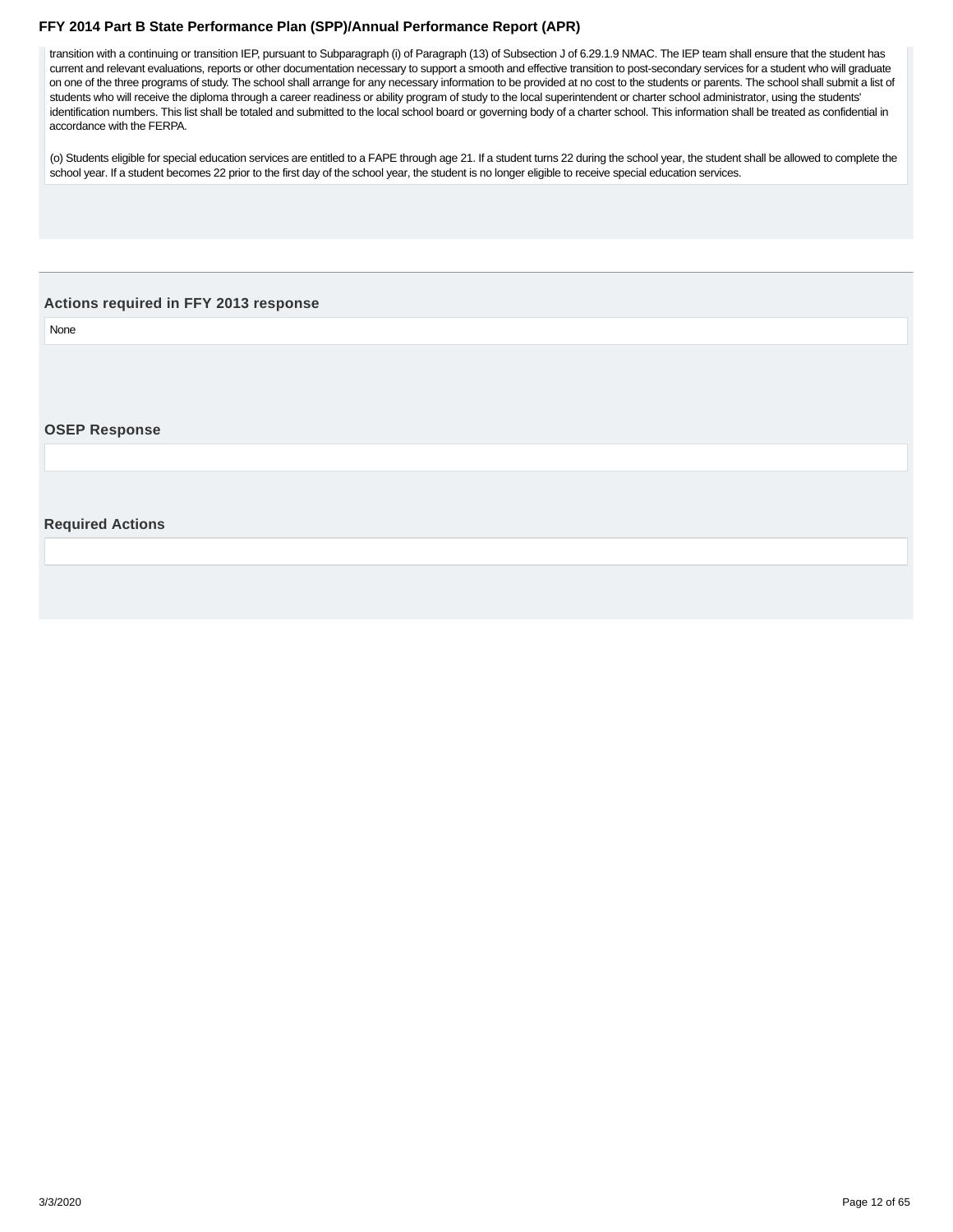<span id="page-11-0"></span>transition with a continuing or transition IEP, pursuant to Subparagraph (i) of Paragraph (13) of Subsection J of 6.29.1.9 NMAC. The IEP team shall ensure that the student has current and relevant evaluations, reports or other documentation necessary to support a smooth and effective transition to post-secondary services for a student who will graduate on one of the three programs of study. The school shall arrange for any necessary information to be provided at no cost to the students or parents. The school shall submit a list of students who will receive the diploma through a career readiness or ability program of study to the local superintendent or charter school administrator, using the students' identification numbers. This list shall be totaled and submitted to the local school board or governing body of a charter school. This information shall be treated as confidential in accordance with the FERPA.

(o) Students eligible for special education services are entitled to a FAPE through age 21. If a student turns 22 during the school year, the student shall be allowed to complete the school year. If a student becomes 22 prior to the first day of the school year, the student is no longer eligible to receive special education services.

#### **Actions required in FFY 2013 response**

None

#### **OSEP Response**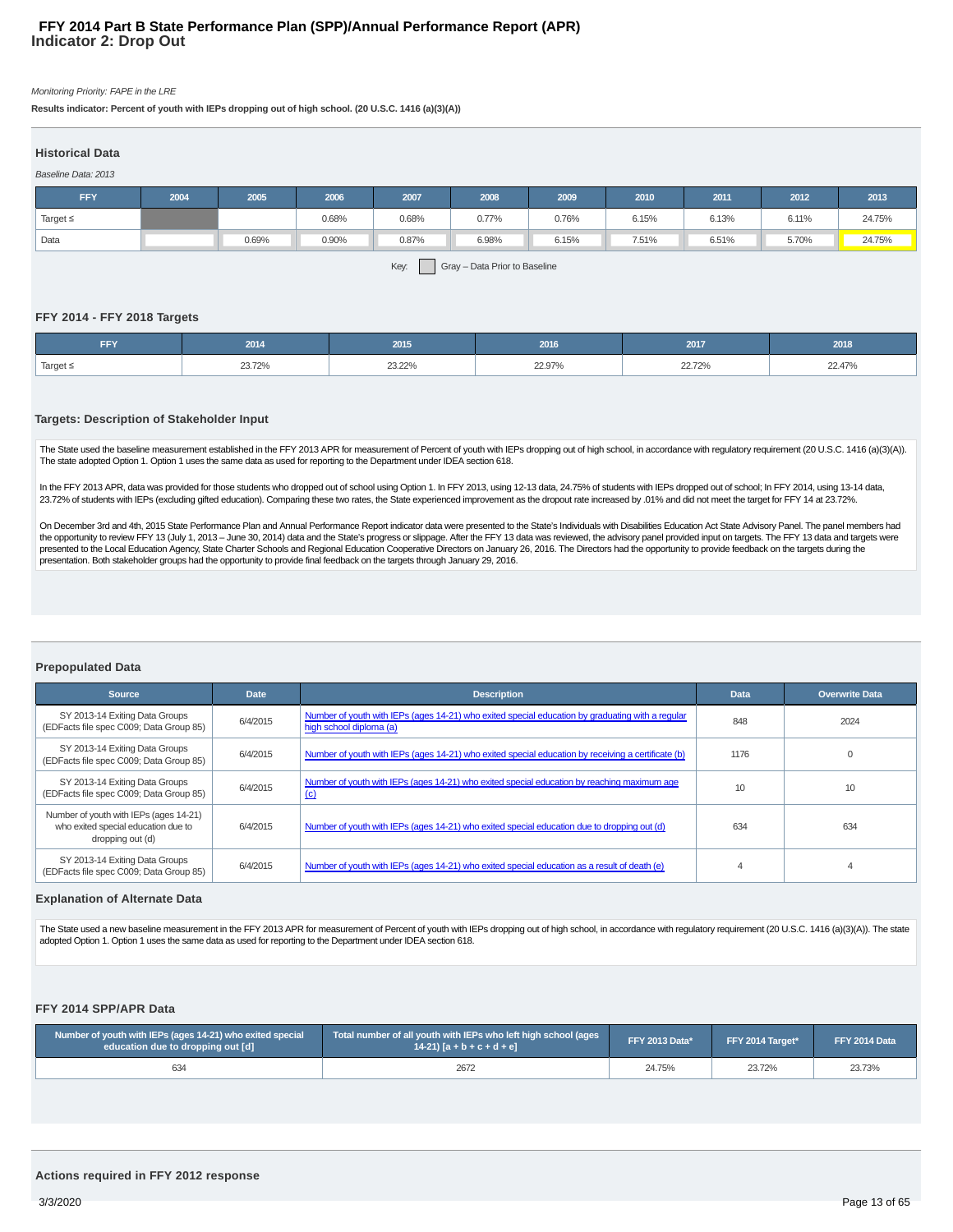#### Monitoring Priority: FAPE in the LRE

**Results indicator: Percent of youth with IEPs dropping out of high school. (20 U.S.C. 1416 (a)(3)(A))**

#### **Historical Data**

| Baseline Data: 2013 |      |       |       |        |       |       |       |       |       |        |
|---------------------|------|-------|-------|--------|-------|-------|-------|-------|-------|--------|
| <b>FFY</b>          | 2004 | 2005  | 2006  | 2007   | 2008  | 2009  | 2010  | 2011  | 2012  | 2013   |
| Target $\leq$       |      |       | 0.68% | 0.68%  | 0.77% | 0.76% | 6.15% | 6.13% | 6.11% | 24.75% |
| Data                |      | 0.69% | 0.90% | 0.87%  | 6.98% | 6.15% | 7.51% | 6.51% | 5.70% | 24.75% |
|                     |      |       |       | $\sim$ |       |       |       |       |       |        |

Key: Gray – Data Prior to Baseline

#### **FFY 2014 - FFY 2018 Targets**

| FFY                      | 2014   | 2015   | 2016   | 2017   | 2018   |
|--------------------------|--------|--------|--------|--------|--------|
| $\sqrt{2}$ Target $\leq$ | 23.12% | 23.22% | 22.97% | 22.72% | 22.47% |

#### **Targets: Description of Stakeholder Input**

The State used the baseline measurement established in the FFY 2013 APR for measurement of Percent of youth with IEPs dropping out of high school, in accordance with regulatory requirement (20 U.S.C. 1416 (a)(3)(A)). The state adopted Option 1. Option 1 uses the same data as used for reporting to the Department under IDEA section 618.

In the FFY 2013 APR, data was provided for those students who dropped out of school using Option 1. In FFY 2013, using 12-13 data, 24.75% of students with IEPs dropped out of school; In FFY 2014, using 13-14 data, 23.72% of students with IEPs (excluding gifted education). Comparing these two rates, the State experienced improvement as the dropout rate increased by .01% and did not meet the target for FFY 14 at 23.72%.

On December 3rd and 4th, 2015 State Performance Plan and Annual Performance Report indicator data were presented to the State's Individuals with Disabilities Education Act State Advisory Panel. The panel members had the opportunity to review FFY 13 (July 1, 2013 – June 30, 2014) data and the State's progress or slippage. After the FFY 13 data was reviewed, the advisory panel provided input on targets. The FFY 13 data and targets were presented to the Local Education Agency, State Charter Schools and Regional Education Cooperative Directors on January 26, 2016. The Directors had the opportunity to provide feedback on the targets during the presentation. Both stakeholder groups had the opportunity to provide final feedback on the targets through January 29, 2016.

#### **Prepopulated Data**

| <b>Source</b>                                                                                     | <b>Date</b> | <b>Description</b>                                                                                                          | <b>Data</b> | <b>Overwrite Data</b> |
|---------------------------------------------------------------------------------------------------|-------------|-----------------------------------------------------------------------------------------------------------------------------|-------------|-----------------------|
| SY 2013-14 Exiting Data Groups<br>(EDFacts file spec C009; Data Group 85)                         | 6/4/2015    | Number of youth with IEPs (ages 14-21) who exited special education by graduating with a regular<br>high school diploma (a) | 848         | 2024                  |
| SY 2013-14 Exiting Data Groups<br>(EDFacts file spec C009; Data Group 85)                         | 6/4/2015    | Number of youth with IEPs (ages 14-21) who exited special education by receiving a certificate (b)                          | 1176        |                       |
| SY 2013-14 Exiting Data Groups<br>(EDFacts file spec C009; Data Group 85)                         | 6/4/2015    | Number of youth with IEPs (ages 14-21) who exited special education by reaching maximum age<br>(c)                          | 10          | 10                    |
| Number of youth with IEPs (ages 14-21)<br>who exited special education due to<br>dropping out (d) | 6/4/2015    | Number of youth with IEPs (ages 14-21) who exited special education due to dropping out (d)                                 | 634         | 634                   |
| SY 2013-14 Exiting Data Groups<br>(EDFacts file spec C009; Data Group 85)                         | 6/4/2015    | Number of youth with IEPs (ages 14-21) who exited special education as a result of death (e)                                |             |                       |

#### **Explanation of Alternate Data**

The State used a new baseline measurement in the FFY 2013 APR for measurement of Percent of youth with IEPs dropping out of high school, in accordance with regulatory requirement (20 U.S.C. 1416 (a)(3)(A)). The state adopted Option 1. Option 1 uses the same data as used for reporting to the Department under IDEA section 618.

#### **FFY 2014 SPP/APR Data**

| Number of youth with IEPs (ages 14-21) who exited special<br>education due to dropping out [d] | Total number of all youth with IEPs who left high school (ages<br>$14-21$ ) $[a + b + c + d + e]$ | <b>FFY 2013 Data*</b> | FFY 2014 Target* | FFY 2014 Data |
|------------------------------------------------------------------------------------------------|---------------------------------------------------------------------------------------------------|-----------------------|------------------|---------------|
| 634                                                                                            | 2672                                                                                              | 24.75%                | 23.72%           | 23.73%        |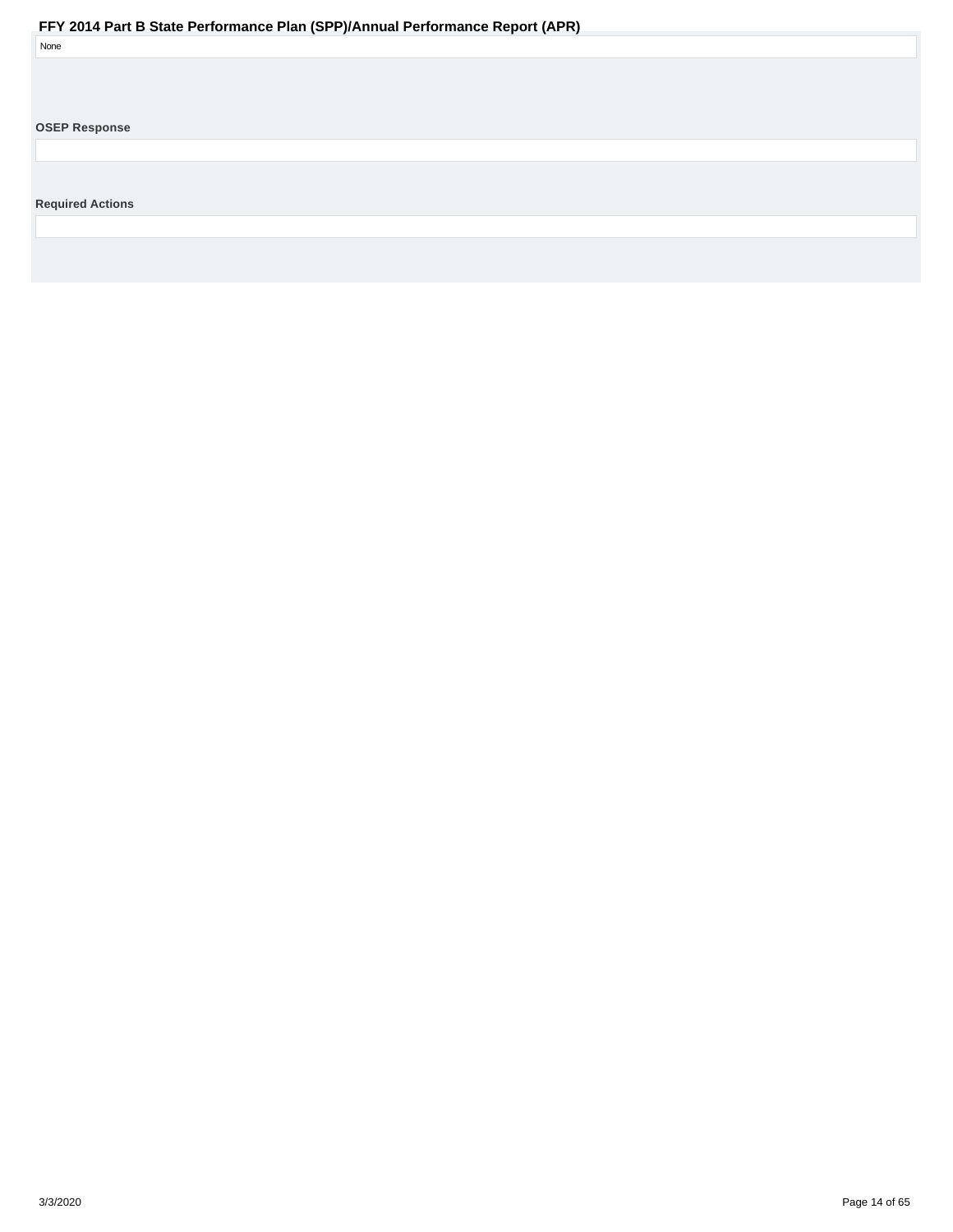<span id="page-13-0"></span>

| None                    |  |
|-------------------------|--|
|                         |  |
|                         |  |
|                         |  |
| <b>OSEP Response</b>    |  |
|                         |  |
|                         |  |
|                         |  |
| <b>Required Actions</b> |  |
|                         |  |
|                         |  |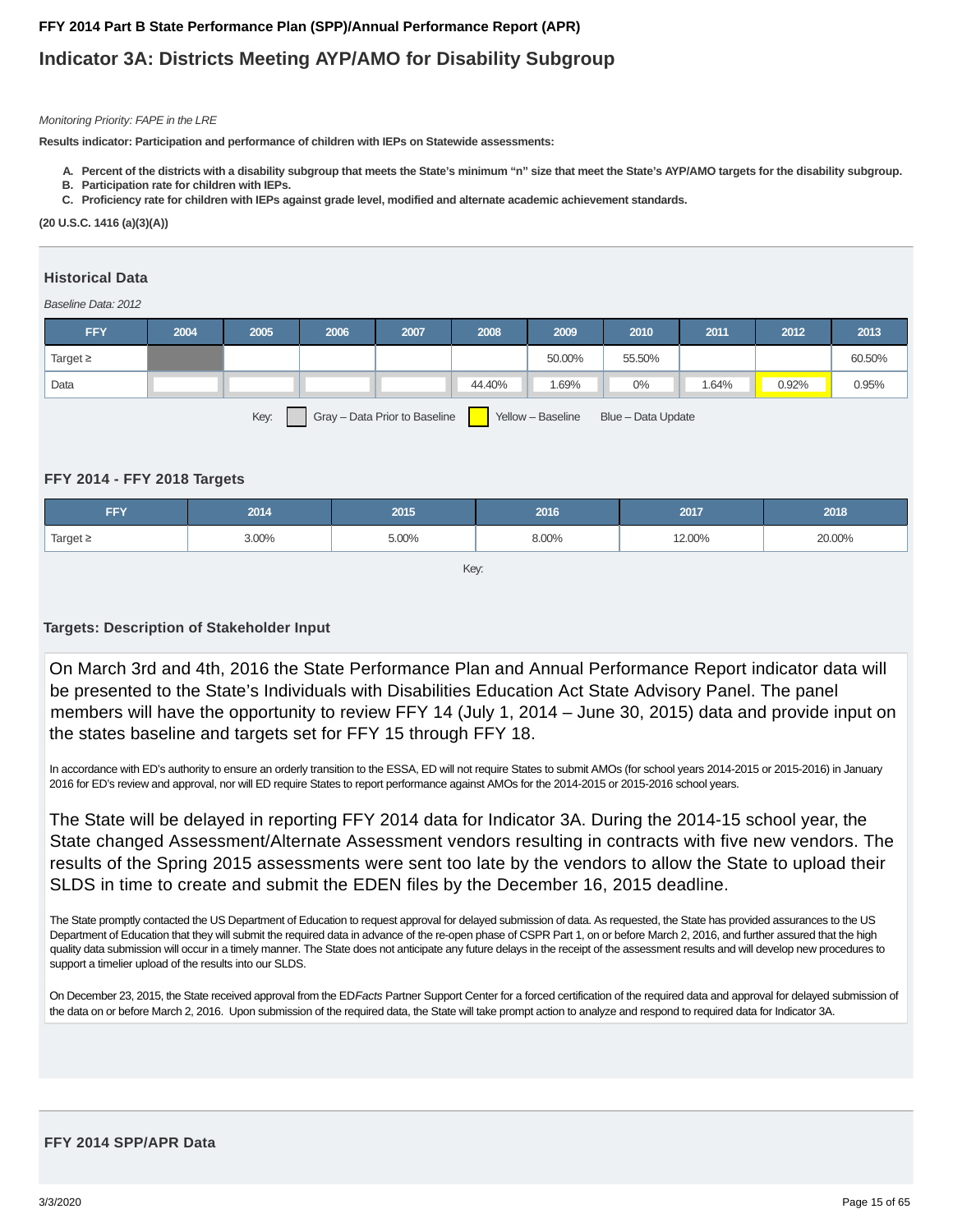## **Indicator 3A: Districts Meeting AYP/AMO for Disability Subgroup**

#### Monitoring Priority: FAPE in the LRE

**Results indicator: Participation and performance of children with IEPs on Statewide assessments:**

- **A. Percent of the districts with a disability subgroup that meets the State's minimum "n" size that meet the State's AYP/AMO targets for the disability subgroup.**
- **B. Participation rate for children with IEPs.**
- **C. Proficiency rate for children with IEPs against grade level, modified and alternate academic achievement standards.**

**(20 U.S.C. 1416 (a)(3)(A))**

#### **Historical Data**

#### Baseline Data: 2012

| <b>FFY</b>                                                                       | 2004 | 2005 | 2006 | 2007 | 2008   | 2009   | 2010   | 2011  | 2012  | 2013   |
|----------------------------------------------------------------------------------|------|------|------|------|--------|--------|--------|-------|-------|--------|
| Target $\geq$                                                                    |      |      |      |      |        | 50.00% | 55.50% |       |       | 60.50% |
| Data                                                                             |      |      |      |      | 44.40% | .69%   | 0%     | 1.64% | 0.92% | 0.95%  |
| Key:<br>Gray - Data Prior to Baseline<br>Yellow - Baseline<br>Blue - Data Update |      |      |      |      |        |        |        |       |       |        |

#### **FFY 2014 - FFY 2018 Targets**

| <b>FFY</b>    | 2014  | 2015  | 2016  | 2017   | 2018   |
|---------------|-------|-------|-------|--------|--------|
| Target $\geq$ | 3.00% | 5.00% | 8.00% | 12.00% | 20.00% |

Key:

#### **Targets: Description of Stakeholder Input**

On March 3rd and 4th, 2016 the State Performance Plan and Annual Performance Report indicator data will be presented to the State's Individuals with Disabilities Education Act State Advisory Panel. The panel members will have the opportunity to review FFY 14 (July 1, 2014 – June 30, 2015) data and provide input on the states baseline and targets set for FFY 15 through FFY 18.

In accordance with ED's authority to ensure an orderly transition to the ESSA, ED will not require States to submit AMOs (for school years 2014-2015 or 2015-2016) in January 2016 for ED's review and approval, nor will ED require States to report performance against AMOs for the 2014-2015 or 2015-2016 school years.

The State will be delayed in reporting FFY 2014 data for Indicator 3A. During the 2014-15 school year, the State changed Assessment/Alternate Assessment vendors resulting in contracts with five new vendors. The results of the Spring 2015 assessments were sent too late by the vendors to allow the State to upload their SLDS in time to create and submit the EDEN files by the December 16, 2015 deadline.

The State promptly contacted the US Department of Education to request approval for delayed submission of data. As requested, the State has provided assurances to the US Department of Education that they will submit the required data in advance of the re-open phase of CSPR Part 1, on or before March 2, 2016, and further assured that the high quality data submission will occur in a timely manner. The State does not anticipate any future delays in the receipt of the assessment results and will develop new procedures to support a timelier upload of the results into our SLDS.

On December 23, 2015, the State received approval from the ED Facts Partner Support Center for a forced certification of the required data and approval for delayed submission of the data on or before March 2, 2016. Upon submission of the required data, the State will take prompt action to analyze and respond to required data for Indicator 3A.

#### **FFY 2014 SPP/APR Data**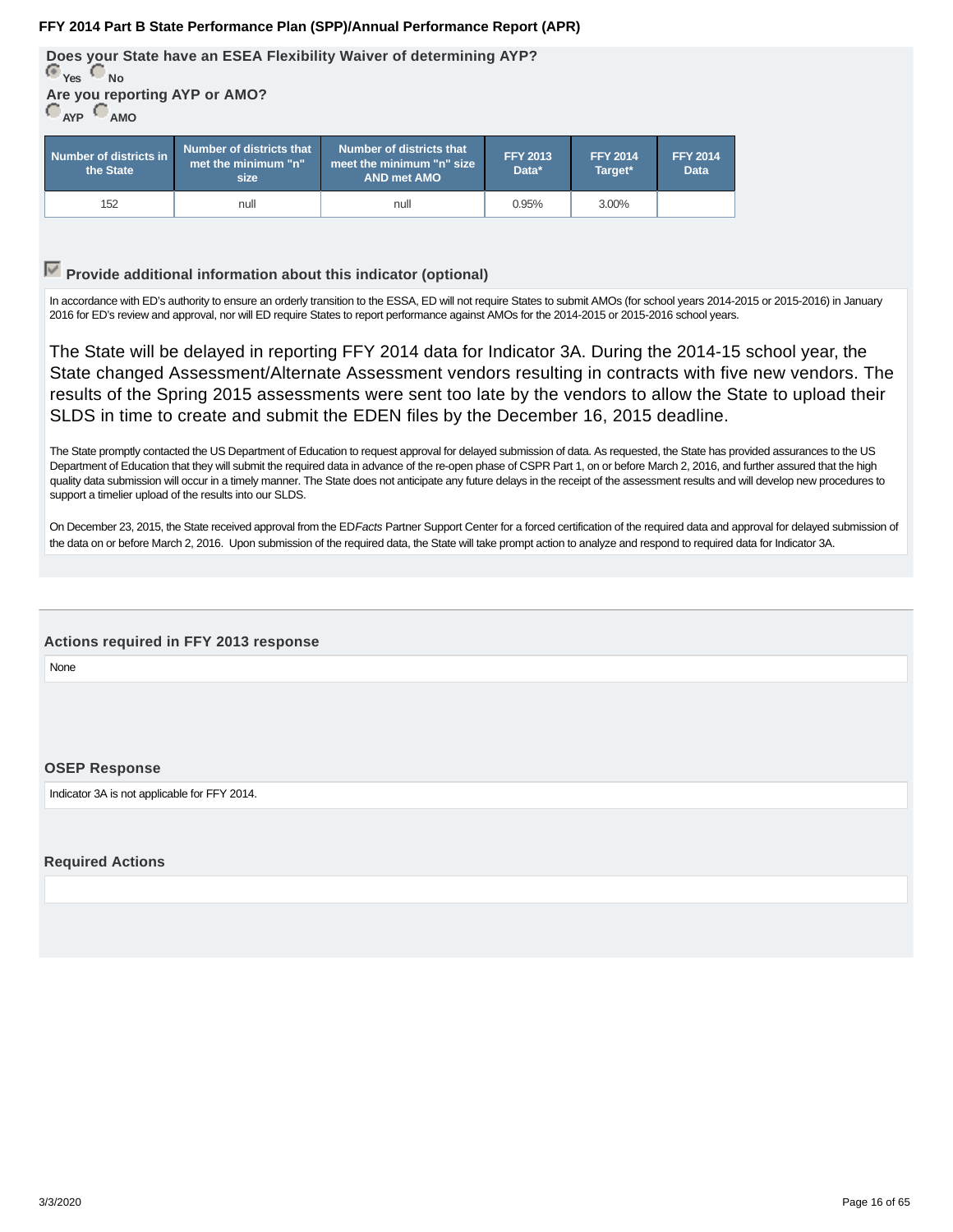<span id="page-15-0"></span>**Does your State have an ESEA Flexibility Waiver of determining AYP? Yes No Are you reporting AYP or AMO?**

**AYP AMO**

| Number of districts in<br>the State | Number of districts that<br>$\blacksquare$ met the minimum "n" $\blacksquare$<br>size | Number of districts that<br>meet the minimum "n" size<br><b>AND met AMO</b> | <b>FFY 2013</b><br>Data* | <b>FFY 2014</b><br>Target* | <b>FFY 2014</b><br><b>Data</b> |
|-------------------------------------|---------------------------------------------------------------------------------------|-----------------------------------------------------------------------------|--------------------------|----------------------------|--------------------------------|
| 152                                 | null                                                                                  | null                                                                        | 0.95%                    | 3.00%                      |                                |

## **Provide additional information about this indicator (optional)**

In accordance with ED's authority to ensure an orderly transition to the ESSA, ED will not require States to submit AMOs (for school years 2014-2015 or 2015-2016) in January 2016 for ED's review and approval, nor will ED require States to report performance against AMOs for the 2014-2015 or 2015-2016 school years.

The State will be delayed in reporting FFY 2014 data for Indicator 3A. During the 2014-15 school year, the State changed Assessment/Alternate Assessment vendors resulting in contracts with five new vendors. The results of the Spring 2015 assessments were sent too late by the vendors to allow the State to upload their SLDS in time to create and submit the EDEN files by the December 16, 2015 deadline.

The State promptly contacted the US Department of Education to request approval for delayed submission of data. As requested, the State has provided assurances to the US Department of Education that they will submit the required data in advance of the re-open phase of CSPR Part 1, on or before March 2, 2016, and further assured that the high quality data submission will occur in a timely manner. The State does not anticipate any future delays in the receipt of the assessment results and will develop new procedures to support a timelier upload of the results into our SLDS.

On December 23, 2015, the State received approval from the ED Facts Partner Support Center for a forced certification of the required data and approval for delayed submission of the data on or before March 2, 2016. Upon submission of the required data, the State will take prompt action to analyze and respond to required data for Indicator 3A.

#### **Actions required in FFY 2013 response**

None

#### **OSEP Response**

Indicator 3A is not applicable for FFY 2014.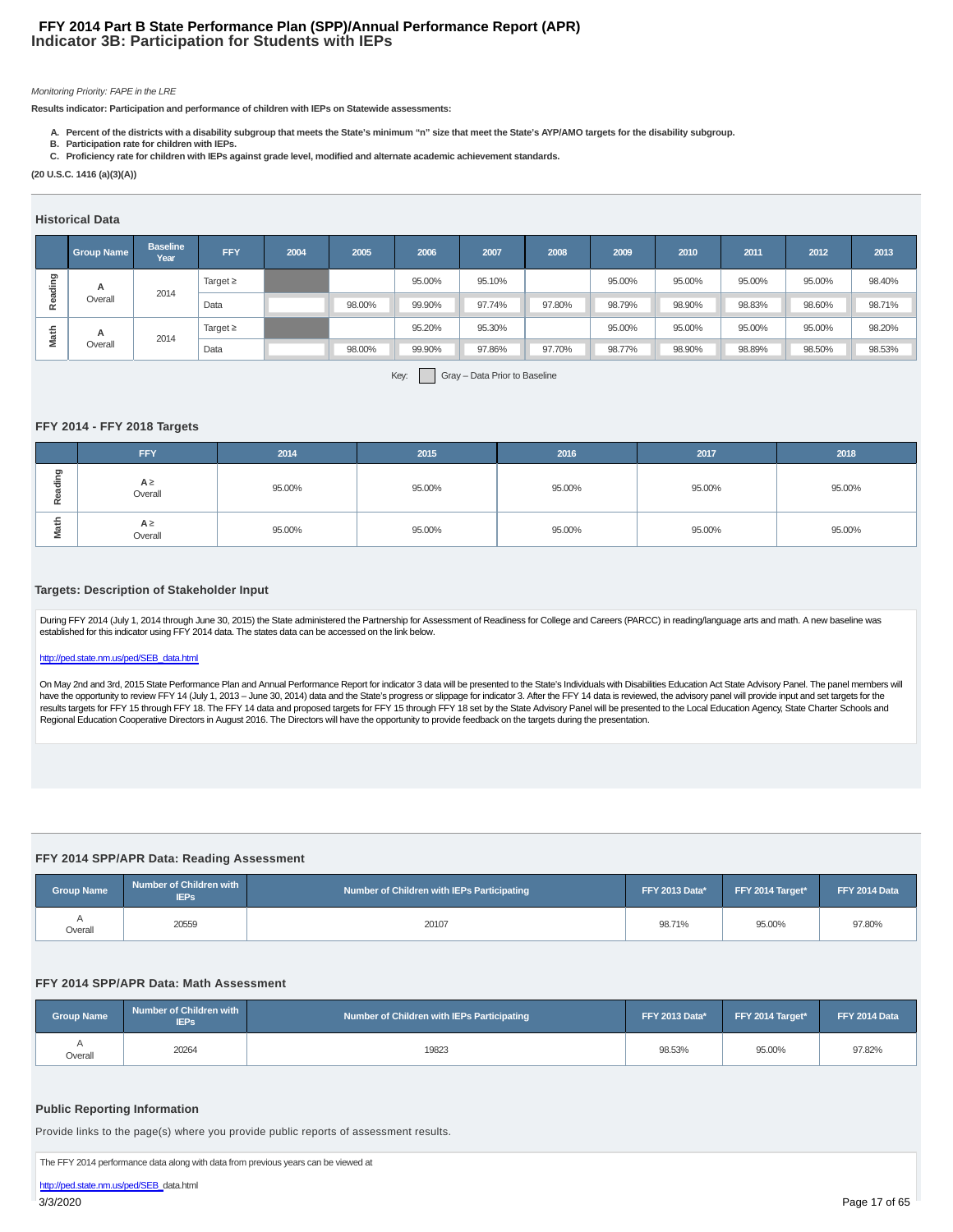#### **Indicator 3B: Participation for Students with IEPs FFY 2014 Part B State Performance Plan (SPP)/Annual Performance Report (APR)**

#### Monitoring Priority: FAPE in the LRE

**Results indicator: Participation and performance of children with IEPs on Statewide assessments:**

- **A. Percent of the districts with a disability subgroup that meets the State's minimum "n" size that meet the State's AYP/AMO targets for the disability subgroup.**
- **B. Participation rate for children with IEPs. C. Proficiency rate for children with IEPs against grade level, modified and alternate academic achievement standards.**
- **(20 U.S.C. 1416 (a)(3)(A))**

#### **Historical Data**

|         | <b>Group Name</b> | <b>Baseline</b><br>Year | <b>FFY</b>    | 2004 | 2005   | 2006   | 2007   | 2008   | 2009   | 2010   | 2011   | 2012   | 2013   |
|---------|-------------------|-------------------------|---------------|------|--------|--------|--------|--------|--------|--------|--------|--------|--------|
| ರಾ<br>훔 | A                 | 2014                    | Target $\geq$ |      |        | 95.00% | 95.10% |        | 95.00% | 95.00% | 95.00% | 95.00% | 98.40% |
| ۵ë      | Overall           |                         | Data          |      | 98.00% | 99.90% | 97.74% | 97.80% | 98.79% | 98.90% | 98.83% | 98.60% | 98.71% |
| a       | A                 |                         | Target $\geq$ |      |        | 95.20% | 95.30% |        | 95.00% | 95.00% | 95.00% | 95.00% | 98.20% |
| Ξ       | Overall           | 2014                    | Data          |      | 98.00% | 99.90% | 97.86% | 97.70% | 98.77% | 98.90% | 98.89% | 98.50% | 98.53% |

#### **FFY 2014 - FFY 2018 Targets**

| Reading                                                                                                                                                                                                                                                                                                                                                                                                                                                                                                                                                                                                                                                                                                                                                                                                                                                                                                                                                                                                                                                                                                                                                                                                                       | А                 |                                               | Target $\geq$                             |        |        | 95.00%                                     | 95.10%                        |        | 95.00% | 95.00%         | 95.00%           | 95.00% | 98.40%        |
|-------------------------------------------------------------------------------------------------------------------------------------------------------------------------------------------------------------------------------------------------------------------------------------------------------------------------------------------------------------------------------------------------------------------------------------------------------------------------------------------------------------------------------------------------------------------------------------------------------------------------------------------------------------------------------------------------------------------------------------------------------------------------------------------------------------------------------------------------------------------------------------------------------------------------------------------------------------------------------------------------------------------------------------------------------------------------------------------------------------------------------------------------------------------------------------------------------------------------------|-------------------|-----------------------------------------------|-------------------------------------------|--------|--------|--------------------------------------------|-------------------------------|--------|--------|----------------|------------------|--------|---------------|
|                                                                                                                                                                                                                                                                                                                                                                                                                                                                                                                                                                                                                                                                                                                                                                                                                                                                                                                                                                                                                                                                                                                                                                                                                               | Overall           | 2014                                          | Data                                      |        | 98.00% | 99.90%                                     | 97.74%                        | 97.80% | 98.79% | 98.90%         | 98.83%           | 98.60% | 98.71%        |
|                                                                                                                                                                                                                                                                                                                                                                                                                                                                                                                                                                                                                                                                                                                                                                                                                                                                                                                                                                                                                                                                                                                                                                                                                               | А                 |                                               | Target $\geq$                             |        |        | 95.20%                                     | 95.30%                        |        | 95.00% | 95.00%         | 95.00%           | 95.00% | 98.20%        |
| Math                                                                                                                                                                                                                                                                                                                                                                                                                                                                                                                                                                                                                                                                                                                                                                                                                                                                                                                                                                                                                                                                                                                                                                                                                          | Overall           | 2014                                          | Data                                      |        | 98.00% | 99.90%                                     | 97.86%                        | 97.70% | 98.77% | 98.90%         | 98.89%           | 98.50% | 98.53%        |
|                                                                                                                                                                                                                                                                                                                                                                                                                                                                                                                                                                                                                                                                                                                                                                                                                                                                                                                                                                                                                                                                                                                                                                                                                               |                   | FFY 2014 - FFY 2018 Targets<br><b>FFY</b>     |                                           | 2014   |        | Key:<br>2015                               | Gray - Data Prior to Baseline | 2016   |        | 2017           |                  |        | 2018          |
|                                                                                                                                                                                                                                                                                                                                                                                                                                                                                                                                                                                                                                                                                                                                                                                                                                                                                                                                                                                                                                                                                                                                                                                                                               |                   |                                               |                                           |        |        |                                            |                               |        |        |                |                  |        |               |
| Reading                                                                                                                                                                                                                                                                                                                                                                                                                                                                                                                                                                                                                                                                                                                                                                                                                                                                                                                                                                                                                                                                                                                                                                                                                       |                   | $A \geq$<br>Overall                           |                                           | 95.00% |        | 95.00%                                     |                               | 95.00% |        | 95.00%         |                  |        | 95.00%        |
| Math                                                                                                                                                                                                                                                                                                                                                                                                                                                                                                                                                                                                                                                                                                                                                                                                                                                                                                                                                                                                                                                                                                                                                                                                                          |                   | $A \geq$<br>Overall                           |                                           | 95.00% |        | 95.00%                                     |                               | 95.00% |        | 95.00%         |                  |        | 95.00%        |
| During FFY 2014 (July 1, 2014 through June 30, 2015) the State administered the Partnership for Assessment of Readiness for College and Careers (PARCC) in reading/language arts and math. A new baseline was<br>established for this indicator using FFY 2014 data. The states data can be accessed on the link below.<br>http://ped.state.nm.us/ped/SEB_data.html<br>On May 2nd and 3rd, 2015 State Performance Plan and Annual Performance Report for indicator 3 data will be presented to the State's Individuals with Disabilities Education Act State Advisory Panel. The panel members will<br>have the opportunity to review FFY 14 (July 1, 2013 - June 30, 2014) data and the State's progress or slippage for indicator 3. After the FFY 14 data is reviewed, the advisory panel will provide input and set targets for t<br>results targets for FFY 15 through FFY 18. The FFY 14 data and proposed targets for FFY 15 through FFY 18 set by the State Advisory Panel will be presented to the Local Education Agency, State Charter Schools and<br>Regional Education Cooperative Directors in August 2016. The Directors will have the opportunity to provide feedback on the targets during the presentation. |                   |                                               |                                           |        |        |                                            |                               |        |        |                |                  |        |               |
|                                                                                                                                                                                                                                                                                                                                                                                                                                                                                                                                                                                                                                                                                                                                                                                                                                                                                                                                                                                                                                                                                                                                                                                                                               |                   |                                               |                                           |        |        |                                            |                               |        |        |                |                  |        |               |
|                                                                                                                                                                                                                                                                                                                                                                                                                                                                                                                                                                                                                                                                                                                                                                                                                                                                                                                                                                                                                                                                                                                                                                                                                               |                   |                                               | FFY 2014 SPP/APR Data: Reading Assessment |        |        |                                            |                               |        |        |                |                  |        |               |
|                                                                                                                                                                                                                                                                                                                                                                                                                                                                                                                                                                                                                                                                                                                                                                                                                                                                                                                                                                                                                                                                                                                                                                                                                               | <b>Group Name</b> | Number of Children with<br><b>IEPs</b>        |                                           |        |        | Number of Children with IEPs Participating |                               |        |        | FFY 2013 Data* | FFY 2014 Target* |        | FFY 2014 Data |
|                                                                                                                                                                                                                                                                                                                                                                                                                                                                                                                                                                                                                                                                                                                                                                                                                                                                                                                                                                                                                                                                                                                                                                                                                               | Α<br>Overall      | 20559                                         |                                           |        |        | 20107                                      |                               |        |        | 98.71%         | 95.00%           |        | 97.80%        |
|                                                                                                                                                                                                                                                                                                                                                                                                                                                                                                                                                                                                                                                                                                                                                                                                                                                                                                                                                                                                                                                                                                                                                                                                                               |                   |                                               | FFY 2014 SPP/APR Data: Math Assessment    |        |        |                                            |                               |        |        |                |                  |        |               |
|                                                                                                                                                                                                                                                                                                                                                                                                                                                                                                                                                                                                                                                                                                                                                                                                                                                                                                                                                                                                                                                                                                                                                                                                                               | Group Name        | <b>Number of Children with</b><br><b>IEPs</b> |                                           |        |        | Number of Children with IEPs Participating |                               |        |        | FFY 2013 Data* | FFY 2014 Target* |        | FFY 2014 Data |
|                                                                                                                                                                                                                                                                                                                                                                                                                                                                                                                                                                                                                                                                                                                                                                                                                                                                                                                                                                                                                                                                                                                                                                                                                               | Α<br>Overall      | 20264                                         |                                           |        |        | 19823                                      |                               |        |        | 98.53%         | 95.00%           |        | 97.82%        |

#### **Targets: Description of Stakeholder Input**

#### http://ped.state.nm.us/ped/SEB\_data.html

#### **FFY 2014 SPP/APR Data: Reading Assessment**

| Group Name | Number of Children with<br><b>IEPs</b> | Number of Children with IEPs Participating | <b>FFY 2013 Data*</b> | FFY 2014 Target* | FFY 2014 Data |
|------------|----------------------------------------|--------------------------------------------|-----------------------|------------------|---------------|
| Overall    | 20559                                  | 20107                                      | 98.71%                | 95.00%           | 97.80%        |

#### **FFY 2014 SPP/APR Data: Math Assessment**

| <b>Group Name</b> | Number of Children with<br><b>IEPs</b> | Number of Children with IEPs Participating | <b>FFY 2013 Data*</b> | FFY 2014 Target* | FFY 2014 Data |
|-------------------|----------------------------------------|--------------------------------------------|-----------------------|------------------|---------------|
| Overall           | 20264                                  | 19823                                      | 98.53%                | 95.00%           | 97.82%        |

#### **Public Reporting Information**

http://ped.state.nm.us/ped/SEB\_data.html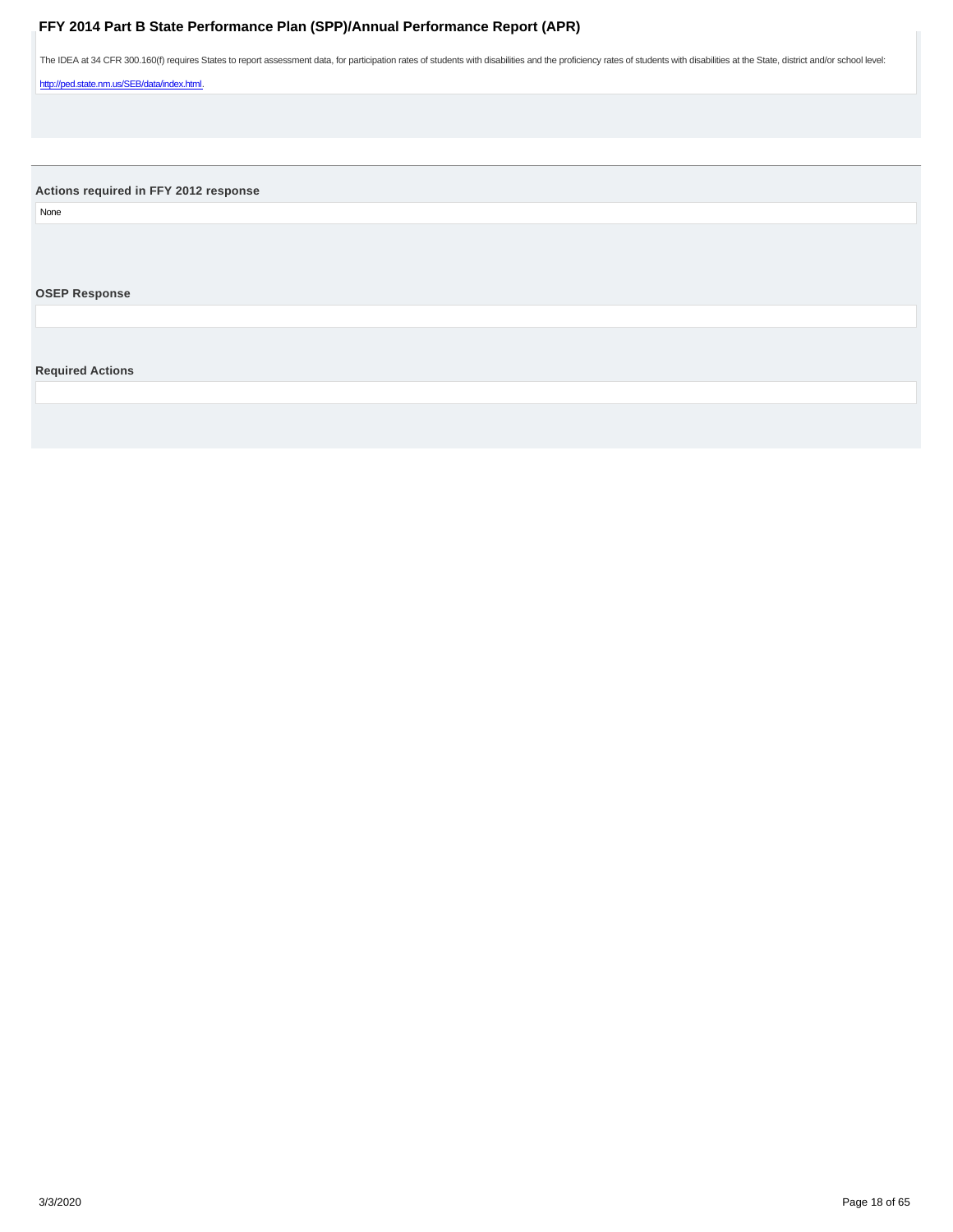<span id="page-17-0"></span>The IDEA at 34 CFR 300.160(f) requires States to report assessment data, for participation rates of students with disabilities and the proficiency rates of students with disabilities at the State, district and/or school le

http://ped.state.nm.us/SEB/data/index.html.

**Actions required in FFY 2012 response**

None

**OSEP Response**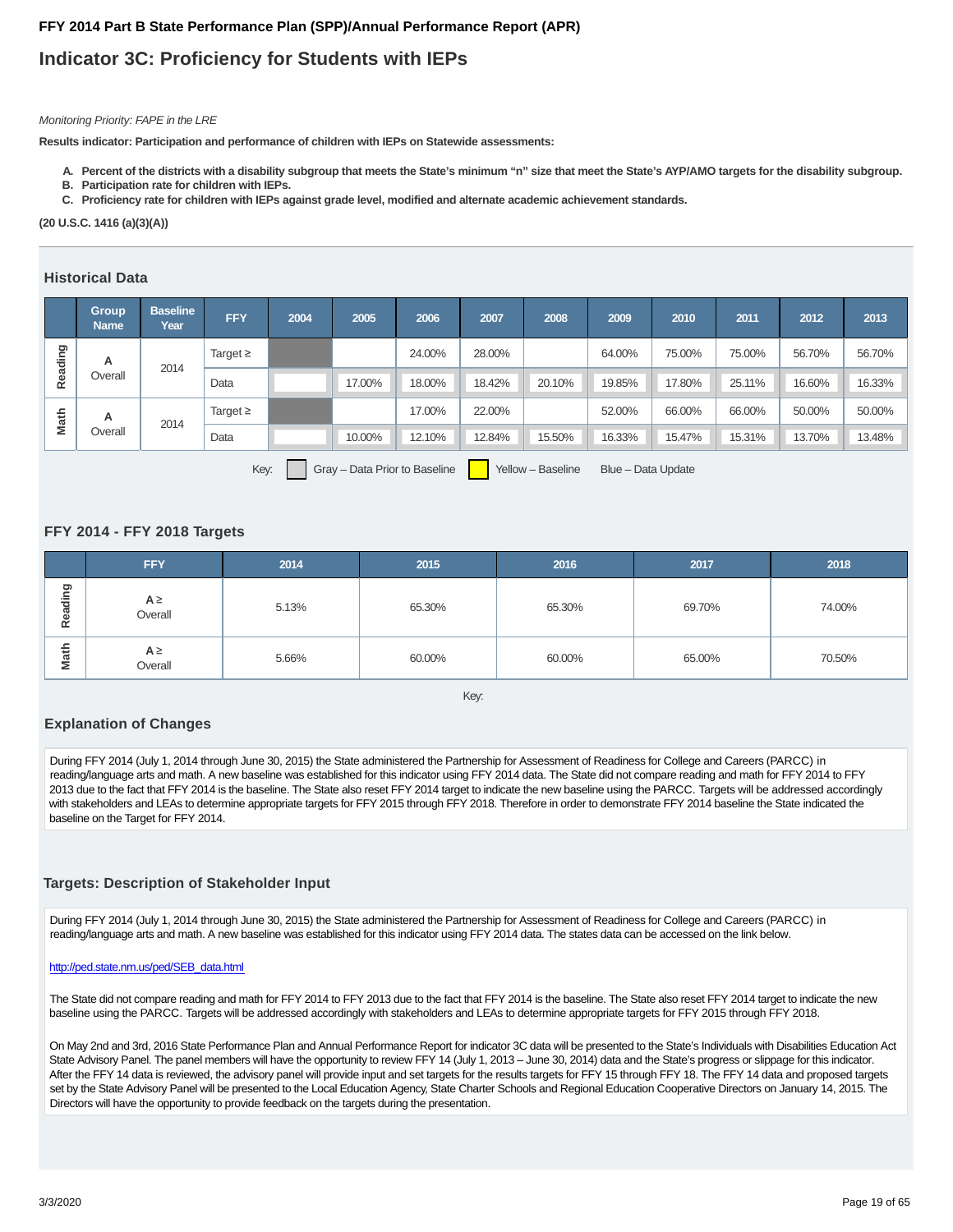## **Indicator 3C: Proficiency for Students with IEPs**

#### Monitoring Priority: FAPE in the LRE

**Results indicator: Participation and performance of children with IEPs on Statewide assessments:**

- **A. Percent of the districts with a disability subgroup that meets the State's minimum "n" size that meet the State's AYP/AMO targets for the disability subgroup.**
- **B. Participation rate for children with IEPs.**
- **C. Proficiency rate for children with IEPs against grade level, modified and alternate academic achievement standards.**

**(20 U.S.C. 1416 (a)(3)(A))**

#### **Historical Data**

|         | <b>Group</b><br><b>Name</b>                                                      | <b>Baseline</b><br>Year | <b>FFY</b>    | 2004 | 2005   | 2006   | 2007   | 2008   | 2009   | 2010   | 2011   | 2012   | 2013   |
|---------|----------------------------------------------------------------------------------|-------------------------|---------------|------|--------|--------|--------|--------|--------|--------|--------|--------|--------|
| Reading | A                                                                                | 2014                    | Target $\geq$ |      |        | 24.00% | 28.00% |        | 64.00% | 75.00% | 75.00% | 56.70% | 56.70% |
|         | Overall                                                                          |                         | Data          |      | 17.00% | 18.00% | 18.42% | 20.10% | 19.85% | 17.80% | 25.11% | 16.60% | 16.33% |
| Math    | A                                                                                | 2014                    | Target $\geq$ |      |        | 17.00% | 22.00% |        | 52.00% | 66.00% | 66.00% | 50.00% | 50.00% |
|         | Overall                                                                          |                         | Data          |      | 10.00% | 12.10% | 12.84% | 15.50% | 16.33% | 15.47% | 15.31% | 13.70% | 13.48% |
|         | Key:<br>Gray - Data Prior to Baseline<br>Yellow - Baseline<br>Blue - Data Update |                         |               |      |        |        |        |        |        |        |        |        |        |

#### **FFY 2014 - FFY 2018 Targets**

|                                                                                                                                                                                                                                                                                                                                                                                                                                                                                                                                                                                                                                                                                                                                                                                | А                                                                                                                                                                                                                                                                                                                                                                                                                                                                                                                                                                                                                                                                                                                                                                                                                                          |      | Target $\geq$ |  |        | 24.00% | 28.00% |        | 64.00% | 75.00% | 75.00% | 56.70% | 56.70% |
|--------------------------------------------------------------------------------------------------------------------------------------------------------------------------------------------------------------------------------------------------------------------------------------------------------------------------------------------------------------------------------------------------------------------------------------------------------------------------------------------------------------------------------------------------------------------------------------------------------------------------------------------------------------------------------------------------------------------------------------------------------------------------------|--------------------------------------------------------------------------------------------------------------------------------------------------------------------------------------------------------------------------------------------------------------------------------------------------------------------------------------------------------------------------------------------------------------------------------------------------------------------------------------------------------------------------------------------------------------------------------------------------------------------------------------------------------------------------------------------------------------------------------------------------------------------------------------------------------------------------------------------|------|---------------|--|--------|--------|--------|--------|--------|--------|--------|--------|--------|
| Reading                                                                                                                                                                                                                                                                                                                                                                                                                                                                                                                                                                                                                                                                                                                                                                        | Overall                                                                                                                                                                                                                                                                                                                                                                                                                                                                                                                                                                                                                                                                                                                                                                                                                                    | 2014 | Data          |  | 17.00% | 18.00% | 18.42% | 20.10% | 19.85% | 17.80% | 25.11% | 16.60% | 16.33% |
| Math                                                                                                                                                                                                                                                                                                                                                                                                                                                                                                                                                                                                                                                                                                                                                                           | А                                                                                                                                                                                                                                                                                                                                                                                                                                                                                                                                                                                                                                                                                                                                                                                                                                          | 2014 | Target $\geq$ |  |        | 17.00% | 22.00% |        | 52.00% | 66.00% | 66.00% | 50.00% | 50.00% |
|                                                                                                                                                                                                                                                                                                                                                                                                                                                                                                                                                                                                                                                                                                                                                                                | Overall                                                                                                                                                                                                                                                                                                                                                                                                                                                                                                                                                                                                                                                                                                                                                                                                                                    |      | Data          |  | 10.00% | 12.10% | 12.84% | 15.50% | 16.33% | 15.47% | 15.31% | 13.70% | 13.48% |
|                                                                                                                                                                                                                                                                                                                                                                                                                                                                                                                                                                                                                                                                                                                                                                                | Gray - Data Prior to Baseline<br>Yellow - Baseline<br>Blue - Data Update<br>Key:<br>FFY 2014 - FFY 2018 Targets                                                                                                                                                                                                                                                                                                                                                                                                                                                                                                                                                                                                                                                                                                                            |      |               |  |        |        |        |        |        |        |        |        |        |
|                                                                                                                                                                                                                                                                                                                                                                                                                                                                                                                                                                                                                                                                                                                                                                                | <b>FFY</b><br>2014<br>2015<br>2016<br>2017<br>2018                                                                                                                                                                                                                                                                                                                                                                                                                                                                                                                                                                                                                                                                                                                                                                                         |      |               |  |        |        |        |        |        |        |        |        |        |
| Reading                                                                                                                                                                                                                                                                                                                                                                                                                                                                                                                                                                                                                                                                                                                                                                        | $A \ge$<br>5.13%<br>65.30%<br>65.30%<br>69.70%<br>74.00%<br>Overall                                                                                                                                                                                                                                                                                                                                                                                                                                                                                                                                                                                                                                                                                                                                                                        |      |               |  |        |        |        |        |        |        |        |        |        |
| Math                                                                                                                                                                                                                                                                                                                                                                                                                                                                                                                                                                                                                                                                                                                                                                           | $A \ge$<br>5.66%<br>60.00%<br>60.00%<br>65.00%<br>70.50%<br>Overall                                                                                                                                                                                                                                                                                                                                                                                                                                                                                                                                                                                                                                                                                                                                                                        |      |               |  |        |        |        |        |        |        |        |        |        |
| Key:<br><b>Explanation of Changes</b><br>During FFY 2014 (July 1, 2014 through June 30, 2015) the State administered the Partnership for Assessment of Readiness for College and Careers (PARCC) in<br>reading/language arts and math. A new baseline was established for this indicator using FFY 2014 data. The State did not compare reading and math for FFY 2014 to FFY<br>2013 due to the fact that FFY 2014 is the baseline. The State also reset FFY 2014 target to indicate the new baseline using the PARCC. Targets will be addressed accordingly<br>with stakeholders and LEAs to determine appropriate targets for FFY 2015 through FFY 2018. Therefore in order to demonstrate FFY 2014 baseline the State indicated the<br>baseline on the Target for FFY 2014. |                                                                                                                                                                                                                                                                                                                                                                                                                                                                                                                                                                                                                                                                                                                                                                                                                                            |      |               |  |        |        |        |        |        |        |        |        |        |
|                                                                                                                                                                                                                                                                                                                                                                                                                                                                                                                                                                                                                                                                                                                                                                                | <b>Targets: Description of Stakeholder Input</b>                                                                                                                                                                                                                                                                                                                                                                                                                                                                                                                                                                                                                                                                                                                                                                                           |      |               |  |        |        |        |        |        |        |        |        |        |
| During FFY 2014 (July 1, 2014 through June 30, 2015) the State administered the Partnership for Assessment of Readiness for College and Careers (PARCC) in<br>reading/language arts and math. A new baseline was established for this indicator using FFY 2014 data. The states data can be accessed on the link below.                                                                                                                                                                                                                                                                                                                                                                                                                                                        |                                                                                                                                                                                                                                                                                                                                                                                                                                                                                                                                                                                                                                                                                                                                                                                                                                            |      |               |  |        |        |        |        |        |        |        |        |        |
|                                                                                                                                                                                                                                                                                                                                                                                                                                                                                                                                                                                                                                                                                                                                                                                | http://ped.state.nm.us/ped/SEB_data.html                                                                                                                                                                                                                                                                                                                                                                                                                                                                                                                                                                                                                                                                                                                                                                                                   |      |               |  |        |        |        |        |        |        |        |        |        |
| The State did not compare reading and math for FFY 2014 to FFY 2013 due to the fact that FFY 2014 is the baseline. The State also reset FFY 2014 target to indicate the new<br>baseline using the PARCC. Targets will be addressed accordingly with stakeholders and LEAs to determine appropriate targets for FFY 2015 through FFY 2018.                                                                                                                                                                                                                                                                                                                                                                                                                                      |                                                                                                                                                                                                                                                                                                                                                                                                                                                                                                                                                                                                                                                                                                                                                                                                                                            |      |               |  |        |        |        |        |        |        |        |        |        |
|                                                                                                                                                                                                                                                                                                                                                                                                                                                                                                                                                                                                                                                                                                                                                                                | On May 2nd and 3rd, 2016 State Performance Plan and Annual Performance Report for indicator 3C data will be presented to the State's Individuals with Disabilities Education Act<br>State Advisory Panel. The panel members will have the opportunity to review FFY 14 (July 1, 2013 - June 30, 2014) data and the State's progress or slippage for this indicator.<br>After the FFY 14 data is reviewed, the advisory panel will provide input and set targets for the results targets for FFY 15 through FFY 18. The FFY 14 data and proposed targets<br>set by the State Advisory Panel will be presented to the Local Education Agency, State Charter Schools and Regional Education Cooperative Directors on January 14, 2015. The<br>Directors will have the opportunity to provide feedback on the targets during the presentation. |      |               |  |        |        |        |        |        |        |        |        |        |

#### **Explanation of Changes**

#### **Targets: Description of Stakeholder Input**

#### http://ped.state.nm.us/ped/SEB\_data.html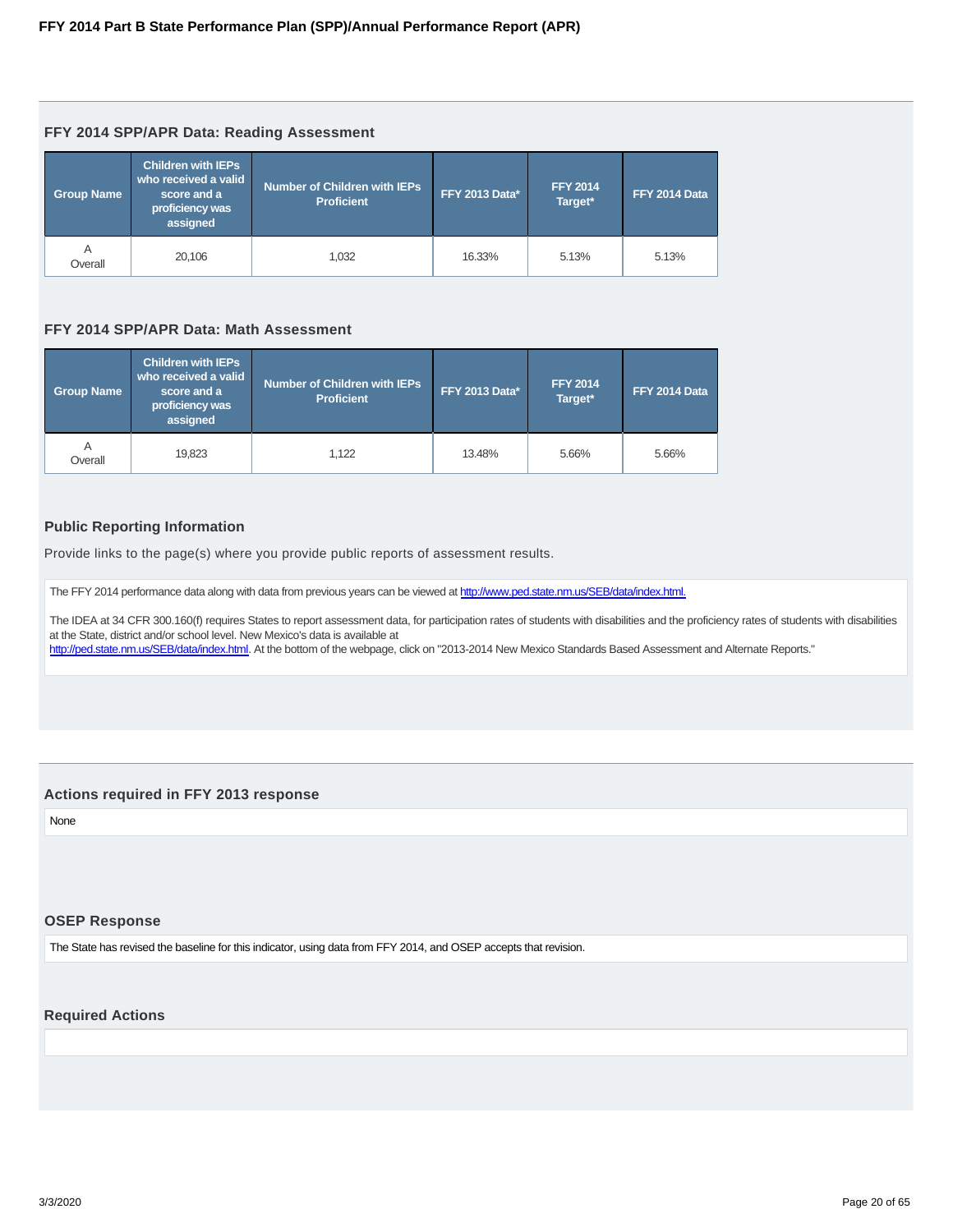#### <span id="page-19-0"></span>**FFY 2014 SPP/APR Data: Reading Assessment**

| <b>Group Name</b> | <b>Children with IEPs</b><br>who received a valid<br>score and a<br>proficiency was<br>assigned | <b>Number of Children with IEPs</b><br><b>Proficient</b> | <b>FFY 2013 Data*</b> | <b>FFY 2014</b><br>Target* | FFY 2014 Data |
|-------------------|-------------------------------------------------------------------------------------------------|----------------------------------------------------------|-----------------------|----------------------------|---------------|
| A<br>Overall      | 20.106                                                                                          | 1.032                                                    | 16.33%                | 5.13%                      | 5.13%         |

#### **FFY 2014 SPP/APR Data: Math Assessment**

| <b>Group Name</b> | <b>Children with IEPs</b><br>who received a valid<br>score and a<br>proficiency was<br>assigned | <b>Number of Children with IEPs</b><br><b>FFY 2013 Data*</b><br><b>Proficient</b> |        | <b>FFY 2014</b><br>Target* | FFY 2014 Data |
|-------------------|-------------------------------------------------------------------------------------------------|-----------------------------------------------------------------------------------|--------|----------------------------|---------------|
| A<br>Overall      | 19.823                                                                                          | 1.122                                                                             | 13.48% | 5.66%                      | 5.66%         |

#### **Public Reporting Information**

Provide links to the page(s) where you provide public reports of assessment results.

The FFY 2014 performance data along with data from previous years can be viewed at http://www.ped.state.nm.us/SEB/data/index.html.

The IDEA at 34 CFR 300.160(f) requires States to report assessment data, for participation rates of students with disabilities and the proficiency rates of students with disabilities at the State, district and/or school level. New Mexico's data is available at

http://ped.state.nm.us/SEB/data/index.html. At the bottom of the webpage, click on "2013-2014 New Mexico Standards Based Assessment and Alternate Reports."

#### **Actions required in FFY 2013 response**

None

#### **OSEP Response**

The State has revised the baseline for this indicator, using data from FFY 2014, and OSEP accepts that revision.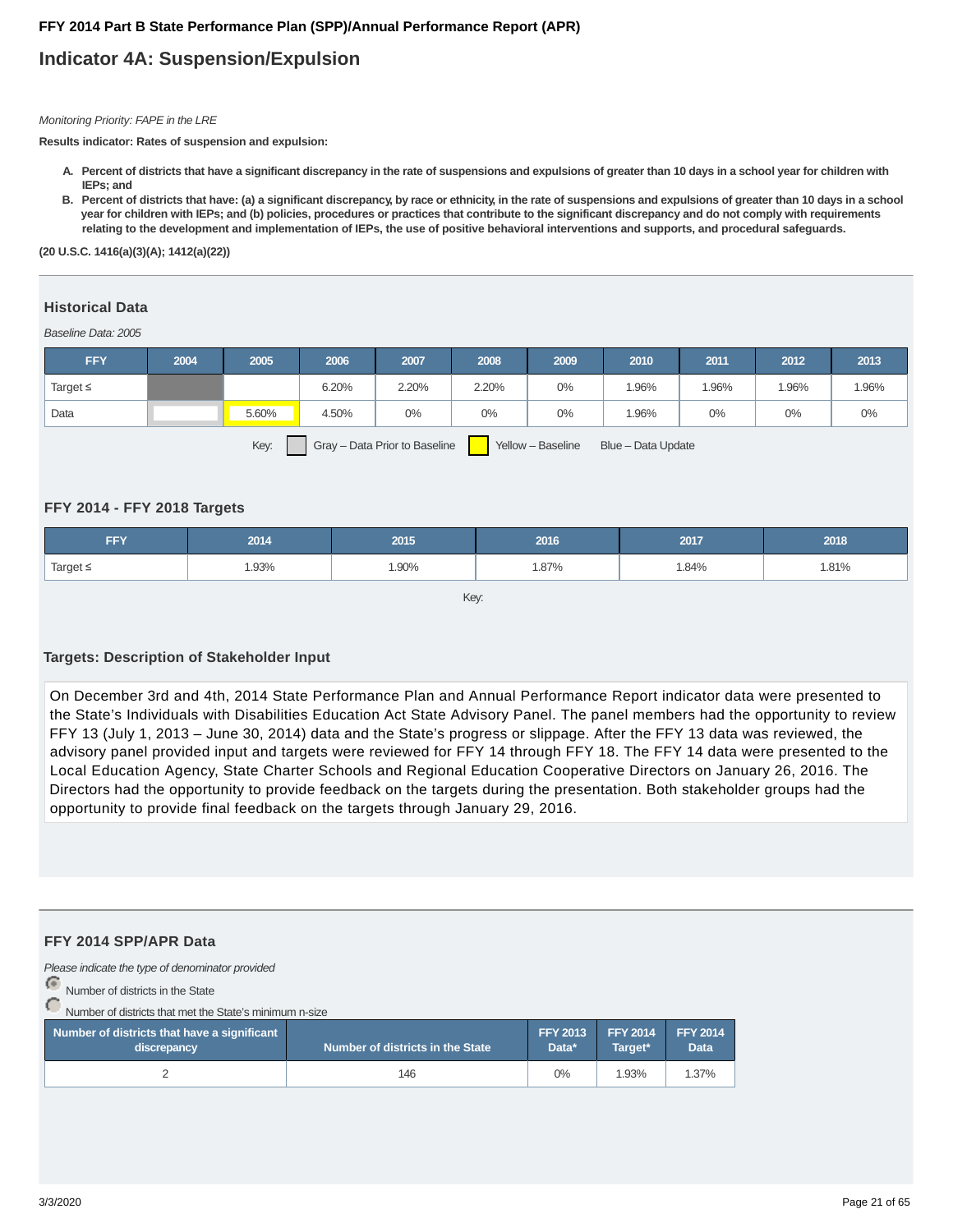## **Indicator 4A: Suspension/Expulsion**

#### Monitoring Priority: FAPE in the LRE

**Results indicator: Rates of suspension and expulsion:**

- **Percent of districts that have a significant discrepancy in the rate of suspensions and expulsions of greater than 10 days in a school year for children with A. IEPs; and**
- **Percent of districts that have: (a) a significant discrepancy, by race or ethnicity, in the rate of suspensions and expulsions of greater than 10 days in a school B. year for children with IEPs; and (b) policies, procedures or practices that contribute to the significant discrepancy and do not comply with requirements relating to the development and implementation of IEPs, the use of positive behavioral interventions and supports, and procedural safeguards.**

**(20 U.S.C. 1416(a)(3)(A); 1412(a)(22))**

#### Baseline Data: 2005 **Historical Data**

| <b>FFY</b>    | 2004 | 2005  | 2006  | 2007  | 2008  | 2009 | 2010  | 2011  | 2012  | 2013  |
|---------------|------|-------|-------|-------|-------|------|-------|-------|-------|-------|
| Target $\leq$ |      |       | 6.20% | 2.20% | 2.20% | 0%   | .96%  | 1.96% | 1.96% | 1.96% |
| Data          |      | 5.60% | 4.50% | $0\%$ | $0\%$ | 0%   | 1.96% | 0%    | 0%    | $0\%$ |
|               |      |       |       |       |       |      |       |       |       |       |

Key: Gray – Data Prior to Baseline Yellow – Baseline Blue – Data Update

#### **FFY 2014 - FFY 2018 Targets**

| <b>FFY</b>    | 2014 | 2015  | 2016 | 2017  | 2018  |
|---------------|------|-------|------|-------|-------|
| Target $\leq$ | .93% | 1.90% | 87%، | 1.84% | 1.81% |

Key:

#### **Targets: Description of Stakeholder Input**

On December 3rd and 4th, 2014 State Performance Plan and Annual Performance Report indicator data were presented to the State's Individuals with Disabilities Education Act State Advisory Panel. The panel members had the opportunity to review FFY 13 (July 1, 2013 – June 30, 2014) data and the State's progress or slippage. After the FFY 13 data was reviewed, the advisory panel provided input and targets were reviewed for FFY 14 through FFY 18. The FFY 14 data were presented to the Local Education Agency, State Charter Schools and Regional Education Cooperative Directors on January 26, 2016. The Directors had the opportunity to provide feedback on the targets during the presentation. Both stakeholder groups had the opportunity to provide final feedback on the targets through January 29, 2016.

#### **FFY 2014 SPP/APR Data**

Please indicate the type of denominator provided

Number of districts in the State

Number of districts that met the State's minimum n-size

| Number of districts that have a significant<br>discrepancy | l Number of districts in the State $^{\sf t}$ | <b>FFY 2013 FFY 2014</b><br>Data* | Target* | <b>FFY 2014</b><br><b>Data</b> |
|------------------------------------------------------------|-----------------------------------------------|-----------------------------------|---------|--------------------------------|
|                                                            | 146                                           | $0\%$                             | 1.93%   | 1.37%                          |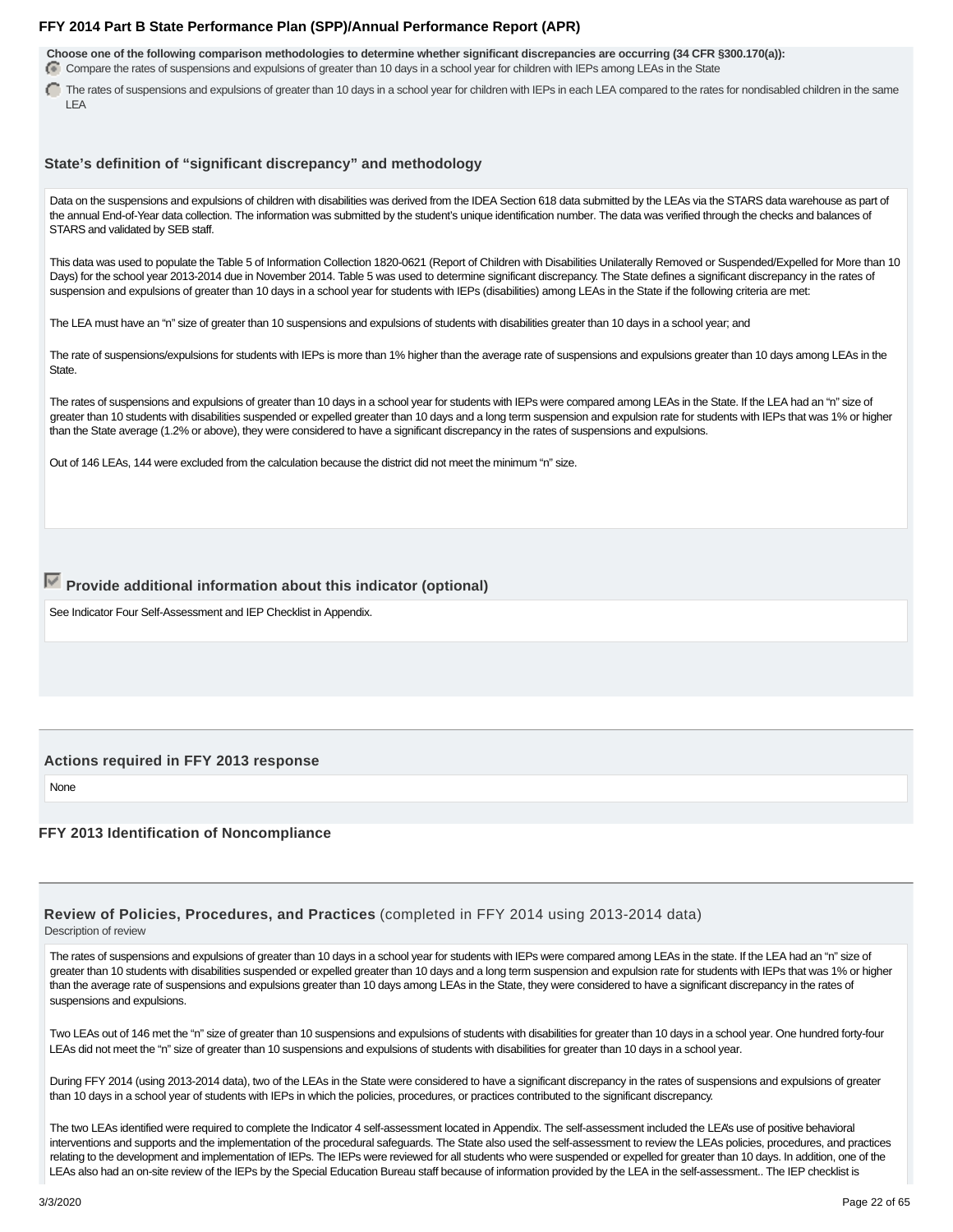**Choose one of the following comparison methodologies to determine whether significant discrepancies are occurring (34 CFR §300.170(a)):** Compare the rates of suspensions and expulsions of greater than 10 days in a school year for children with IEPs among LEAs in the State

The rates of suspensions and expulsions of greater than 10 days in a school year for children with IEPs in each LEA compared to the rates for nondisabled children in the same LEA

#### **State's definition of "significant discrepancy" and methodology**

Data on the suspensions and expulsions of children with disabilities was derived from the IDEA Section 618 data submitted by the LEAs via the STARS data warehouse as part of the annual End-of-Year data collection. The information was submitted by the student's unique identification number. The data was verified through the checks and balances of STARS and validated by SEB staff.

This data was used to populate the Table 5 of Information Collection 1820-0621 (Report of Children with Disabilities Unilaterally Removed or Suspended/Expelled for More than 10 Days) for the school year 2013-2014 due in November 2014. Table 5 was used to determine significant discrepancy. The State defines a significant discrepancy in the rates of suspension and expulsions of greater than 10 days in a school year for students with IEPs (disabilities) among LEAs in the State if the following criteria are met:

The LEA must have an "n" size of greater than 10 suspensions and expulsions of students with disabilities greater than 10 days in a school year; and

The rate of suspensions/expulsions for students with IEPs is more than 1% higher than the average rate of suspensions and expulsions greater than 10 days among LEAs in the State.

The rates of suspensions and expulsions of greater than 10 days in a school year for students with IEPs were compared among LEAs in the State. If the LEA had an "n" size of greater than 10 students with disabilities suspended or expelled greater than 10 days and a long term suspension and expulsion rate for students with IEPs that was 1% or higher than the State average (1.2% or above), they were considered to have a significant discrepancy in the rates of suspensions and expulsions.

Out of 146 LEAs, 144 were excluded from the calculation because the district did not meet the minimum "n" size.

## **Provide additional information about this indicator (optional)**

See Indicator Four Self-Assessment and IEP Checklist in Appendix.

#### **Actions required in FFY 2013 response**

None

#### **FFY 2013 Identification of Noncompliance**

#### **Review of Policies, Procedures, and Practices** (completed in FFY 2014 using 2013-2014 data) Description of review

The rates of suspensions and expulsions of greater than 10 days in a school year for students with IEPs were compared among LEAs in the state. If the LEA had an "n" size of greater than 10 students with disabilities suspended or expelled greater than 10 days and a long term suspension and expulsion rate for students with IEPs that was 1% or higher than the average rate of suspensions and expulsions greater than 10 days among LEAs in the State, they were considered to have a significant discrepancy in the rates of suspensions and expulsions.

Two LEAs out of 146 met the "n" size of greater than 10 suspensions and expulsions of students with disabilities for greater than 10 days in a school year. One hundred forty-four LEAs did not meet the "n" size of greater than 10 suspensions and expulsions of students with disabilities for greater than 10 days in a school year.

During FFY 2014 (using 2013-2014 data), two of the LEAs in the State were considered to have a significant discrepancy in the rates of suspensions and expulsions of greater than 10 days in a school year of students with IEPs in which the policies, procedures, or practices contributed to the significant discrepancy.

The two LEAs identified were required to complete the Indicator 4 self-assessment located in Appendix. The self-assessment included the LEA's use of positive behavioral interventions and supports and the implementation of the procedural safeguards. The State also used the self-assessment to review the LEAs policies, procedures, and practices relating to the development and implementation of IEPs. The IEPs were reviewed for all students who were suspended or expelled for greater than 10 days. In addition, one of the LEAs also had an on-site review of the IEPs by the Special Education Bureau staff because of information provided by the LEA in the self-assessment.. The IEP checklist is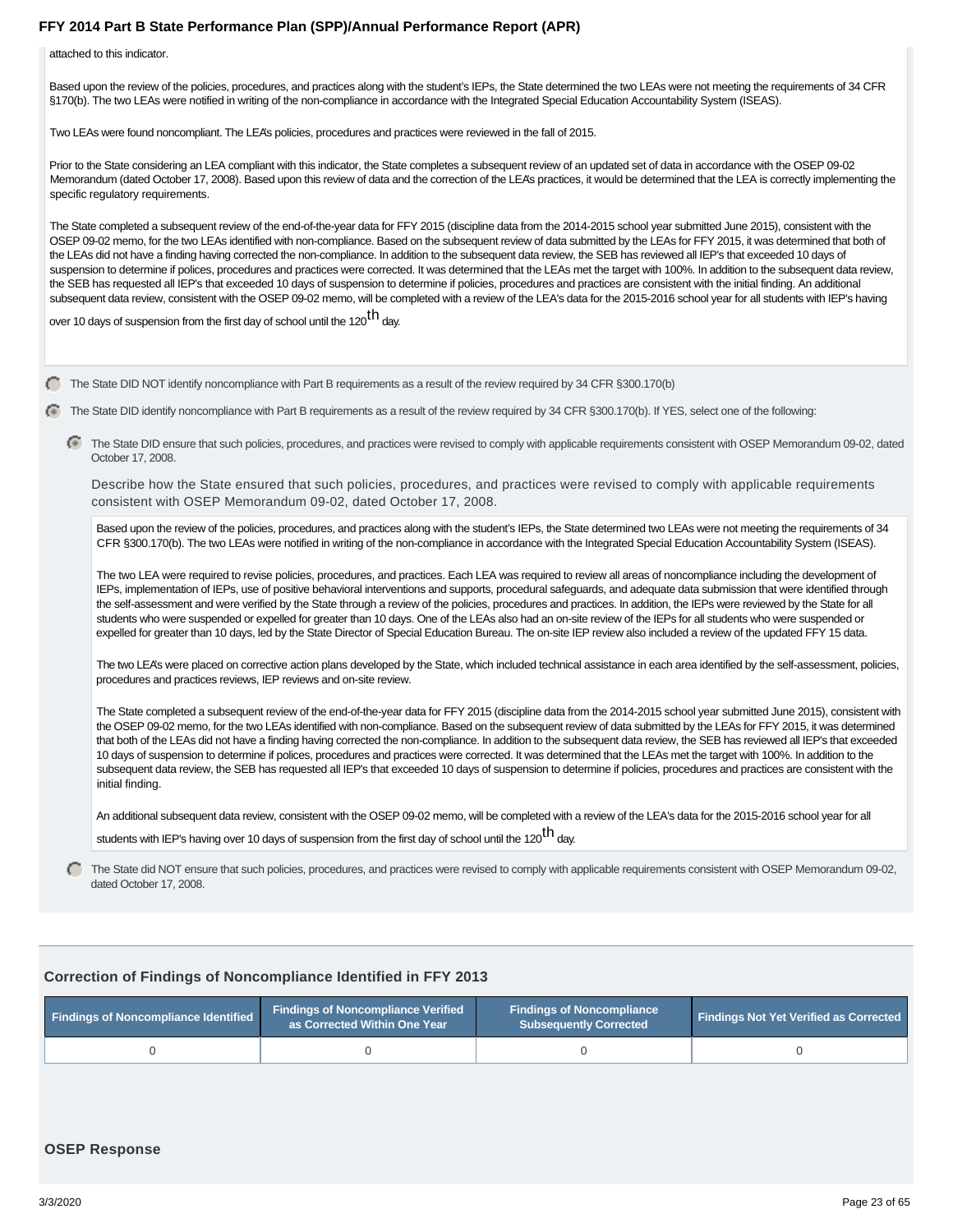attached to this indicator.

Based upon the review of the policies, procedures, and practices along with the student's IEPs, the State determined the two LEAs were not meeting the requirements of 34 CFR §170(b). The two LEAs were notified in writing of the non-compliance in accordance with the Integrated Special Education Accountability System (ISEAS).

Two LEAs were found noncompliant. The LEA's policies, procedures and practices were reviewed in the fall of 2015.

Prior to the State considering an LEA compliant with this indicator, the State completes a subsequent review of an updated set of data in accordance with the OSEP 09-02 Memorandum (dated October 17, 2008). Based upon this review of data and the correction of the LEA's practices, it would be determined that the LEA is correctly implementing the specific regulatory requirements.

The State completed a subsequent review of the end-of-the-year data for FFY 2015 (discipline data from the 2014-2015 school year submitted June 2015), consistent with the OSEP 09-02 memo, for the two LEAs identified with non-compliance. Based on the subsequent review of data submitted by the LEAs for FFY 2015, it was determined that both of the LEAs did not have a finding having corrected the non-compliance. In addition to the subsequent data review, the SEB has reviewed all IEP's that exceeded 10 days of suspension to determine if polices, procedures and practices were corrected. It was determined that the LEAs met the target with 100%. In addition to the subsequent data review, the SEB has requested all IEP's that exceeded 10 days of suspension to determine if policies, procedures and practices are consistent with the initial finding. An additional subsequent data review, consistent with the OSEP 09-02 memo, will be completed with a review of the LEA's data for the 2015-2016 school year for all students with IEP's having

over 10 days of suspension from the first day of school until the 120 $^{\text{th}}$  day.

The State DID NOT identify noncompliance with Part B requirements as a result of the review required by 34 CFR §300.170(b)

The State DID identify noncompliance with Part B requirements as a result of the review required by 34 CFR §300.170(b). If YES, select one of the following:

The State DID ensure that such policies, procedures, and practices were revised to comply with applicable requirements consistent with OSEP Memorandum 09-02, dated October 17, 2008.

Describe how the State ensured that such policies, procedures, and practices were revised to comply with applicable requirements consistent with OSEP Memorandum 09-02, dated October 17, 2008.

Based upon the review of the policies, procedures, and practices along with the student's IEPs, the State determined two LEAs were not meeting the requirements of 34 CFR §300.170(b). The two LEAs were notified in writing of the non-compliance in accordance with the Integrated Special Education Accountability System (ISEAS).

The two LEA were required to revise policies, procedures, and practices. Each LEA was required to review all areas of noncompliance including the development of IEPs, implementation of IEPs, use of positive behavioral interventions and supports, procedural safeguards, and adequate data submission that were identified through the self-assessment and were verified by the State through a review of the policies, procedures and practices. In addition, the IEPs were reviewed by the State for all students who were suspended or expelled for greater than 10 days. One of the LEAs also had an on-site review of the IEPs for all students who were suspended or expelled for greater than 10 days, led by the State Director of Special Education Bureau. The on-site IEP review also included a review of the updated FFY 15 data.

The two LEA's were placed on corrective action plans developed by the State, which included technical assistance in each area identified by the self-assessment, policies, procedures and practices reviews, IEP reviews and on-site review.

The State completed a subsequent review of the end-of-the-year data for FFY 2015 (discipline data from the 2014-2015 school year submitted June 2015), consistent with the OSEP 09-02 memo, for the two LEAs identified with non-compliance. Based on the subsequent review of data submitted by the LEAs for FFY 2015, it was determined that both of the LEAs did not have a finding having corrected the non-compliance. In addition to the subsequent data review, the SEB has reviewed all IEP's that exceeded 10 days of suspension to determine if polices, procedures and practices were corrected. It was determined that the LEAs met the target with 100%. In addition to the subsequent data review, the SEB has requested all IEP's that exceeded 10 days of suspension to determine if policies, procedures and practices are consistent with the initial finding.

An additional subsequent data review, consistent with the OSEP 09-02 memo, will be completed with a review of the LEA's data for the 2015-2016 school year for all students with IEP's having over 10 days of suspension from the first day of school until the 120<sup>th</sup> day.

The State did NOT ensure that such policies, procedures, and practices were revised to comply with applicable requirements consistent with OSEP Memorandum 09-02, dated October 17, 2008.

#### **Correction of Findings of Noncompliance Identified in FFY 2013**

| <b>Findings of Noncompliance Identified</b> | <b>Findings of Noncompliance Verified</b><br>as Corrected Within One Year | <b>Findings of Noncompliance</b><br><b>Subsequently Corrected</b> | <b>Findings Not Yet Verified as Corrected</b> |
|---------------------------------------------|---------------------------------------------------------------------------|-------------------------------------------------------------------|-----------------------------------------------|
|                                             |                                                                           |                                                                   |                                               |

#### **OSEP Response**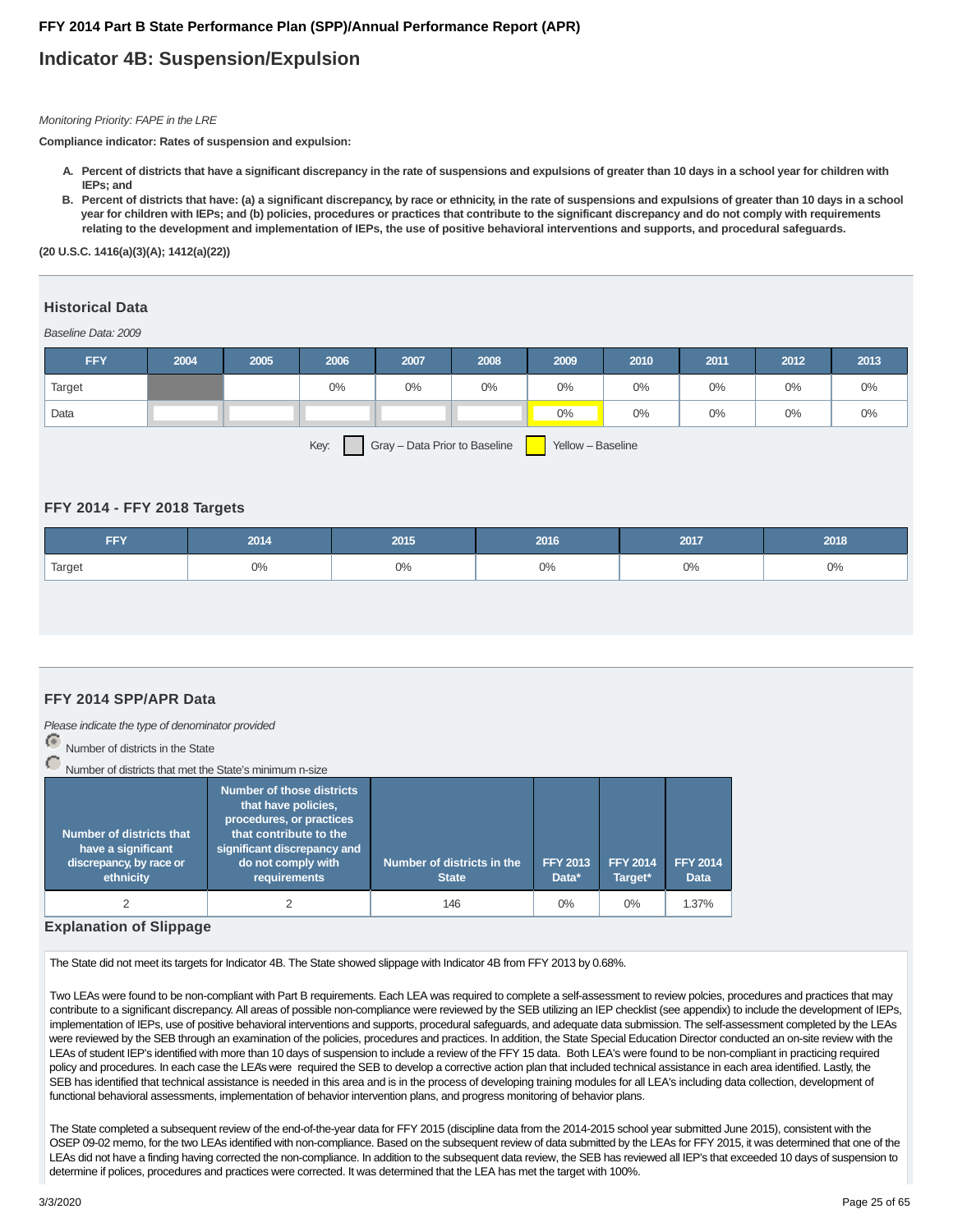## **Indicator 4B: Suspension/Expulsion**

Monitoring Priority: FAPE in the LRE

**Compliance indicator: Rates of suspension and expulsion:**

- **Percent of districts that have a significant discrepancy in the rate of suspensions and expulsions of greater than 10 days in a school year for children with A. IEPs; and**
- **Percent of districts that have: (a) a significant discrepancy, by race or ethnicity, in the rate of suspensions and expulsions of greater than 10 days in a school B. year for children with IEPs; and (b) policies, procedures or practices that contribute to the significant discrepancy and do not comply with requirements relating to the development and implementation of IEPs, the use of positive behavioral interventions and supports, and procedural safeguards.**

**(20 U.S.C. 1416(a)(3)(A); 1412(a)(22))**

## **Historical Data**

Baseline Data: 2009

| <b>FFY</b> | 2004 | 2005 | 2006  | 2007 | 2008 | 2009  | 2010  | 2011  | 2012  | 2013  |
|------------|------|------|-------|------|------|-------|-------|-------|-------|-------|
| Target     |      |      | $0\%$ | 0%   | 0%   | 0%    | $0\%$ | $0\%$ | $0\%$ | $0\%$ |
| Data       |      |      |       |      |      | $0\%$ | $0\%$ | 0%    | 0%    | $0\%$ |

Key:  $Gray - Data Prior to Baseline$  Yellow – Baseline

#### **FFY 2014 - FFY 2018 Targets**

| <b>FFY</b> | 2014 | 2015 | 2016 | 2017            | 2018 |
|------------|------|------|------|-----------------|------|
| Target     | 0%   | 0%   | 0%   | $\sim$<br>$U\%$ | 0%   |

#### **FFY 2014 SPP/APR Data**

Please indicate the type of denominator provided

Number of districts in the State

Number of districts that met the State's minimum n-size

| Number of districts that<br>have a significant<br>discrepancy, by race or<br>ethnicity | <b>Number of those districts</b><br>that have policies,<br>procedures, or practices<br>that contribute to the<br>significant discrepancy and<br>do not comply with<br>requirements | Number of districts in the<br><b>State</b> | <b>FFY 2013</b><br>Data* | <b>FFY 2014</b><br>Target* | <b>FFY 2014</b><br><b>Data</b> |
|----------------------------------------------------------------------------------------|------------------------------------------------------------------------------------------------------------------------------------------------------------------------------------|--------------------------------------------|--------------------------|----------------------------|--------------------------------|
|                                                                                        |                                                                                                                                                                                    | 146                                        | $0\%$                    | $0\%$                      | 1.37%                          |

#### **Explanation of Slippage**

The State did not meet its targets for Indicator 4B. The State showed slippage with Indicator 4B from FFY 2013 by 0.68%.

Two LEAs were found to be non-compliant with Part B requirements. Each LEA was required to complete a self-assessment to review polcies, procedures and practices that may contribute to a significant discrepancy. All areas of possible non-compliance were reviewed by the SEB utilizing an IEP checklist (see appendix) to include the development of IEPs, implementation of IEPs, use of positive behavioral interventions and supports, procedural safeguards, and adequate data submission. The self-assessment completed by the LEAs were reviewed by the SEB through an examination of the policies, procedures and practices. In addition, the State Special Education Director conducted an on-site review with the LEAs of student IEP's identified with more than 10 days of suspension to include a review of the FFY 15 data. Both LEA's were found to be non-compliant in practicing required policy and procedures. In each case the LEA's were required the SEB to develop a corrective action plan that included technical assistance in each area identified. Lastly, the SEB has identified that technical assistance is needed in this area and is in the process of developing training modules for all LEA's including data collection, development of functional behavioral assessments, implementation of behavior intervention plans, and progress monitoring of behavior plans.

The State completed a subsequent review of the end-of-the-year data for FFY 2015 (discipline data from the 2014-2015 school year submitted June 2015), consistent with the OSEP 09-02 memo, for the two LEAs identified with non-compliance. Based on the subsequent review of data submitted by the LEAs for FFY 2015, it was determined that one of the LEAs did not have a finding having corrected the non-compliance. In addition to the subsequent data review, the SEB has reviewed all IEP's that exceeded 10 days of suspension to determine if polices, procedures and practices were corrected. It was determined that the LEA has met the target with 100%.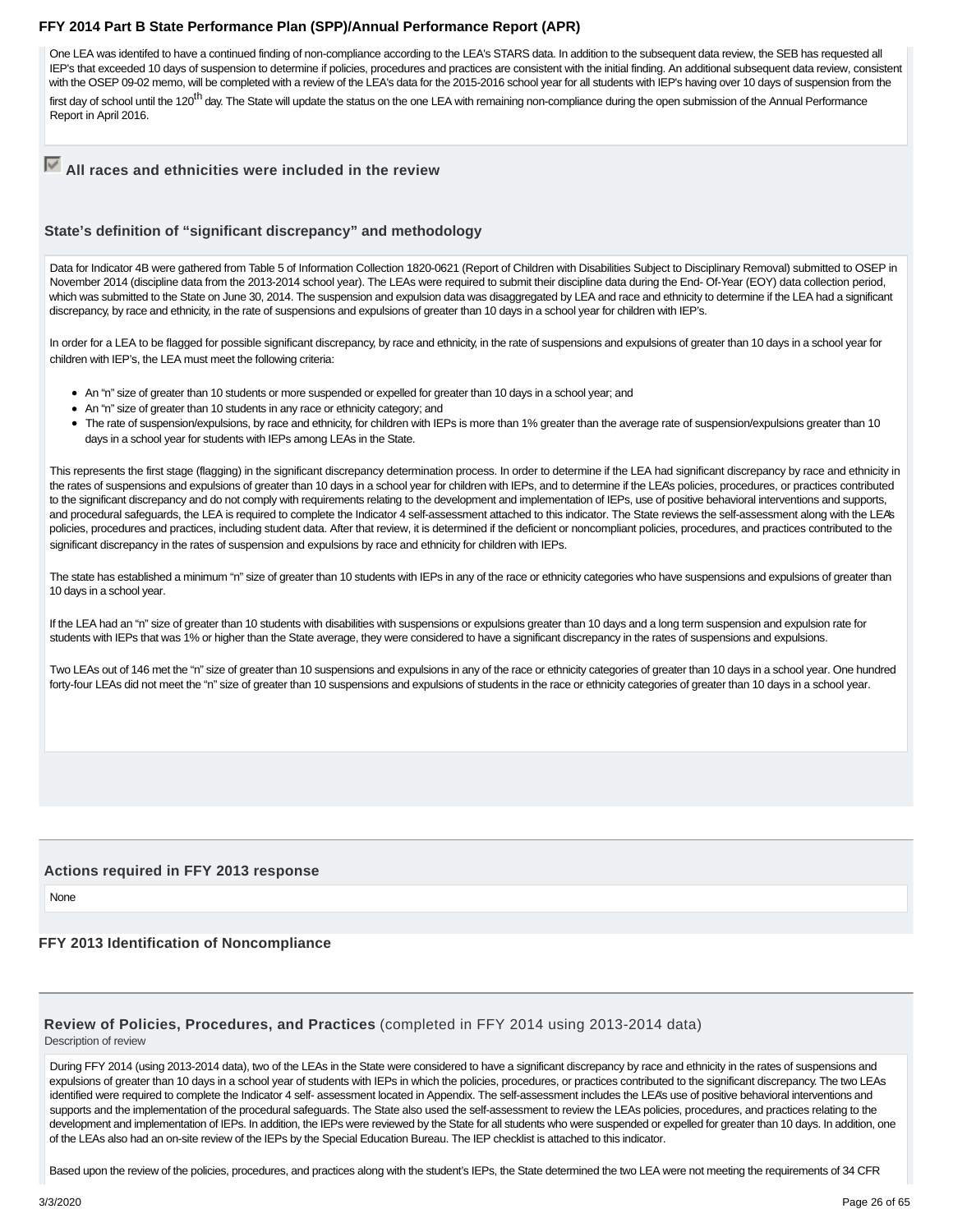One LEA was identifed to have a continued finding of non-compliance according to the LEA's STARS data. In addition to the subsequent data review, the SEB has requested all IEP's that exceeded 10 days of suspension to determine if policies, procedures and practices are consistent with the initial finding. An additional subsequent data review, consistent with the OSEP 09-02 memo, will be completed with a review of the LEA's data for the 2015-2016 school year for all students with IEP's having over 10 days of suspension from the first day of school until the 120<sup>th</sup> day. The State will update the status on the one LEA with remaining non-compliance during the open submission of the Annual Performance Report in April 2016.

**All races and ethnicities were included in the review**

#### **State's definition of "significant discrepancy" and methodology**

Data for Indicator 4B were gathered from Table 5 of Information Collection 1820-0621 (Report of Children with Disabilities Subject to Disciplinary Removal) submitted to OSEP in November 2014 (discipline data from the 2013-2014 school year). The LEAs were required to submit their discipline data during the End- Of-Year (EOY) data collection period, which was submitted to the State on June 30, 2014. The suspension and expulsion data was disaggregated by LEA and race and ethnicity to determine if the LEA had a significant discrepancy, by race and ethnicity, in the rate of suspensions and expulsions of greater than 10 days in a school year for children with IEP's.

In order for a LEA to be flagged for possible significant discrepancy, by race and ethnicity, in the rate of suspensions and expulsions of greater than 10 days in a school year for children with IEP's, the LEA must meet the following criteria:

- An "n" size of greater than 10 students or more suspended or expelled for greater than 10 days in a school year; and
- An "n" size of greater than 10 students in any race or ethnicity category; and
- The rate of suspension/expulsions, by race and ethnicity, for children with IEPs is more than 1% greater than the average rate of suspension/expulsions greater than 10 days in a school year for students with IEPs among LEAs in the State.

This represents the first stage (flagging) in the significant discrepancy determination process. In order to determine if the LEA had significant discrepancy by race and ethnicity in the rates of suspensions and expulsions of greater than 10 days in a school year for children with IEPs, and to determine if the LEA's policies, procedures, or practices contributed to the significant discrepancy and do not comply with requirements relating to the development and implementation of IEPs, use of positive behavioral interventions and supports, and procedural safeguards, the LEA is required to complete the Indicator 4 self-assessment attached to this indicator. The State reviews the self-assessment along with the LEA's policies, procedures and practices, including student data. After that review, it is determined if the deficient or noncompliant policies, procedures, and practices contributed to the significant discrepancy in the rates of suspension and expulsions by race and ethnicity for children with IEPs.

The state has established a minimum "n" size of greater than 10 students with IEPs in any of the race or ethnicity categories who have suspensions and expulsions of greater than 10 days in a school year.

If the LEA had an "n" size of greater than 10 students with disabilities with suspensions or expulsions greater than 10 days and a long term suspension and expulsion rate for students with IEPs that was 1% or higher than the State average, they were considered to have a significant discrepancy in the rates of suspensions and expulsions.

Two LEAs out of 146 met the "n" size of greater than 10 suspensions and expulsions in any of the race or ethnicity categories of greater than 10 days in a school year. One hundred forty-four LEAs did not meet the "n" size of greater than 10 suspensions and expulsions of students in the race or ethnicity categories of greater than 10 days in a school year.

#### **Actions required in FFY 2013 response**

None

#### **FFY 2013 Identification of Noncompliance**

## **Review of Policies, Procedures, and Practices** (completed in FFY 2014 using 2013-2014 data)

Description of review

During FFY 2014 (using 2013-2014 data), two of the LEAs in the State were considered to have a significant discrepancy by race and ethnicity in the rates of suspensions and expulsions of greater than 10 days in a school year of students with IEPs in which the policies, procedures, or practices contributed to the significant discrepancy. The two LEAs identified were required to complete the Indicator 4 self- assessment located in Appendix. The self-assessment includes the LEA's use of positive behavioral interventions and supports and the implementation of the procedural safeguards. The State also used the self-assessment to review the LEAs policies, procedures, and practices relating to the development and implementation of IEPs. In addition, the IEPs were reviewed by the State for all students who were suspended or expelled for greater than 10 days. In addition, one of the LEAs also had an on-site review of the IEPs by the Special Education Bureau. The IEP checklist is attached to this indicator.

Based upon the review of the policies, procedures, and practices along with the student's IEPs, the State determined the two LEA were not meeting the requirements of 34 CFR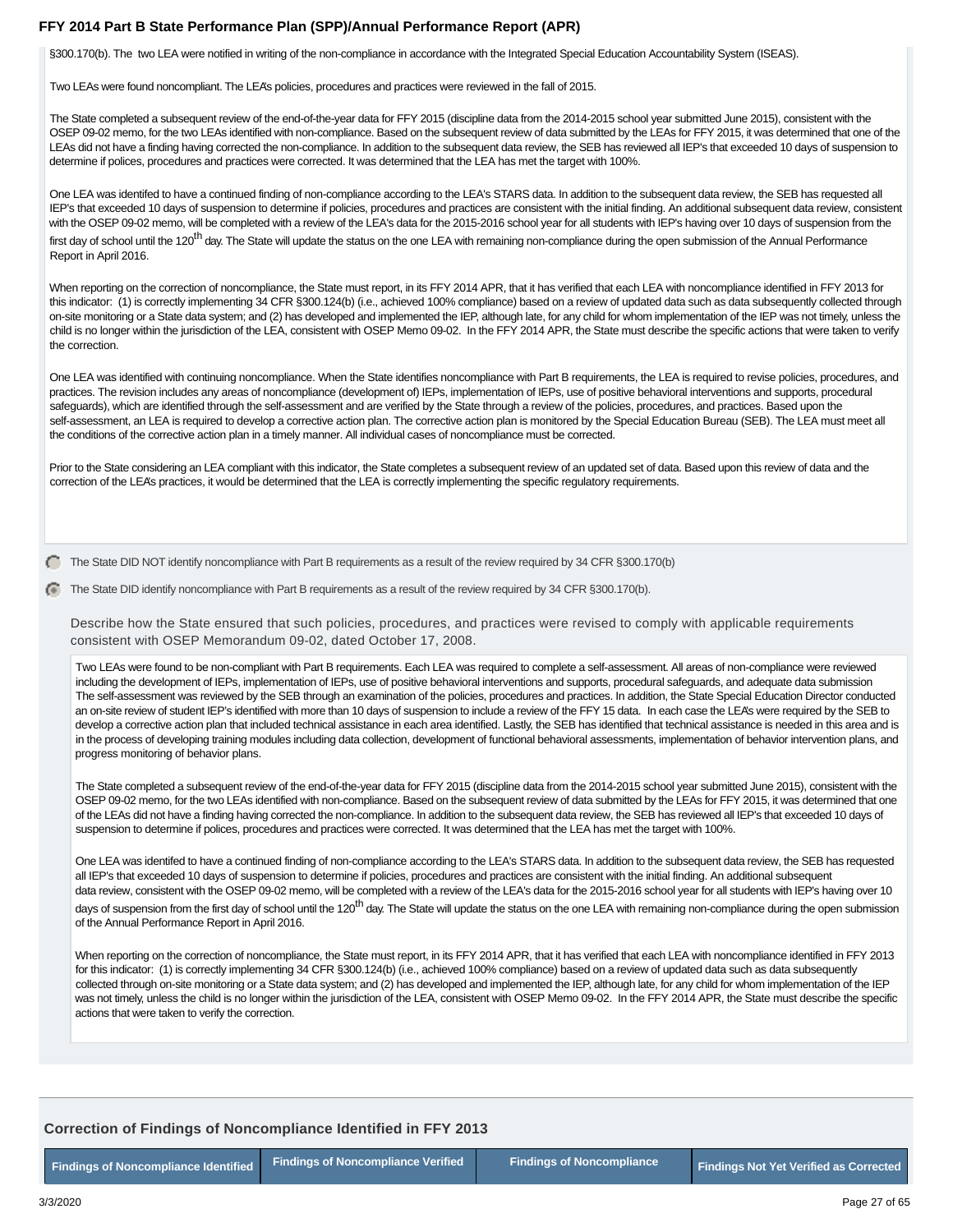§300.170(b). The two LEA were notified in writing of the non-compliance in accordance with the Integrated Special Education Accountability System (ISEAS).

Two LEAs were found noncompliant. The LEA's policies, procedures and practices were reviewed in the fall of 2015.

The State completed a subsequent review of the end-of-the-year data for FFY 2015 (discipline data from the 2014-2015 school year submitted June 2015), consistent with the OSEP 09-02 memo, for the two LEAs identified with non-compliance. Based on the subsequent review of data submitted by the LEAs for FFY 2015, it was determined that one of the LEAs did not have a finding having corrected the non-compliance. In addition to the subsequent data review, the SEB has reviewed all IEP's that exceeded 10 days of suspension to determine if polices, procedures and practices were corrected. It was determined that the LEA has met the target with 100%.

One LEA was identifed to have a continued finding of non-compliance according to the LEA's STARS data. In addition to the subsequent data review, the SEB has requested all IEP's that exceeded 10 days of suspension to determine if policies, procedures and practices are consistent with the initial finding. An additional subsequent data review, consistent with the OSEP 09-02 memo, will be completed with a review of the LEA's data for the 2015-2016 school year for all students with IEP's having over 10 days of suspension from the first day of school until the 120<sup>th</sup> day. The State will update the status on the one LEA with remaining non-compliance during the open submission of the Annual Performance Report in April 2016.

When reporting on the correction of noncompliance, the State must report, in its FFY 2014 APR, that it has verified that each LEA with noncompliance identified in FFY 2013 for this indicator: (1) is correctly implementing 34 CFR §300.124(b) (i.e., achieved 100% compliance) based on a review of updated data such as data subsequently collected through on-site monitoring or a State data system; and (2) has developed and implemented the IEP, although late, for any child for whom implementation of the IEP was not timely, unless the child is no longer within the jurisdiction of the LEA, consistent with OSEP Memo 09-02. In the FFY 2014 APR, the State must describe the specific actions that were taken to verify the correction.

One LEA was identified with continuing noncompliance. When the State identifies noncompliance with Part B requirements, the LEA is required to revise policies, procedures, and practices. The revision includes any areas of noncompliance (development of) IEPs, implementation of IEPs, use of positive behavioral interventions and supports, procedural safeguards), which are identified through the self-assessment and are verified by the State through a review of the policies, procedures, and practices. Based upon the self-assessment, an LEA is required to develop a corrective action plan. The corrective action plan is monitored by the Special Education Bureau (SEB). The LEA must meet all the conditions of the corrective action plan in a timely manner. All individual cases of noncompliance must be corrected.

Prior to the State considering an LEA compliant with this indicator, the State completes a subsequent review of an updated set of data. Based upon this review of data and the correction of the LEA's practices, it would be determined that the LEA is correctly implementing the specific regulatory requirements.

 $\Box$  The State DID NOT identify noncompliance with Part B requirements as a result of the review required by 34 CFR §300.170(b)

The State DID identify noncompliance with Part B requirements as a result of the review required by 34 CFR §300.170(b).

Describe how the State ensured that such policies, procedures, and practices were revised to comply with applicable requirements consistent with OSEP Memorandum 09-02, dated October 17, 2008.

Two LEAs were found to be non-compliant with Part B requirements. Each LEA was required to complete a self-assessment. All areas of non-compliance were reviewed including the development of IEPs, implementation of IEPs, use of positive behavioral interventions and supports, procedural safeguards, and adequate data submission The self-assessment was reviewed by the SEB through an examination of the policies, procedures and practices. In addition, the State Special Education Director conducted an on-site review of student IEP's identified with more than 10 days of suspension to include a review of the FFY 15 data. In each case the LEA's were required by the SEB to develop a corrective action plan that included technical assistance in each area identified. Lastly, the SEB has identified that technical assistance is needed in this area and is in the process of developing training modules including data collection, development of functional behavioral assessments, implementation of behavior intervention plans, and progress monitoring of behavior plans.

The State completed a subsequent review of the end-of-the-year data for FFY 2015 (discipline data from the 2014-2015 school year submitted June 2015), consistent with the OSEP 09-02 memo, for the two LEAs identified with non-compliance. Based on the subsequent review of data submitted by the LEAs for FFY 2015, it was determined that one of the LEAs did not have a finding having corrected the non-compliance. In addition to the subsequent data review, the SEB has reviewed all IEP's that exceeded 10 days of suspension to determine if polices, procedures and practices were corrected. It was determined that the LEA has met the target with 100%.

One LEA was identifed to have a continued finding of non-compliance according to the LEA's STARS data. In addition to the subsequent data review, the SEB has requested all IEP's that exceeded 10 days of suspension to determine if policies, procedures and practices are consistent with the initial finding. An additional subsequent data review, consistent with the OSEP 09-02 memo, will be completed with a review of the LEA's data for the 2015-2016 school year for all students with IEP's having over 10 days of suspension from the first day of school until the 120<sup>th</sup> day. The State will update the status on the one LEA with remaining non-compliance during the open submission of the Annual Performance Report in April 2016.

When reporting on the correction of noncompliance, the State must report, in its FFY 2014 APR, that it has verified that each LEA with noncompliance identified in FFY 2013 for this indicator: (1) is correctly implementing 34 CFR §300.124(b) (i.e., achieved 100% compliance) based on a review of updated data such as data subsequently collected through on-site monitoring or a State data system; and (2) has developed and implemented the IEP, although late, for any child for whom implementation of the IEP was not timely, unless the child is no longer within the jurisdiction of the LEA, consistent with OSEP Memo 09-02. In the FFY 2014 APR, the State must describe the specific actions that were taken to verify the correction.

#### **Correction of Findings of Noncompliance Identified in FFY 2013**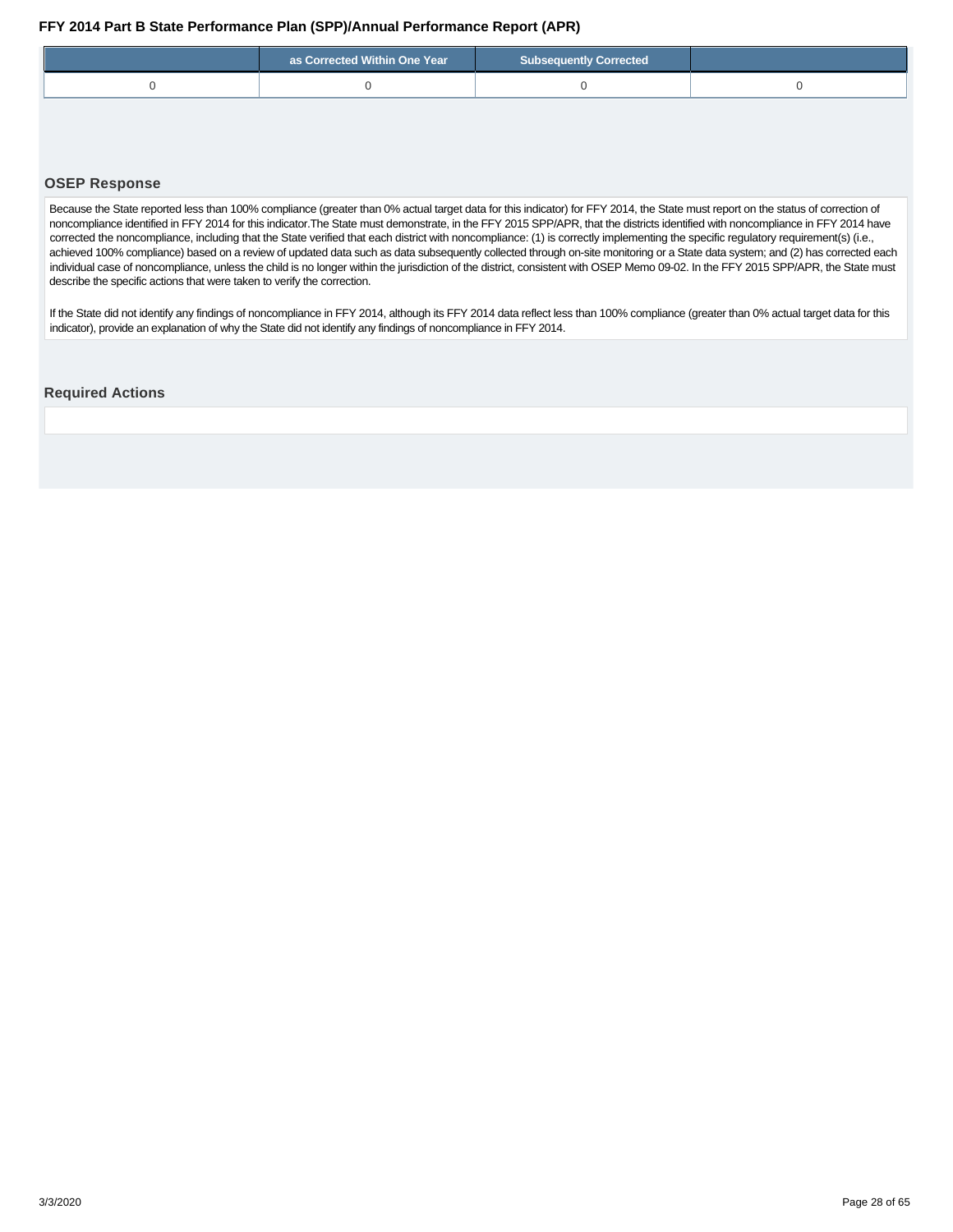<span id="page-27-0"></span>

| as Corrected Within One Year | <b>Subsequently Corrected</b> |  |
|------------------------------|-------------------------------|--|
|                              |                               |  |

#### **OSEP Response**

Because the State reported less than 100% compliance (greater than 0% actual target data for this indicator) for FFY 2014, the State must report on the status of correction of noncompliance identified in FFY 2014 for this indicator.The State must demonstrate, in the FFY 2015 SPP/APR, that the districts identified with noncompliance in FFY 2014 have corrected the noncompliance, including that the State verified that each district with noncompliance: (1) is correctly implementing the specific regulatory requirement(s) (i.e., achieved 100% compliance) based on a review of updated data such as data subsequently collected through on-site monitoring or a State data system; and (2) has corrected each individual case of noncompliance, unless the child is no longer within the jurisdiction of the district, consistent with OSEP Memo 09-02. In the FFY 2015 SPP/APR, the State must describe the specific actions that were taken to verify the correction.

If the State did not identify any findings of noncompliance in FFY 2014, although its FFY 2014 data reflect less than 100% compliance (greater than 0% actual target data for this indicator), provide an explanation of why the State did not identify any findings of noncompliance in FFY 2014.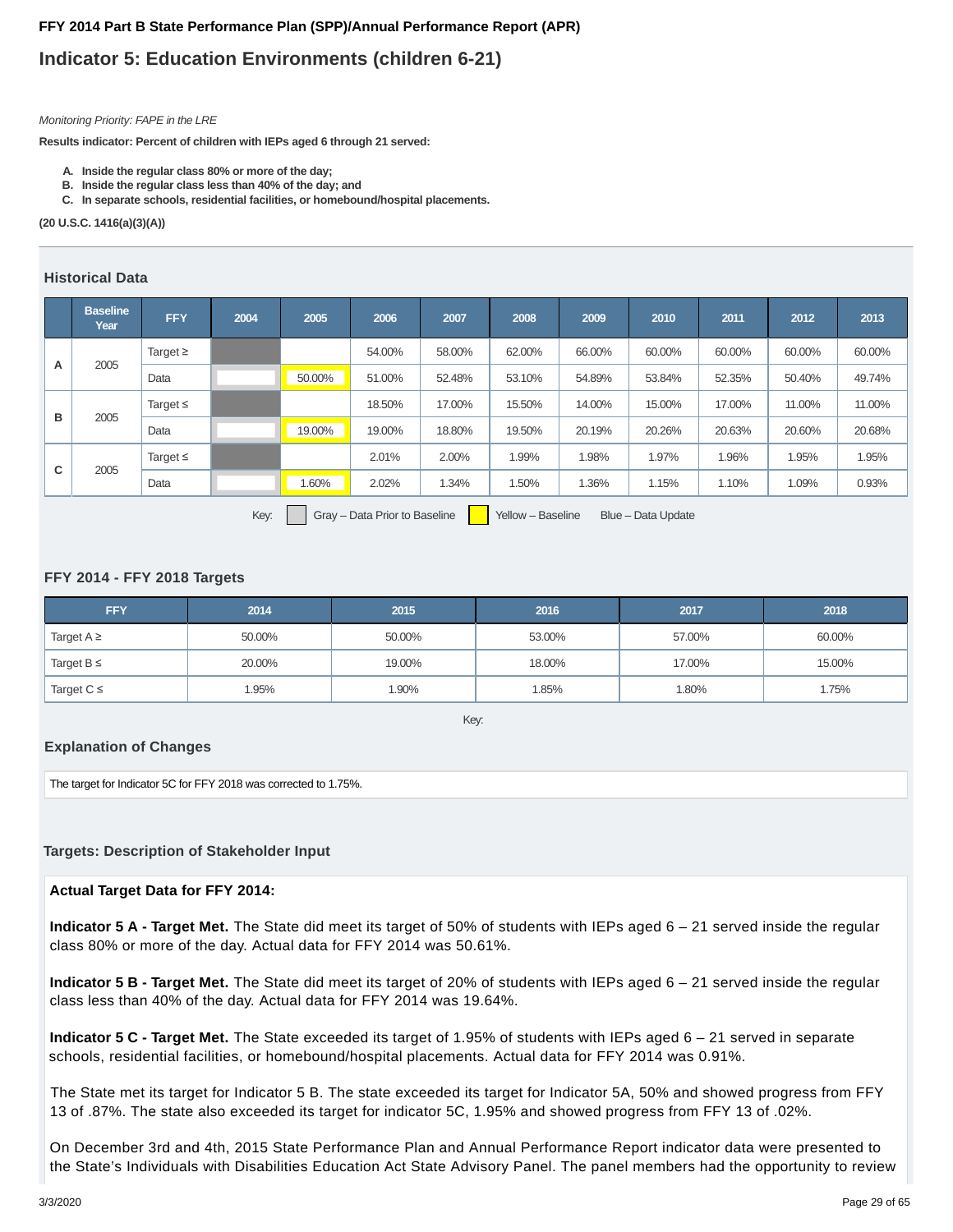## **Indicator 5: Education Environments (children 6-21)**

#### Monitoring Priority: FAPE in the LRE

**Results indicator: Percent of children with IEPs aged 6 through 21 served:**

- **A. Inside the regular class 80% or more of the day;**
- **B. Inside the regular class less than 40% of the day; and**
- **C. In separate schools, residential facilities, or homebound/hospital placements.**

**(20 U.S.C. 1416(a)(3)(A))**

#### **Historical Data**

|   | <b>Baseline</b><br>Year | <b>FFY</b>    | 2004 | 2005   | 2006   | 2007   | 2008   | 2009   | 2010   | 2011   | 2012   | 2013   |
|---|-------------------------|---------------|------|--------|--------|--------|--------|--------|--------|--------|--------|--------|
| A | 2005                    | Target $\geq$ |      |        | 54.00% | 58.00% | 62.00% | 66.00% | 60.00% | 60.00% | 60.00% | 60.00% |
|   |                         | Data          |      | 50.00% | 51.00% | 52.48% | 53.10% | 54.89% | 53.84% | 52.35% | 50.40% | 49.74% |
| в |                         | Target $\leq$ |      |        | 18.50% | 17.00% | 15.50% | 14.00% | 15.00% | 17.00% | 11.00% | 11.00% |
|   | 2005                    | Data          |      | 19.00% | 19.00% | 18.80% | 19.50% | 20.19% | 20.26% | 20.63% | 20.60% | 20.68% |
|   |                         | Target $\leq$ |      |        | 2.01%  | 2.00%  | 1.99%  | 1.98%  | 1.97%  | 1.96%  | 1.95%  | 1.95%  |
| С | 2005                    | Data          |      | 1.60%  | 2.02%  | 1.34%  | 1.50%  | 1.36%  | 1.15%  | 1.10%  | 1.09%  | 0.93%  |
|   |                         |               |      |        |        |        |        |        |        |        |        |        |

Key: Gray – Data Prior to Baseline Yellow – Baseline Blue – Data Update

#### **FFY 2014 - FFY 2018 Targets**

| <b>FFY</b>      | 2014   | 2015   | 2016   | 2017   | 2018   |
|-----------------|--------|--------|--------|--------|--------|
| Target $A \geq$ | 50.00% | 50.00% | 53.00% | 57.00% | 60.00% |
| Target $B \leq$ | 20.00% | 19.00% | 18.00% | 17.00% | 15.00% |
| Target $C \leq$ | 1.95%  | 1.90%  | .85%   | 1.80%  | 1.75%  |

Key:

#### **Explanation of Changes**

The target for Indicator 5C for FFY 2018 was corrected to 1.75%.

#### **Targets: Description of Stakeholder Input**

#### **Actual Target Data for FFY 2014:**

**Indicator 5 A - Target Met.** The State did meet its target of 50% of students with IEPs aged 6 – 21 served inside the regular class 80% or more of the day. Actual data for FFY 2014 was 50.61%.

**Indicator 5 B - Target Met.** The State did meet its target of 20% of students with IEPs aged 6 – 21 served inside the regular class less than 40% of the day. Actual data for FFY 2014 was 19.64%.

**Indicator 5 C - Target Met.** The State exceeded its target of 1.95% of students with IEPs aged 6 – 21 served in separate schools, residential facilities, or homebound/hospital placements. Actual data for FFY 2014 was 0.91%.

The State met its target for Indicator 5 B. The state exceeded its target for Indicator 5A, 50% and showed progress from FFY 13 of .87%. The state also exceeded its target for indicator 5C, 1.95% and showed progress from FFY 13 of .02%.

On December 3rd and 4th, 2015 State Performance Plan and Annual Performance Report indicator data were presented to the State's Individuals with Disabilities Education Act State Advisory Panel. The panel members had the opportunity to review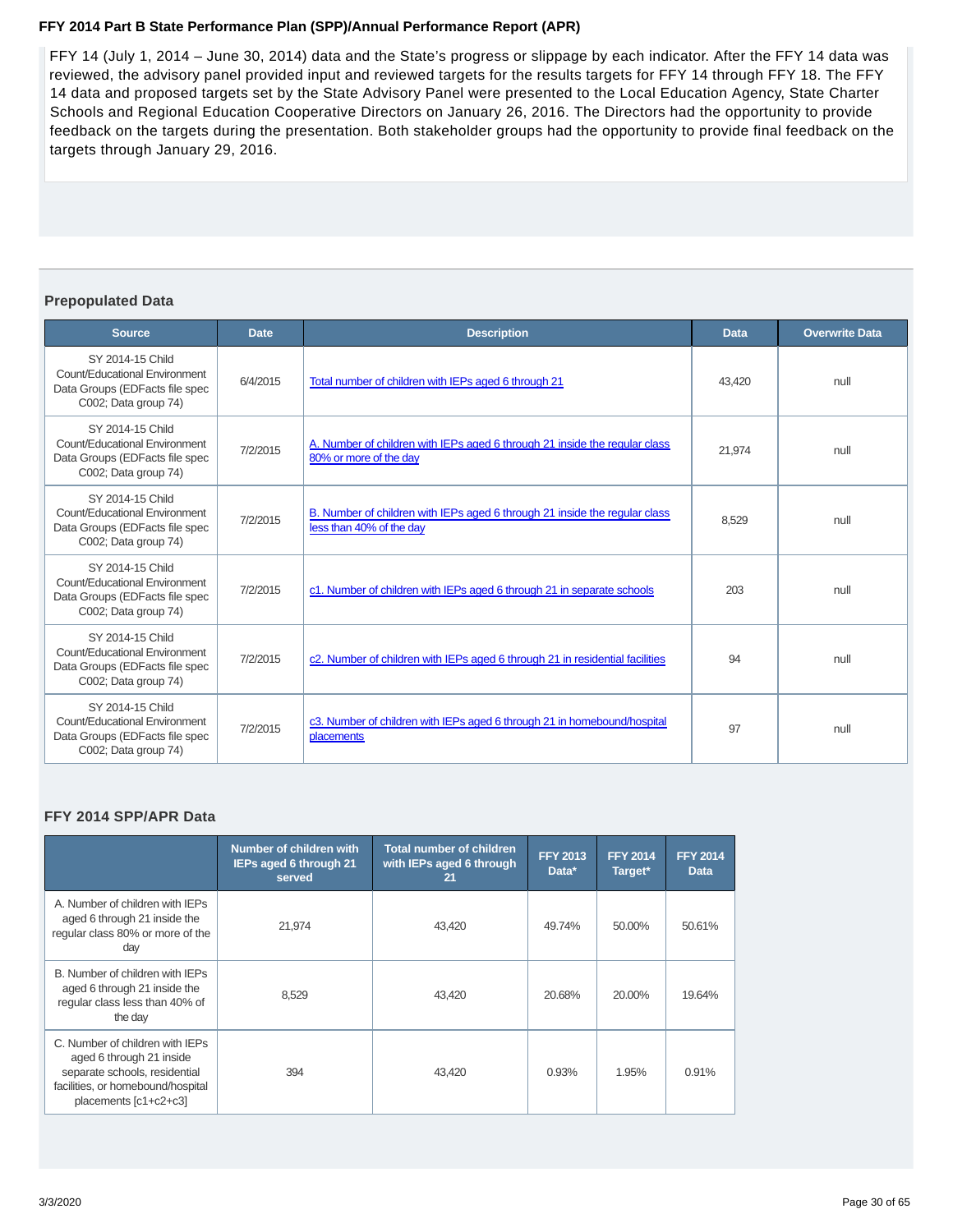FFY 14 (July 1, 2014 – June 30, 2014) data and the State's progress or slippage by each indicator. After the FFY 14 data was reviewed, the advisory panel provided input and reviewed targets for the results targets for FFY 14 through FFY 18. The FFY 14 data and proposed targets set by the State Advisory Panel were presented to the Local Education Agency, State Charter Schools and Regional Education Cooperative Directors on January 26, 2016. The Directors had the opportunity to provide feedback on the targets during the presentation. Both stakeholder groups had the opportunity to provide final feedback on the targets through January 29, 2016.

#### **Prepopulated Data**

| <b>Source</b>                                                                                               | <b>Date</b> | <b>Description</b>                                                                                     | <b>Data</b> | <b>Overwrite Data</b> |
|-------------------------------------------------------------------------------------------------------------|-------------|--------------------------------------------------------------------------------------------------------|-------------|-----------------------|
| SY 2014-15 Child<br>Count/Educational Environment<br>Data Groups (EDFacts file spec<br>C002; Data group 74) | 6/4/2015    | Total number of children with IEPs aged 6 through 21                                                   | 43.420      | null                  |
| SY 2014-15 Child<br>Count/Educational Environment<br>Data Groups (EDFacts file spec<br>C002; Data group 74) | 7/2/2015    | A. Number of children with IEPs aged 6 through 21 inside the regular class<br>80% or more of the day   | 21.974      | null                  |
| SY 2014-15 Child<br>Count/Educational Environment<br>Data Groups (EDFacts file spec<br>C002; Data group 74) | 7/2/2015    | B. Number of children with IEPs aged 6 through 21 inside the regular class<br>less than 40% of the day | 8.529       | null                  |
| SY 2014-15 Child<br>Count/Educational Environment<br>Data Groups (EDFacts file spec<br>C002; Data group 74) | 7/2/2015    | c1. Number of children with IEPs aged 6 through 21 in separate schools                                 | 203         | null                  |
| SY 2014-15 Child<br>Count/Educational Environment<br>Data Groups (EDFacts file spec<br>C002; Data group 74) | 7/2/2015    | c2. Number of children with IEPs aged 6 through 21 in residential facilities                           | 94          | null                  |
| SY 2014-15 Child<br>Count/Educational Environment<br>Data Groups (EDFacts file spec<br>C002; Data group 74) | 7/2/2015    | c3. Number of children with IEPs aged 6 through 21 in homebound/hospital<br>placements                 | 97          | null                  |

#### **FFY 2014 SPP/APR Data**

|                                                                                                                                                            | Number of children with<br><b>IEPs aged 6 through 21</b><br>served | <b>Total number of children</b><br>with IEPs aged 6 through<br>21 | <b>FFY 2013</b><br>Data* | <b>FFY 2014</b><br>Target* | <b>FFY 2014</b><br><b>Data</b> |
|------------------------------------------------------------------------------------------------------------------------------------------------------------|--------------------------------------------------------------------|-------------------------------------------------------------------|--------------------------|----------------------------|--------------------------------|
| A. Number of children with IEPs<br>aged 6 through 21 inside the<br>regular class 80% or more of the<br>day                                                 | 21,974                                                             | 43,420                                                            | 49.74%                   | 50.00%                     | 50.61%                         |
| B. Number of children with IEPs<br>aged 6 through 21 inside the<br>regular class less than 40% of<br>the day                                               | 8.529                                                              | 43,420                                                            | 20.68%                   | 20.00%                     | 19.64%                         |
| C. Number of children with IEPs<br>aged 6 through 21 inside<br>separate schools, residential<br>facilities, or homebound/hospital<br>placements [c1+c2+c3] | 394                                                                | 43.420                                                            | 0.93%                    | 1.95%                      | 0.91%                          |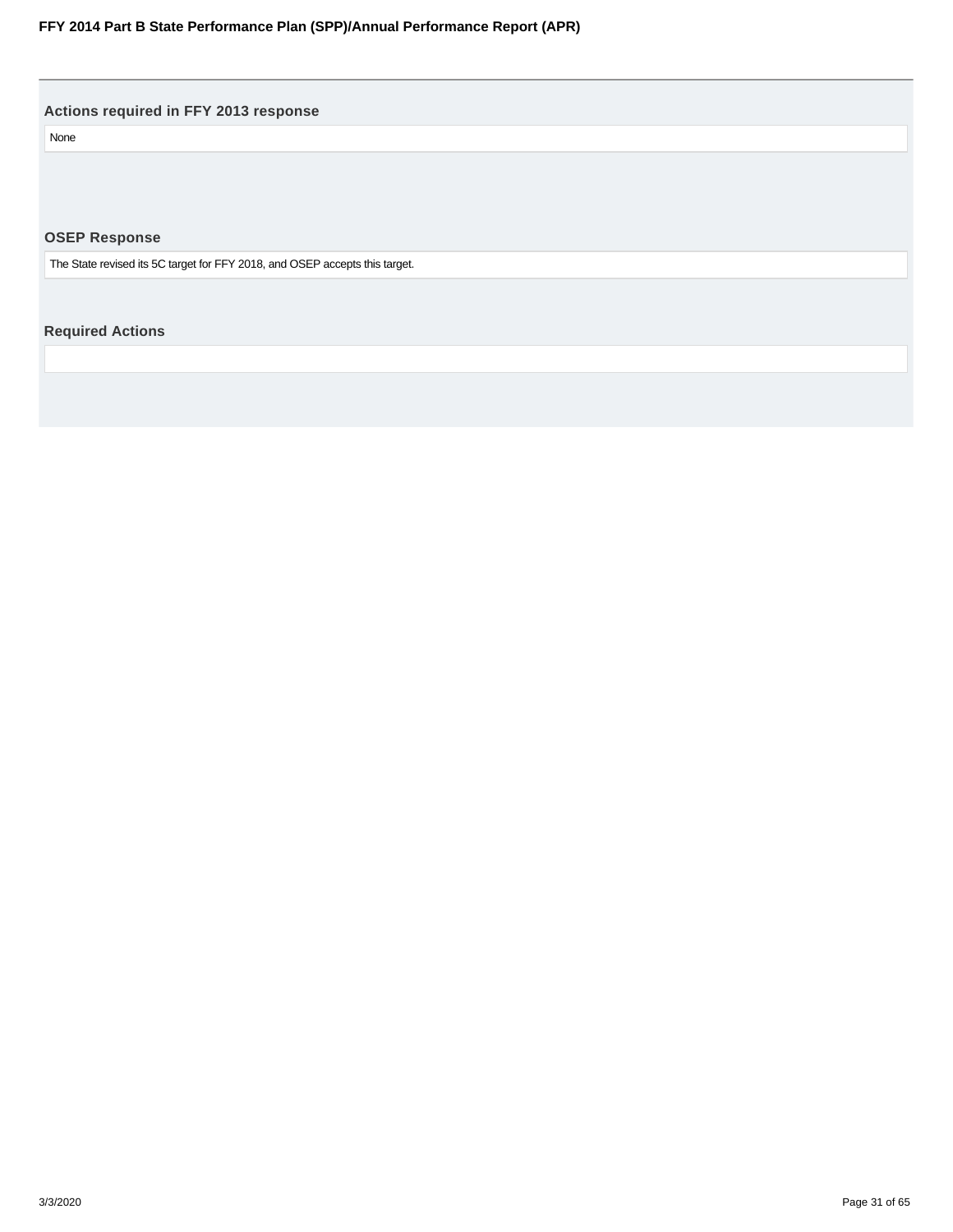<span id="page-30-0"></span>**Actions required in FFY 2013 response**

None

**OSEP Response**

The State revised its 5C target for FFY 2018, and OSEP accepts this target.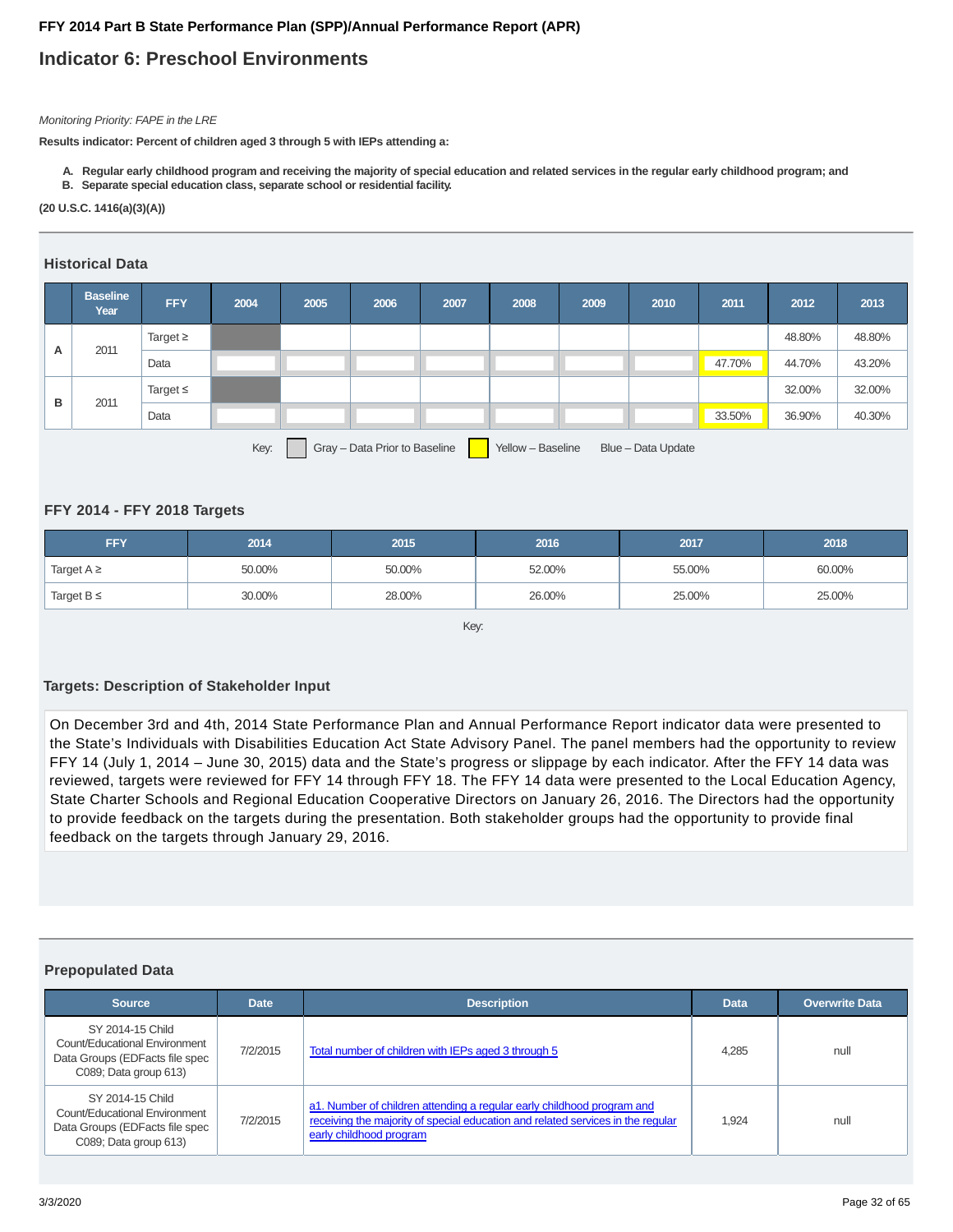## **Indicator 6: Preschool Environments**

#### Monitoring Priority: FAPE in the LRE

**Results indicator: Percent of children aged 3 through 5 with IEPs attending a:**

- **A. Regular early childhood program and receiving the majority of special education and related services in the regular early childhood program; and**
- **B. Separate special education class, separate school or residential facility.**

#### **(20 U.S.C. 1416(a)(3)(A))**

#### **Historical Data**

|   | <b>Baseline</b><br>Year | <b>FFY</b>    | 2004 | 2005 | 2006 | 2007 | 2008 | 2009 | 2010 | 2011   | 2012   | 2013   |
|---|-------------------------|---------------|------|------|------|------|------|------|------|--------|--------|--------|
|   |                         | Target $\geq$ |      |      |      |      |      |      |      |        | 48.80% | 48.80% |
| A | 2011                    | Data          |      |      |      |      |      |      |      | 47.70% | 44.70% | 43.20% |
|   |                         | Target $\leq$ |      |      |      |      |      |      |      |        | 32.00% | 32.00% |
| B | 2011                    | Data          |      |      |      |      |      |      |      | 33.50% | 36.90% | 40.30% |
|   |                         |               |      |      |      |      |      |      |      |        |        |        |

Key: Gray – Data Prior to Baseline Yellow – Baseline Blue – Data Update

#### **FFY 2014 - FFY 2018 Targets**

| <b>FFY</b>      | 2014   | 2015   | 2016   | 2017   | 2018   |
|-----------------|--------|--------|--------|--------|--------|
| Target $A \geq$ | 50.00% | 50.00% | 52.00% | 55.00% | 60.00% |
| Target $B \leq$ | 30.00% | 28.00% | 26.00% | 25.00% | 25.00% |

Key:

#### **Targets: Description of Stakeholder Input**

On December 3rd and 4th, 2014 State Performance Plan and Annual Performance Report indicator data were presented to the State's Individuals with Disabilities Education Act State Advisory Panel. The panel members had the opportunity to review FFY 14 (July 1, 2014 – June 30, 2015) data and the State's progress or slippage by each indicator. After the FFY 14 data was reviewed, targets were reviewed for FFY 14 through FFY 18. The FFY 14 data were presented to the Local Education Agency, State Charter Schools and Regional Education Cooperative Directors on January 26, 2016. The Directors had the opportunity to provide feedback on the targets during the presentation. Both stakeholder groups had the opportunity to provide final feedback on the targets through January 29, 2016.

#### **Prepopulated Data**

| <b>Source</b>                                                                                                | <b>Date</b> | <b>Description</b>                                                                                                                                                                   | <b>Data</b> | <b>Overwrite Data</b> |
|--------------------------------------------------------------------------------------------------------------|-------------|--------------------------------------------------------------------------------------------------------------------------------------------------------------------------------------|-------------|-----------------------|
| SY 2014-15 Child<br>Count/Educational Environment<br>Data Groups (EDFacts file spec<br>C089; Data group 613) | 7/2/2015    | Total number of children with IEPs aged 3 through 5                                                                                                                                  | 4.285       | null                  |
| SY 2014-15 Child<br>Count/Educational Environment<br>Data Groups (EDFacts file spec<br>C089; Data group 613) | 7/2/2015    | a1. Number of children attending a regular early childhood program and<br>receiving the majority of special education and related services in the regular<br>early childhood program | 1.924       | null                  |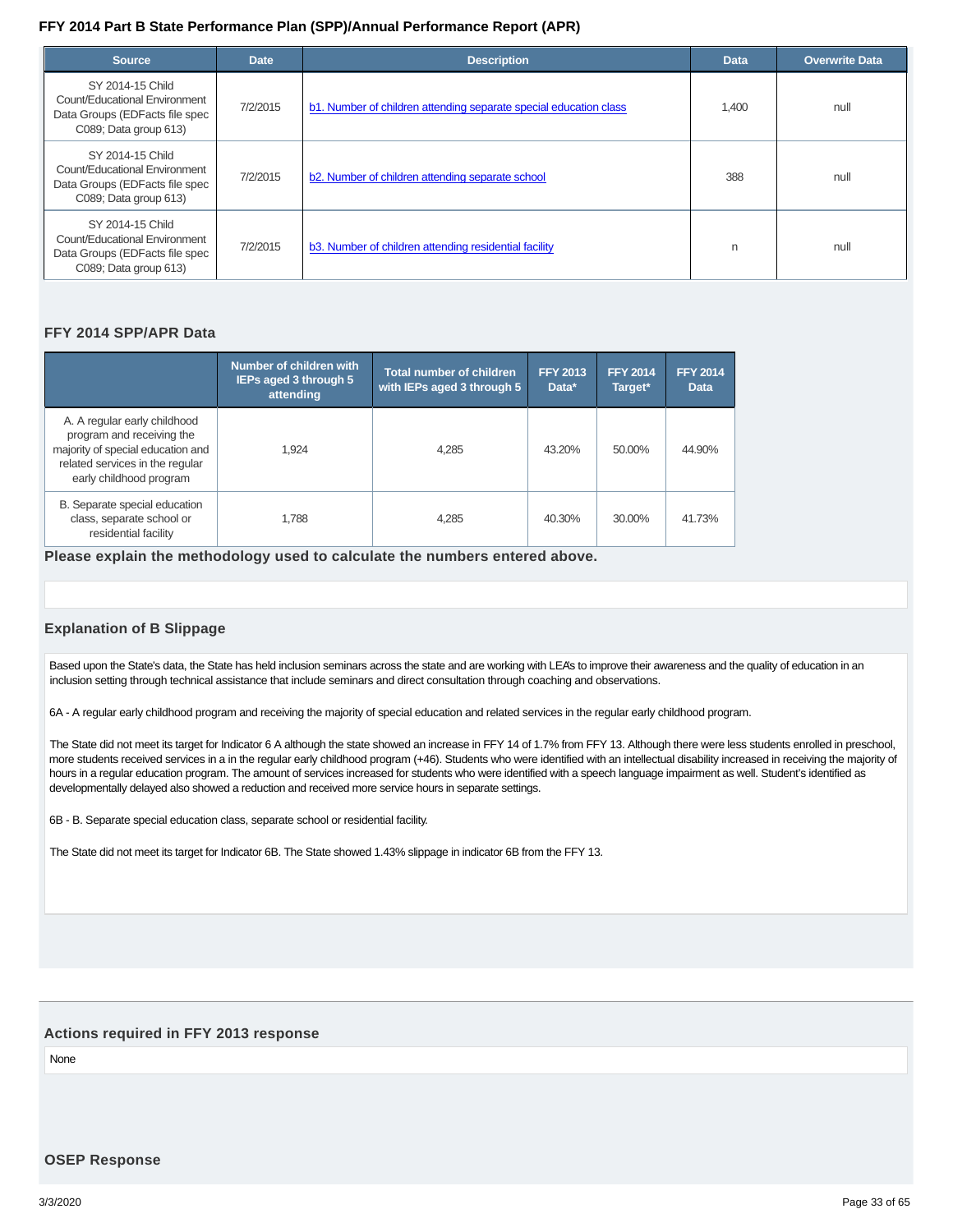| <b>Source</b>                                                                                                | <b>Date</b> | <b>Description</b>                                                | <b>Data</b> | <b>Overwrite Data</b> |
|--------------------------------------------------------------------------------------------------------------|-------------|-------------------------------------------------------------------|-------------|-----------------------|
| SY 2014-15 Child<br>Count/Educational Environment<br>Data Groups (EDFacts file spec<br>C089; Data group 613) | 7/2/2015    | b1. Number of children attending separate special education class | 1,400       | null                  |
| SY 2014-15 Child<br>Count/Educational Environment<br>Data Groups (EDFacts file spec<br>C089; Data group 613) | 7/2/2015    | b2. Number of children attending separate school                  | 388         | null                  |
| SY 2014-15 Child<br>Count/Educational Environment<br>Data Groups (EDFacts file spec<br>C089; Data group 613) | 7/2/2015    | b3. Number of children attending residential facility             | n           | null                  |

#### **FFY 2014 SPP/APR Data**

|                                                                                                                                                              | Number of children with<br><b>IEPs aged 3 through 5</b><br>attending | <b>Total number of children</b><br>with IEPs aged 3 through 5 | <b>FFY 2013</b><br>Data* | <b>FFY 2014</b><br>Target* | <b>FFY 2014</b><br><b>Data</b> |
|--------------------------------------------------------------------------------------------------------------------------------------------------------------|----------------------------------------------------------------------|---------------------------------------------------------------|--------------------------|----------------------------|--------------------------------|
| A. A regular early childhood<br>program and receiving the<br>majority of special education and<br>related services in the regular<br>early childhood program | 1.924                                                                | 4.285                                                         | 43.20%                   | 50.00%                     | 44.90%                         |
| B. Separate special education<br>class, separate school or<br>residential facility                                                                           | 1.788                                                                | 4.285                                                         | 40.30%                   | 30.00%                     | 41.73%                         |

**Please explain the methodology used to calculate the numbers entered above.**

#### **Explanation of B Slippage**

Based upon the State's data, the State has held inclusion seminars across the state and are working with LEA's to improve their awareness and the quality of education in an inclusion setting through technical assistance that include seminars and direct consultation through coaching and observations.

6A - A regular early childhood program and receiving the majority of special education and related services in the regular early childhood program.

The State did not meet its target for Indicator 6 A although the state showed an increase in FFY 14 of 1.7% from FFY 13. Although there were less students enrolled in preschool, more students received services in a in the regular early childhood program (+46). Students who were identified with an intellectual disability increased in receiving the majority of hours in a regular education program. The amount of services increased for students who were identified with a speech language impairment as well. Student's identified as developmentally delayed also showed a reduction and received more service hours in separate settings.

6B - B. Separate special education class, separate school or residential facility.

The State did not meet its target for Indicator 6B. The State showed 1.43% slippage in indicator 6B from the FFY 13.

#### **Actions required in FFY 2013 response**

None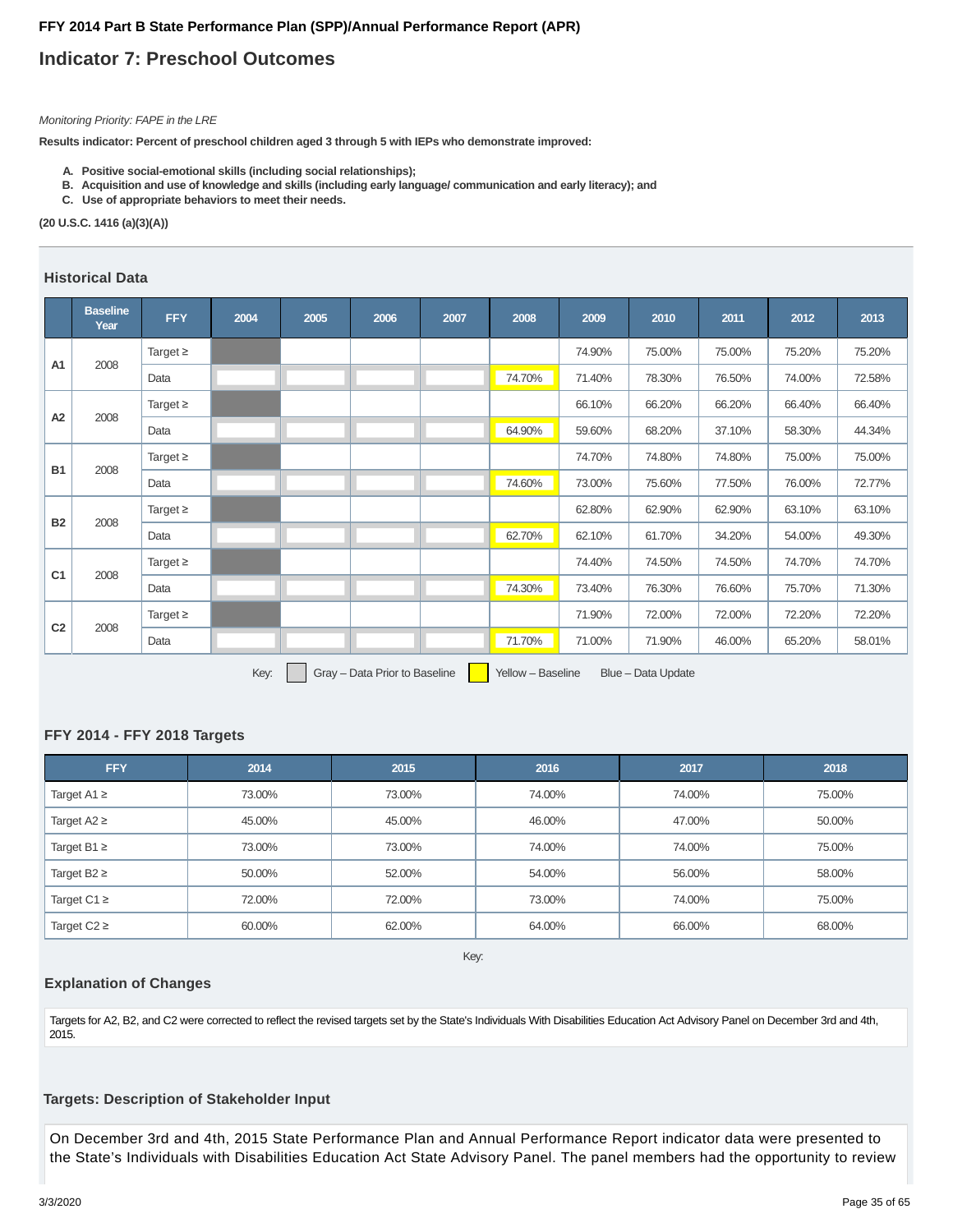## **Indicator 7: Preschool Outcomes**

#### Monitoring Priority: FAPE in the LRE

**Results indicator: Percent of preschool children aged 3 through 5 with IEPs who demonstrate improved:**

- **A. Positive social-emotional skills (including social relationships);**
- **B. Acquisition and use of knowledge and skills (including early language/ communication and early literacy); and**
- **C. Use of appropriate behaviors to meet their needs.**

**(20 U.S.C. 1416 (a)(3)(A))**

#### **Historical Data**

|                | <b>Baseline</b><br>Year | <b>FFY</b>    | 2004   | 2005 | 2006 | 2007 | 2008   | 2009   | 2010   | 2011   | 2012   | 2013   |
|----------------|-------------------------|---------------|--------|------|------|------|--------|--------|--------|--------|--------|--------|
| A <sub>1</sub> | 2008                    | Target $\geq$ |        |      |      |      |        | 74.90% | 75.00% | 75.00% | 75.20% | 75.20% |
|                |                         | Data          |        |      |      |      | 74.70% | 71.40% | 78.30% | 76.50% | 74.00% | 72.58% |
| A <sub>2</sub> | 2008                    | Target $\geq$ |        |      |      |      |        | 66.10% | 66.20% | 66.20% | 66.40% | 66.40% |
|                |                         | Data          |        |      |      |      | 64.90% | 59.60% | 68.20% | 37.10% | 58.30% | 44.34% |
|                | 2008                    | Target $\geq$ |        |      |      |      |        | 74.70% | 74.80% | 74.80% | 75.00% | 75.00% |
| <b>B1</b>      |                         | Data          |        |      |      |      | 74.60% | 73.00% | 75.60% | 77.50% | 76.00% | 72.77% |
|                |                         | Target $\geq$ |        |      |      |      |        | 62.80% | 62.90% | 62.90% | 63.10% | 63.10% |
| <b>B2</b>      | 2008                    | Data          |        |      |      |      | 62.70% | 62.10% | 61.70% | 34.20% | 54.00% | 49.30% |
|                |                         | Target $\geq$ |        |      |      |      |        | 74.40% | 74.50% | 74.50% | 74.70% | 74.70% |
| C <sub>1</sub> | 2008                    | Data          |        |      |      |      | 74.30% | 73.40% | 76.30% | 76.60% | 75.70% | 71.30% |
|                |                         | Target $\geq$ |        |      |      |      |        | 71.90% | 72.00% | 72.00% | 72.20% | 72.20% |
| C <sub>2</sub> | 2008                    | Data          |        |      |      |      | 71.70% | 71.00% | 71.90% | 46.00% | 65.20% | 58.01% |
|                |                         |               | $\sim$ |      |      |      |        |        |        |        |        |        |

Key: Gray – Data Prior to Baseline | Yellow – Baseline Blue – Data Update

## **FFY 2014 - FFY 2018 Targets**

| <b>FFY</b>       | 2014   | 2015   | 2016   | 2017   | 2018   |
|------------------|--------|--------|--------|--------|--------|
| Target A1 $\geq$ | 73.00% | 73.00% | 74.00% | 74.00% | 75.00% |
| Target $A2 \geq$ | 45.00% | 45.00% | 46.00% | 47.00% | 50.00% |
| Target B1 $\geq$ | 73.00% | 73.00% | 74.00% | 74.00% | 75.00% |
| Target B2 $\geq$ | 50.00% | 52.00% | 54.00% | 56.00% | 58.00% |
| Target C1 $\geq$ | 72.00% | 72.00% | 73.00% | 74.00% | 75.00% |
| Target $C2 \geq$ | 60.00% | 62.00% | 64.00% | 66.00% | 68.00% |

Key:

#### **Explanation of Changes**

Targets for A2, B2, and C2 were corrected to reflect the revised targets set by the State's Individuals With Disabilities Education Act Advisory Panel on December 3rd and 4th, 2015.

#### **Targets: Description of Stakeholder Input**

On December 3rd and 4th, 2015 State Performance Plan and Annual Performance Report indicator data were presented to the State's Individuals with Disabilities Education Act State Advisory Panel. The panel members had the opportunity to review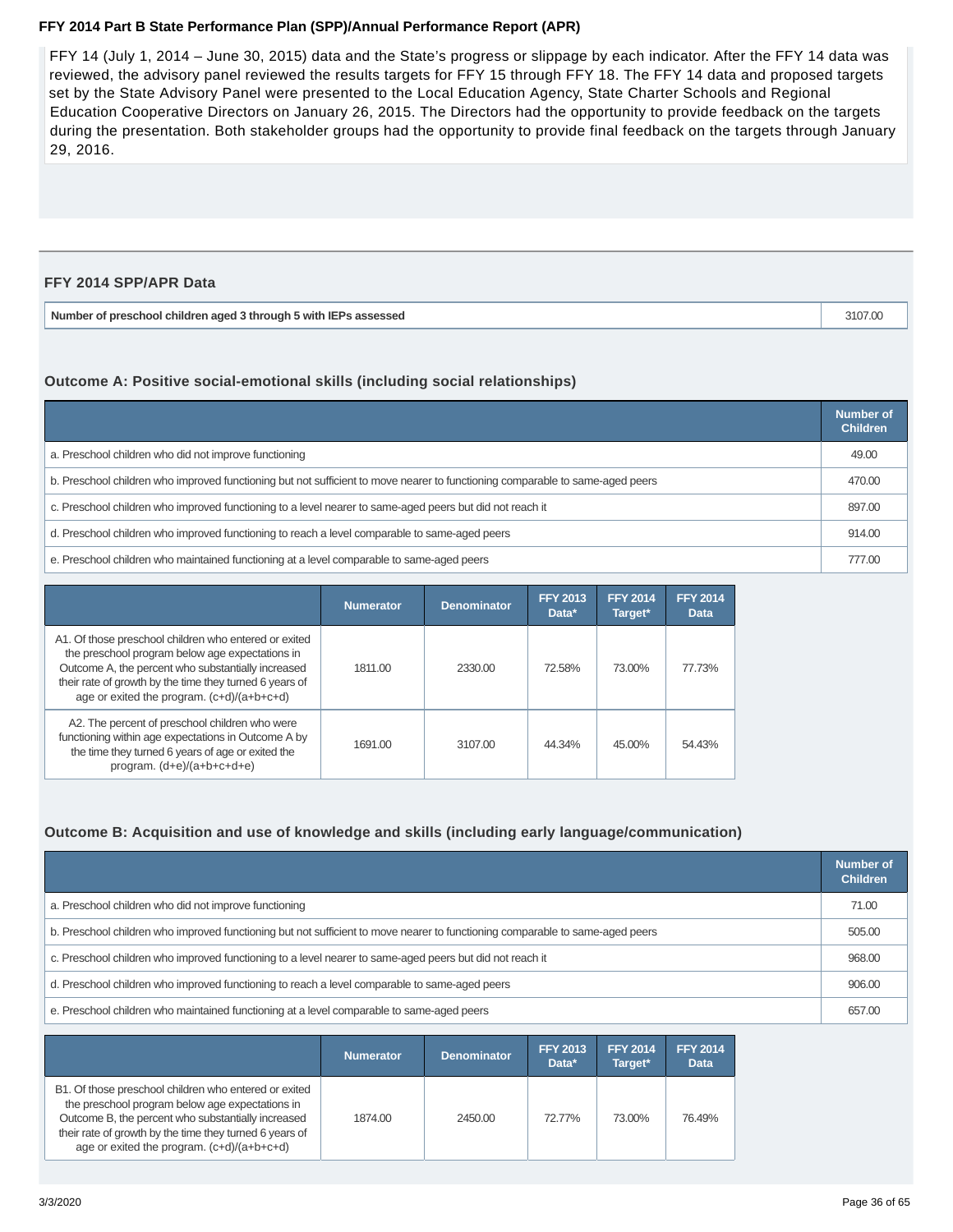FFY 14 (July 1, 2014 – June 30, 2015) data and the State's progress or slippage by each indicator. After the FFY 14 data was reviewed, the advisory panel reviewed the results targets for FFY 15 through FFY 18. The FFY 14 data and proposed targets set by the State Advisory Panel were presented to the Local Education Agency, State Charter Schools and Regional Education Cooperative Directors on January 26, 2015. The Directors had the opportunity to provide feedback on the targets during the presentation. Both stakeholder groups had the opportunity to provide final feedback on the targets through January 29, 2016.

#### **FFY 2014 SPP/APR Data**

| Number of preschool children aged 3 through 5 with IEPs assessed | 3107.00 |
|------------------------------------------------------------------|---------|
|------------------------------------------------------------------|---------|

#### **Outcome A: Positive social-emotional skills (including social relationships)**

|                                                                                                                               | Number of<br><b>Children</b> |
|-------------------------------------------------------------------------------------------------------------------------------|------------------------------|
| a. Preschool children who did not improve functioning                                                                         | 49.00                        |
| b. Preschool children who improved functioning but not sufficient to move nearer to functioning comparable to same-aged peers | 470.00                       |
| c. Preschool children who improved functioning to a level nearer to same-aged peers but did not reach it                      | 897.00                       |
| d. Preschool children who improved functioning to reach a level comparable to same-aged peers                                 | 914.00                       |
| e. Preschool children who maintained functioning at a level comparable to same-aged peers                                     | 777.00                       |

|                                                                                                                                                                                                                                                                         | <b>Numerator</b> | <b>Denominator</b> | <b>FFY 2013</b><br>Data* | <b>FFY 2014</b><br>Target* | <b>FFY 2014</b><br><b>Data</b> |
|-------------------------------------------------------------------------------------------------------------------------------------------------------------------------------------------------------------------------------------------------------------------------|------------------|--------------------|--------------------------|----------------------------|--------------------------------|
| A1. Of those preschool children who entered or exited<br>the preschool program below age expectations in<br>Outcome A, the percent who substantially increased<br>their rate of growth by the time they turned 6 years of<br>age or exited the program. (c+d)/(a+b+c+d) | 1811.00          | 2330.00            | 72.58%                   | 73.00%                     | 77.73%                         |
| A2. The percent of preschool children who were<br>functioning within age expectations in Outcome A by<br>the time they turned 6 years of age or exited the<br>program. $(d+e)/(a+b+c+d+e)$                                                                              | 1691.00          | 3107.00            | 44.34%                   | 45.00%                     | 54.43%                         |

#### **Outcome B: Acquisition and use of knowledge and skills (including early language/communication)**

|                                                                                                                               | Number of<br><b>Children</b> |
|-------------------------------------------------------------------------------------------------------------------------------|------------------------------|
| a. Preschool children who did not improve functioning                                                                         | 71.00                        |
| b. Preschool children who improved functioning but not sufficient to move nearer to functioning comparable to same-aged peers | 505.00                       |
| c. Preschool children who improved functioning to a level nearer to same-aged peers but did not reach it                      | 968.00                       |
| d. Preschool children who improved functioning to reach a level comparable to same-aged peers                                 | 906.00                       |
| e. Preschool children who maintained functioning at a level comparable to same-aged peers                                     | 657.00                       |

|                                                                                                                                                                                                                                                                         | <b>Numerator</b> | <b>Denominator</b> | <b>FFY 2013</b><br>Data* | <b>FFY 2014</b><br>Target* | <b>FFY 2014</b><br><b>Data</b> |
|-------------------------------------------------------------------------------------------------------------------------------------------------------------------------------------------------------------------------------------------------------------------------|------------------|--------------------|--------------------------|----------------------------|--------------------------------|
| B1. Of those preschool children who entered or exited<br>the preschool program below age expectations in<br>Outcome B, the percent who substantially increased<br>their rate of growth by the time they turned 6 years of<br>age or exited the program. (c+d)/(a+b+c+d) | 1874.00          | 2450.00            | 72.77%                   | 73.00%                     | 76.49%                         |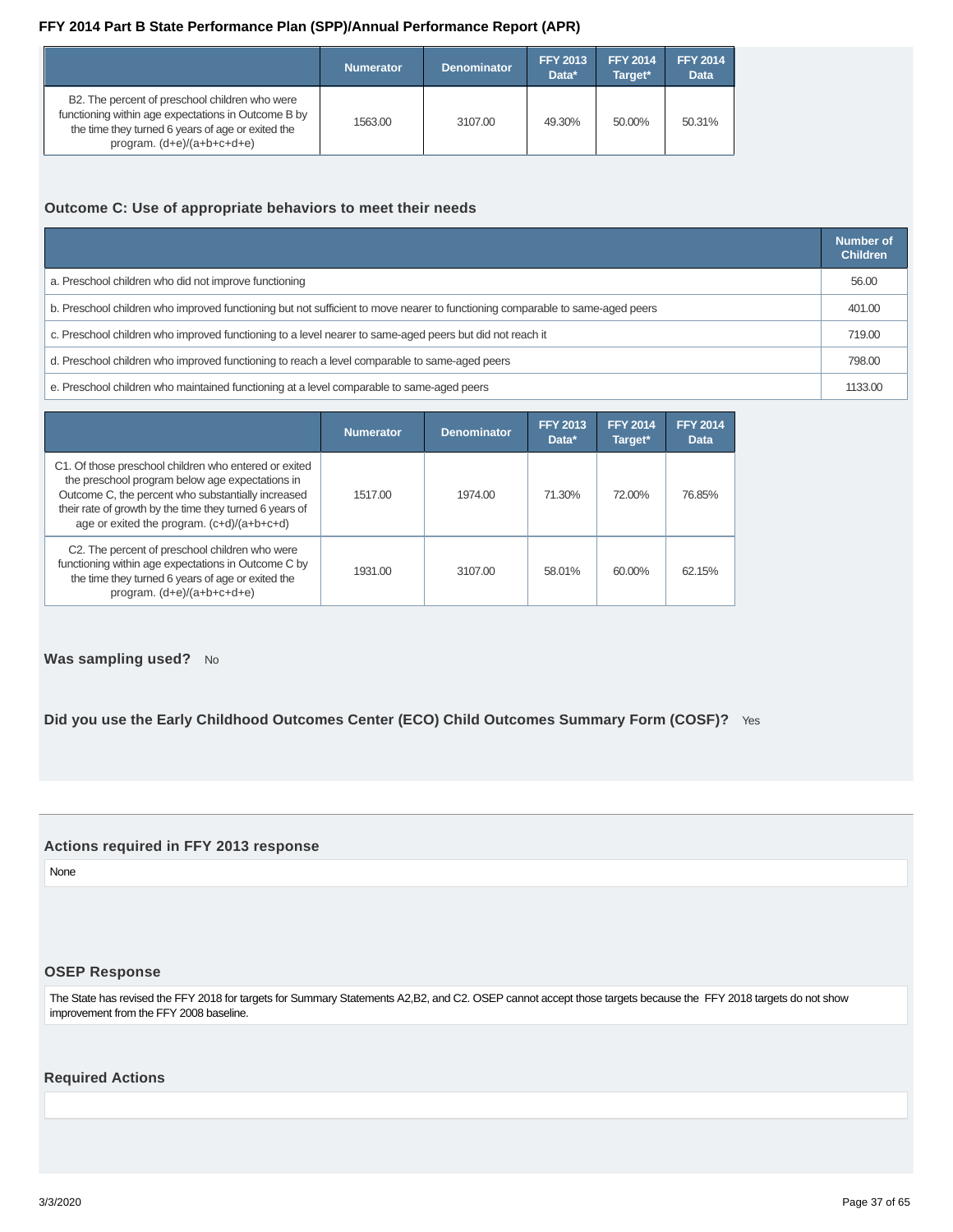<span id="page-36-0"></span>

|                                                                                                                                                                                            | <b>Numerator</b> | <b>Denominator</b> | <b>FFY 2013</b><br>Data* | <b>FFY 2014</b><br>Target* | <b>FFY 2014</b><br><b>Data</b> |
|--------------------------------------------------------------------------------------------------------------------------------------------------------------------------------------------|------------------|--------------------|--------------------------|----------------------------|--------------------------------|
| B2. The percent of preschool children who were<br>functioning within age expectations in Outcome B by<br>the time they turned 6 years of age or exited the<br>program. $(d+e)/(a+b+c+d+e)$ | 1563.00          | 3107.00            | 49.30%                   | 50.00%                     | 50.31%                         |

#### **Outcome C: Use of appropriate behaviors to meet their needs**

|                                                                                                                               | Number of<br><b>Children</b> |
|-------------------------------------------------------------------------------------------------------------------------------|------------------------------|
| a. Preschool children who did not improve functioning                                                                         | 56.00                        |
| b. Preschool children who improved functioning but not sufficient to move nearer to functioning comparable to same-aged peers | 401.00                       |
| c. Preschool children who improved functioning to a level nearer to same-aged peers but did not reach it                      | 719.00                       |
| d. Preschool children who improved functioning to reach a level comparable to same-aged peers                                 | 798.00                       |
| e. Preschool children who maintained functioning at a level comparable to same-aged peers                                     | 1133.00                      |

|                                                                                                                                                                                                                                                                         | <b>Numerator</b> | <b>Denominator</b> | <b>FFY 2013</b><br>Data* | <b>FFY 2014</b><br>Target* | <b>FFY 2014</b><br><b>Data</b> |
|-------------------------------------------------------------------------------------------------------------------------------------------------------------------------------------------------------------------------------------------------------------------------|------------------|--------------------|--------------------------|----------------------------|--------------------------------|
| C1. Of those preschool children who entered or exited<br>the preschool program below age expectations in<br>Outcome C, the percent who substantially increased<br>their rate of growth by the time they turned 6 years of<br>age or exited the program. (c+d)/(a+b+c+d) | 1517.00          | 1974.00            | 71.30%                   | 72.00%                     | 76.85%                         |
| C2. The percent of preschool children who were<br>functioning within age expectations in Outcome C by<br>the time they turned 6 years of age or exited the<br>program. $(d+e)/(a+b+c+d+e)$                                                                              | 1931.00          | 3107.00            | 58.01%                   | 60.00%                     | 62.15%                         |

### **Was sampling used?** No

**Did you use the Early Childhood Outcomes Center (ECO) Child Outcomes Summary Form (COSF)?** Yes

#### **Actions required in FFY 2013 response**

None

#### **OSEP Response**

The State has revised the FFY 2018 for targets for Summary Statements A2,B2, and C2. OSEP cannot accept those targets because the FFY 2018 targets do not show improvement from the FFY 2008 baseline.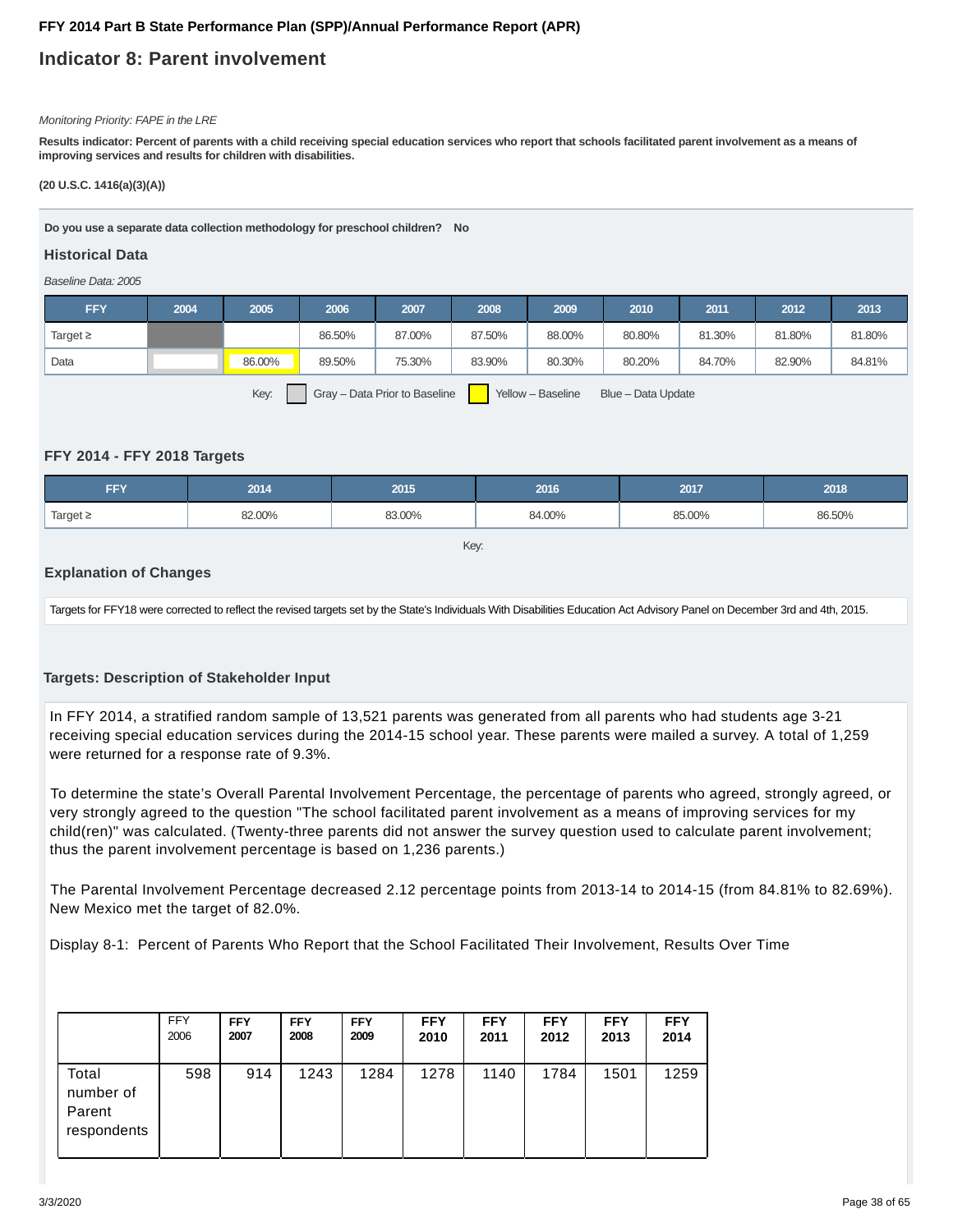## **Indicator 8: Parent involvement**

#### Monitoring Priority: FAPE in the LRE

**Results indicator: Percent of parents with a child receiving special education services who report that schools facilitated parent involvement as a means of improving services and results for children with disabilities.**

#### **(20 U.S.C. 1416(a)(3)(A))**

**Do you use a separate data collection methodology for preschool children? No**

#### **Historical Data**

Baseline Data: 2005

| <b>FFY</b>    | 2004 | 2005   | 2006   | 2007   | 2008   | 2009   | 2010   | 2011   | 2012   | 2013   |
|---------------|------|--------|--------|--------|--------|--------|--------|--------|--------|--------|
| Target $\geq$ |      |        | 86.50% | 87.00% | 87.50% | 88.00% | 80.80% | 81.30% | 81.80% | 81.80% |
| Data          |      | 86.00% | 89.50% | 75.30% | 83.90% | 80.30% | 80.20% | 84.70% | 82.90% | 84.81% |
|               |      |        |        |        |        |        |        |        |        |        |

Key: Gray – Data Prior to Baseline Yellow – Baseline Blue – Data Update

#### **FFY 2014 - FFY 2018 Targets**

| <b>FFY</b>    | 2014   | 2015   | 2016   | 2017   | 2018   |
|---------------|--------|--------|--------|--------|--------|
| Target $\geq$ | 82.00% | 83.00% | 84.00% | 85.00% | 86.50% |

Key:

#### **Explanation of Changes**

Targets for FFY18 were corrected to reflect the revised targets set by the State's Individuals With Disabilities Education Act Advisory Panel on December 3rd and 4th, 2015.

#### **Targets: Description of Stakeholder Input**

In FFY 2014, a stratified random sample of 13,521 parents was generated from all parents who had students age 3-21 receiving special education services during the 2014-15 school year. These parents were mailed a survey. A total of 1,259 were returned for a response rate of 9.3%.

To determine the state's Overall Parental Involvement Percentage, the percentage of parents who agreed, strongly agreed, or very strongly agreed to the question "The school facilitated parent involvement as a means of improving services for my child(ren)" was calculated. (Twenty-three parents did not answer the survey question used to calculate parent involvement; thus the parent involvement percentage is based on 1,236 parents.)

The Parental Involvement Percentage decreased 2.12 percentage points from 2013-14 to 2014-15 (from 84.81% to 82.69%). New Mexico met the target of 82.0%.

Display 8-1: Percent of Parents Who Report that the School Facilitated Their Involvement, Results Over Time

|                                             | <b>FFY</b> | <b>FFY</b> | <b>FFY</b> | <b>FFY</b> | <b>FFY</b> | <b>FFY</b> | <b>FFY</b> | <b>FFY</b> | <b>FFY</b> |
|---------------------------------------------|------------|------------|------------|------------|------------|------------|------------|------------|------------|
|                                             | 2006       | 2007       | 2008       | 2009       | 2010       | 2011       | 2012       | 2013       | 2014       |
| Total<br>number of<br>Parent<br>respondents | 598        | 914        | 1243       | 1284       | 1278       | 1140       | 1784       | 1501       | 1259       |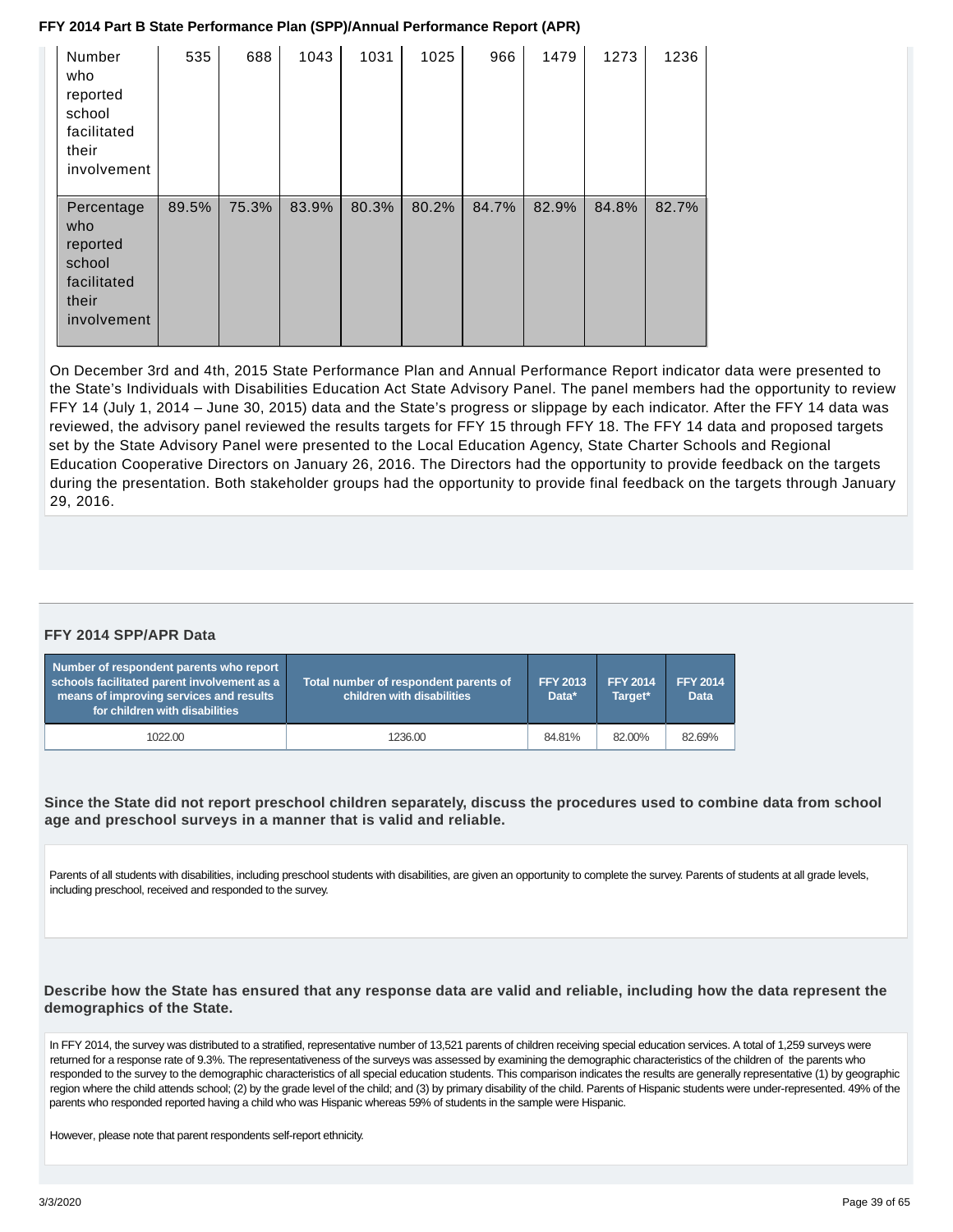| Number<br>who<br>reported<br>school<br>facilitated<br>their<br>involvement     | 535   | 688   | 1043  | 1031  | 1025  | 966   | 1479  | 1273  | 1236  |
|--------------------------------------------------------------------------------|-------|-------|-------|-------|-------|-------|-------|-------|-------|
| Percentage<br>who<br>reported<br>school<br>facilitated<br>their<br>involvement | 89.5% | 75.3% | 83.9% | 80.3% | 80.2% | 84.7% | 82.9% | 84.8% | 82.7% |

On December 3rd and 4th, 2015 State Performance Plan and Annual Performance Report indicator data were presented to the State's Individuals with Disabilities Education Act State Advisory Panel. The panel members had the opportunity to review FFY 14 (July 1, 2014 – June 30, 2015) data and the State's progress or slippage by each indicator. After the FFY 14 data was reviewed, the advisory panel reviewed the results targets for FFY 15 through FFY 18. The FFY 14 data and proposed targets set by the State Advisory Panel were presented to the Local Education Agency, State Charter Schools and Regional Education Cooperative Directors on January 26, 2016. The Directors had the opportunity to provide feedback on the targets during the presentation. Both stakeholder groups had the opportunity to provide final feedback on the targets through January 29, 2016.

#### **FFY 2014 SPP/APR Data**

| Number of respondent parents who report<br>schools facilitated parent involvement as a<br>means of improving services and results<br>for children with disabilities | Total number of respondent parents of<br>children with disabilities | <b>FFY 2013</b><br>Data* | <b>FFY 2014</b><br>Target* | <b>FFY 2014</b><br><b>Data</b> |
|---------------------------------------------------------------------------------------------------------------------------------------------------------------------|---------------------------------------------------------------------|--------------------------|----------------------------|--------------------------------|
| 1022.00                                                                                                                                                             | 1236.00                                                             | 84.81%                   | 82.00%                     | 82.69%                         |

**Since the State did not report preschool children separately, discuss the procedures used to combine data from school age and preschool surveys in a manner that is valid and reliable.**

Parents of all students with disabilities, including preschool students with disabilities, are given an opportunity to complete the survey. Parents of students at all grade levels, including preschool, received and responded to the survey.

**Describe how the State has ensured that any response data are valid and reliable, including how the data represent the demographics of the State.**

In FFY 2014, the survey was distributed to a stratified, representative number of 13,521 parents of children receiving special education services. A total of 1,259 surveys were returned for a response rate of 9.3%. The representativeness of the surveys was assessed by examining the demographic characteristics of the children of the parents who responded to the survey to the demographic characteristics of all special education students. This comparison indicates the results are generally representative (1) by geographic region where the child attends school; (2) by the grade level of the child; and (3) by primary disability of the child. Parents of Hispanic students were under-represented. 49% of the parents who responded reported having a child who was Hispanic whereas 59% of students in the sample were Hispanic.

However, please note that parent respondents self-report ethnicity.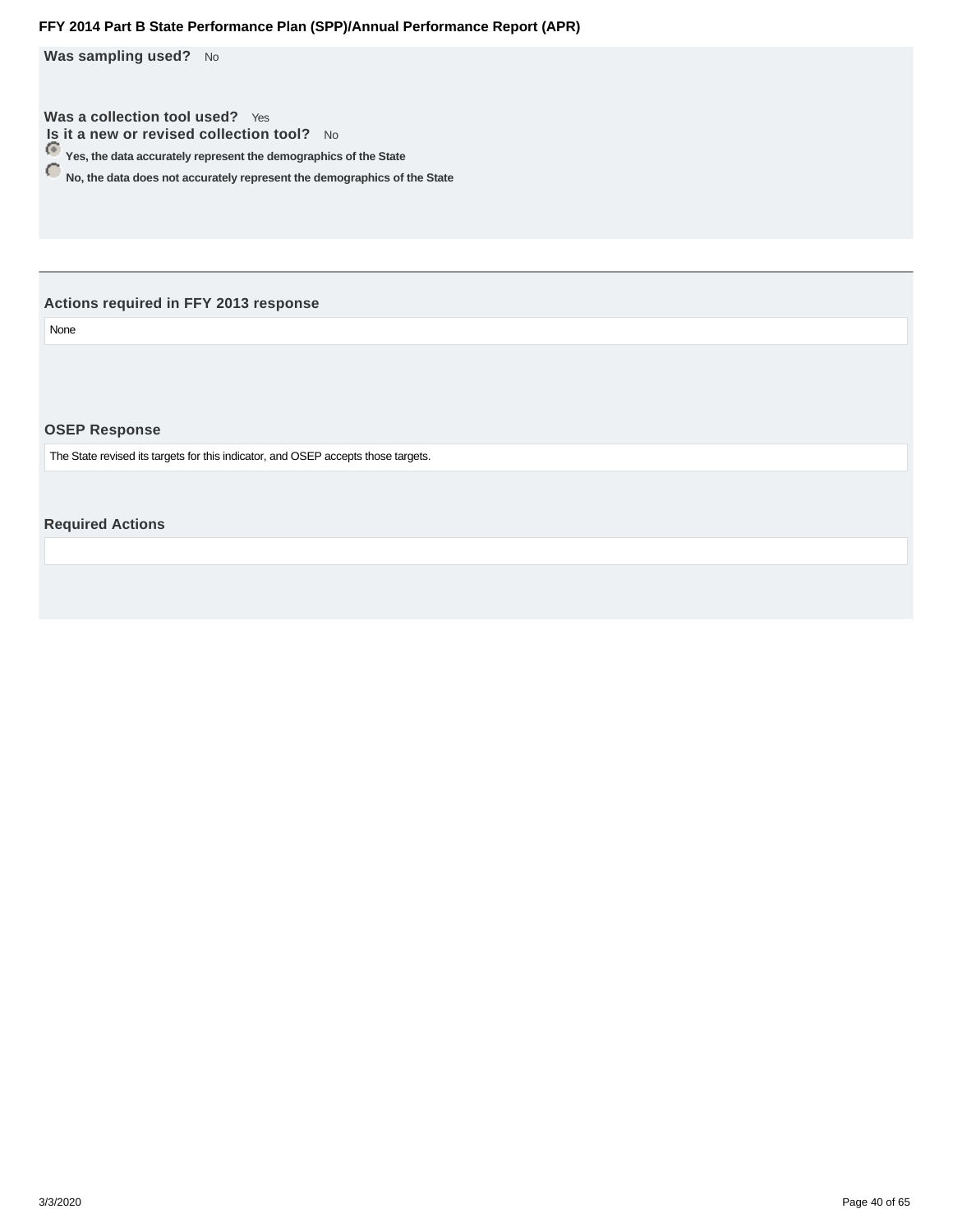<span id="page-39-0"></span>Was sampling used? No

**Was a collection tool used?** Yes **Is it a new or revised collection tool?** No

**Yes, the data accurately represent the demographics of the State**

**No, the data does not accurately represent the demographics of the State** 

#### **Actions required in FFY 2013 response**

None

#### **OSEP Response**

The State revised its targets for this indicator, and OSEP accepts those targets.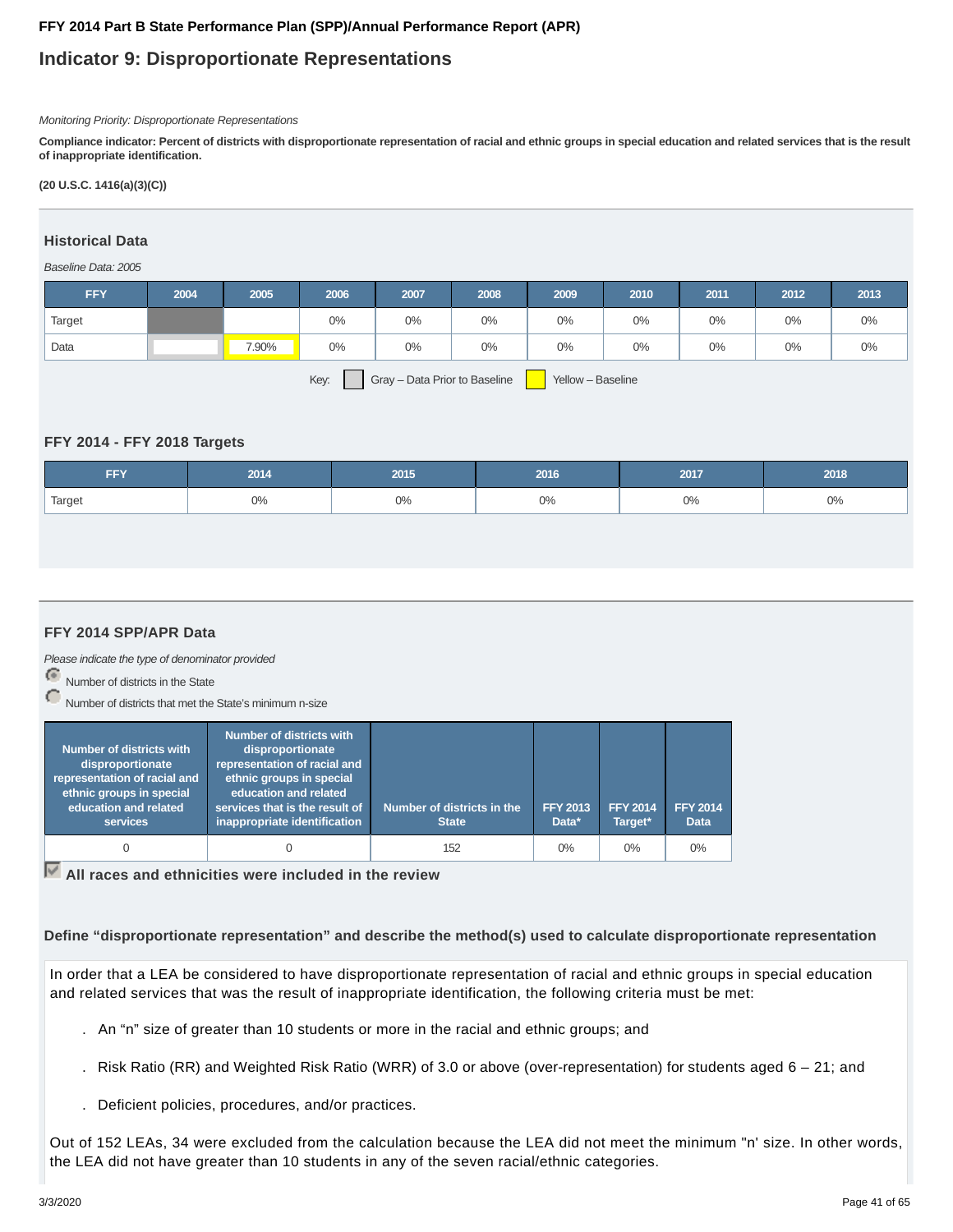## **Indicator 9: Disproportionate Representations**

#### Monitoring Priority: Disproportionate Representations

**Compliance indicator: Percent of districts with disproportionate representation of racial and ethnic groups in special education and related services that is the result of inappropriate identification.**

#### **(20 U.S.C. 1416(a)(3)(C))**

#### **Historical Data**

#### Baseline Data: 2005

| <b>FFY</b>    | 2004 | 2005  | 2006                     | 2007  | 2008  | 2009                                                  | 2010 | 2011  | 2012  | 2013  |
|---------------|------|-------|--------------------------|-------|-------|-------------------------------------------------------|------|-------|-------|-------|
| <b>Target</b> |      |       | 0%                       | $0\%$ | $0\%$ | $0\%$                                                 | 0%   | $0\%$ | $0\%$ | $0\%$ |
| Data          |      | 7.90% | 0%                       | $0\%$ | $0\%$ | $0\%$                                                 | 0%   | 0%    | $0\%$ | $0\%$ |
|               |      |       | $\overline{\phantom{0}}$ |       |       | <u>and the second property of the second property</u> |      |       |       |       |

Key: Gray – Data Prior to Baseline Yellow – Baseline

#### **FFY 2014 - FFY 2018 Targets**

| <b>FFY</b> | 2014 | 2015 | 2016 | 2017  | 2018 |
|------------|------|------|------|-------|------|
| Target     | 0%   | 0%   | 0%   | $0\%$ | 0%   |

#### **FFY 2014 SPP/APR Data**

Please indicate the type of denominator provided

Number of districts in the State

Number of districts that met the State's minimum n-size

| <b>Number of districts with</b><br>disproportionate<br>representation of racial and<br>ethnic groups in special<br>education and related<br>services | <b>Number of districts with</b><br>disproportionate<br>representation of racial and<br>ethnic groups in special<br>education and related<br>services that is the result of<br>inappropriate identification | Number of districts in the<br><b>State</b> | <b>FFY 2013</b><br>Data* | <b>FFY 2014</b><br>Target* | <b>FFY 2014</b><br><b>Data</b> |
|------------------------------------------------------------------------------------------------------------------------------------------------------|------------------------------------------------------------------------------------------------------------------------------------------------------------------------------------------------------------|--------------------------------------------|--------------------------|----------------------------|--------------------------------|
|                                                                                                                                                      | 0                                                                                                                                                                                                          | 152                                        | $0\%$                    | $0\%$                      | $0\%$                          |

**All races and ethnicities were included in the review**

**Define "disproportionate representation" and describe the method(s) used to calculate disproportionate representation**

In order that a LEA be considered to have disproportionate representation of racial and ethnic groups in special education and related services that was the result of inappropriate identification, the following criteria must be met:

- . An "n" size of greater than 10 students or more in the racial and ethnic groups; and
- . Risk Ratio (RR) and Weighted Risk Ratio (WRR) of 3.0 or above (over-representation) for students aged 6 21; and
- . Deficient policies, procedures, and/or practices.

Out of 152 LEAs, 34 were excluded from the calculation because the LEA did not meet the minimum "n' size. In other words, the LEA did not have greater than 10 students in any of the seven racial/ethnic categories.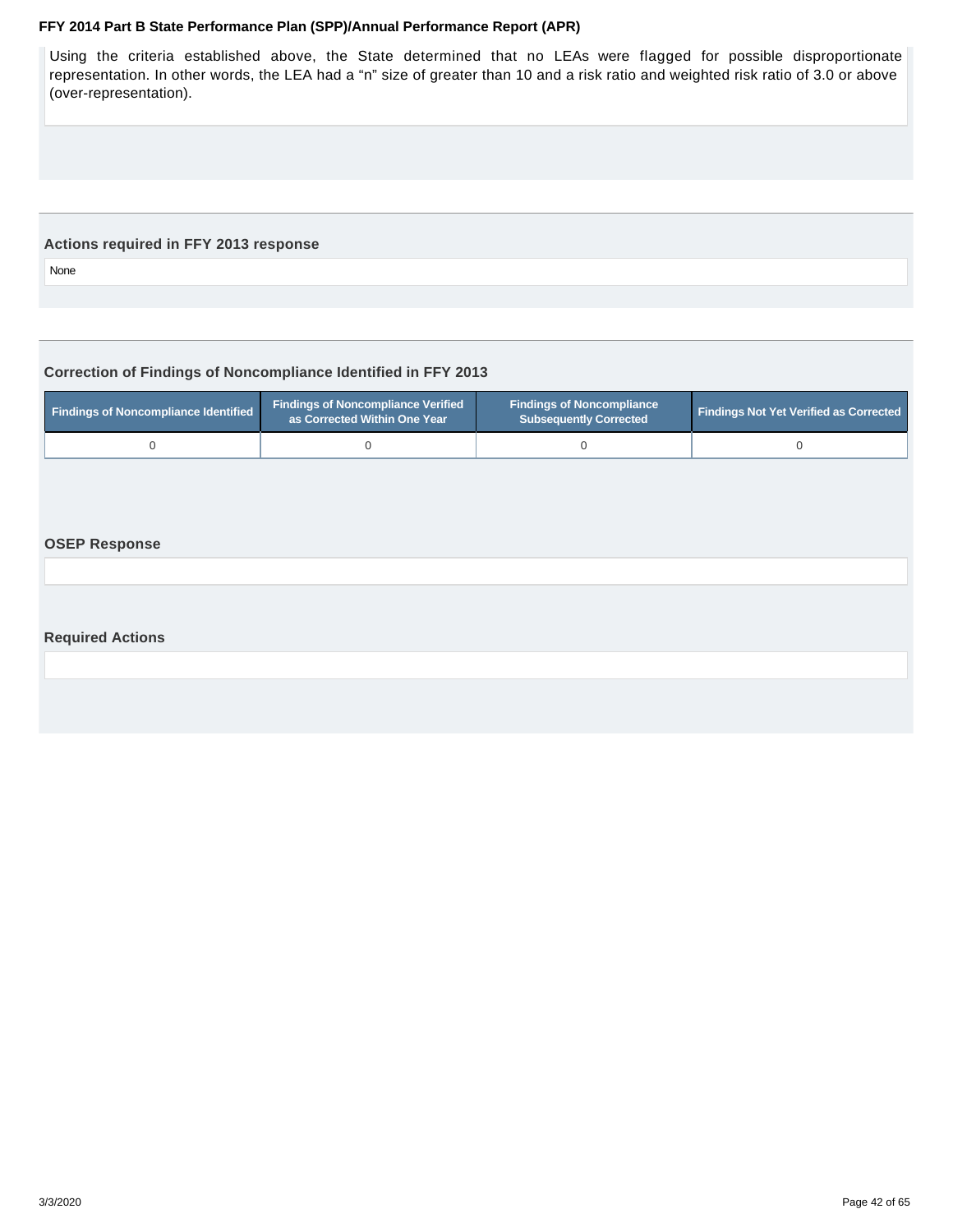<span id="page-41-0"></span>Using the criteria established above, the State determined that no LEAs were flagged for possible disproportionate representation. In other words, the LEA had a "n" size of greater than 10 and a risk ratio and weighted risk ratio of 3.0 or above (over-representation).

#### **Actions required in FFY 2013 response**

None

#### **Correction of Findings of Noncompliance Identified in FFY 2013**

| <b>Findings of Noncompliance Verified</b><br>Findings of Noncompliance Identified<br>as Corrected Within One Year |  | <b>Findings of Noncompliance</b><br><b>Subsequently Corrected</b> | <b>Findings Not Yet Verified as Corrected</b> |  |
|-------------------------------------------------------------------------------------------------------------------|--|-------------------------------------------------------------------|-----------------------------------------------|--|
|                                                                                                                   |  |                                                                   |                                               |  |

#### **OSEP Response**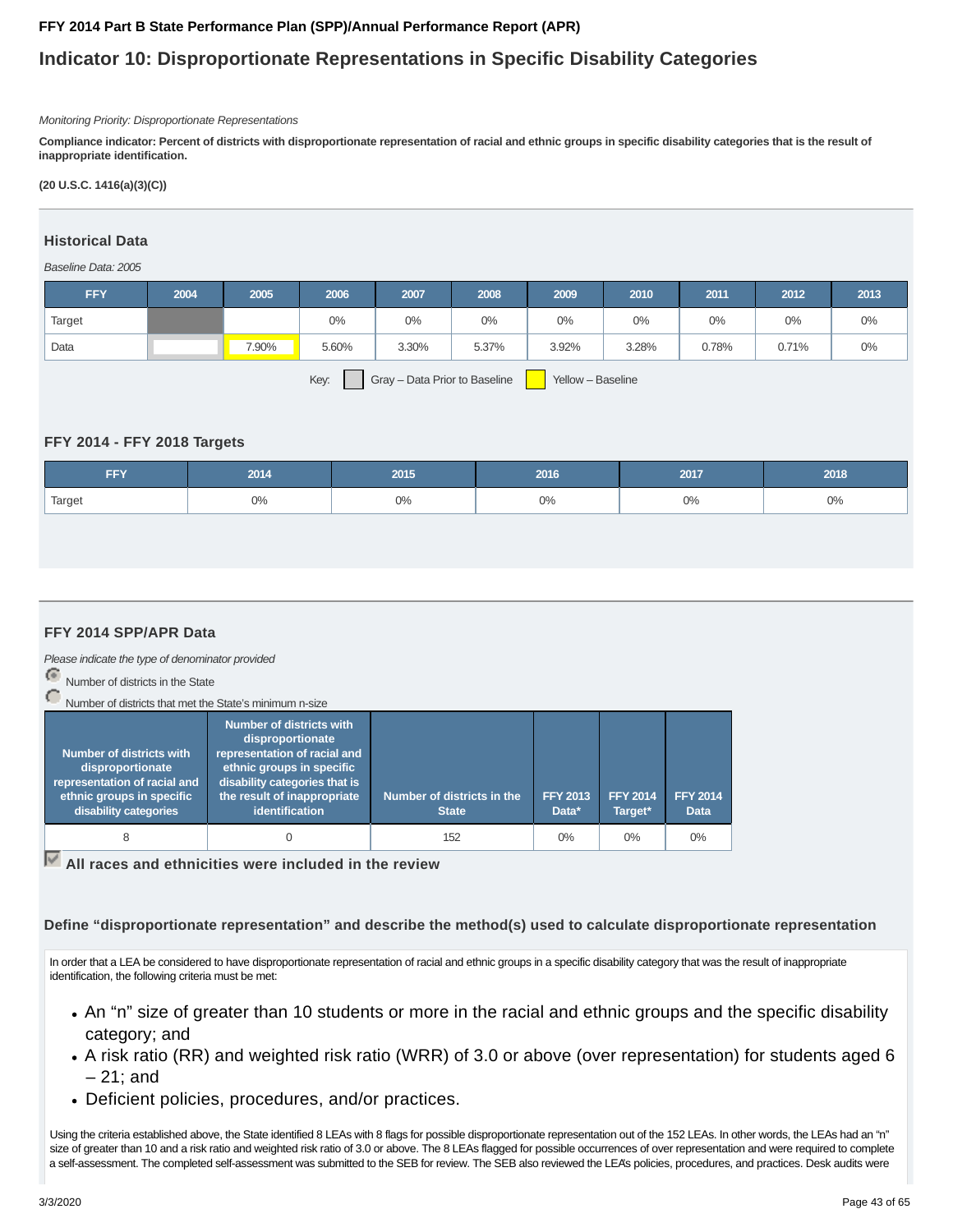## **Indicator 10: Disproportionate Representations in Specific Disability Categories**

#### Monitoring Priority: Disproportionate Representations

**Compliance indicator: Percent of districts with disproportionate representation of racial and ethnic groups in specific disability categories that is the result of inappropriate identification.**

#### **(20 U.S.C. 1416(a)(3)(C))**

#### **Historical Data**

#### Baseline Data: 2005

| <b>FFY</b>                                                 | 2004 | 2005  | 2006  | 2007  | 2008  | 2009  | 2010  | 2011  | 2012  | 2013  |
|------------------------------------------------------------|------|-------|-------|-------|-------|-------|-------|-------|-------|-------|
| Target                                                     |      |       | $0\%$ | $0\%$ | 0%    | 0%    | 0%    | 0%    | 0%    | $0\%$ |
| Data                                                       |      | 7.90% | 5.60% | 3.30% | 5.37% | 3.92% | 3.28% | 0.78% | 0.71% | $0\%$ |
| Key:<br>Gray - Data Prior to Baseline<br>Yellow - Baseline |      |       |       |       |       |       |       |       |       |       |

#### **FFY 2014 - FFY 2018 Targets**

| <b>FFY</b> | 2014 | 2015 | 2016 | 2017 | 2018 |
|------------|------|------|------|------|------|
| Target     | 0%   | 0%   | 0%   | 0%   | 0%   |

#### **FFY 2014 SPP/APR Data**

Please indicate the type of denominator provided

Number of districts in the State

Number of districts that met the State's minimum n-size

| <b>Number of districts with</b><br>disproportionate<br>representation of racial and<br>ethnic groups in specific<br>disability categories | <b>Number of districts with</b><br>disproportionate<br>representation of racial and<br>ethnic groups in specific<br>disability categories that is<br>the result of inappropriate<br>identification | Number of districts in the<br><b>State</b> | <b>FFY 2013</b><br>Data* | <b>FFY 2014</b><br>Target* | <b>FFY 2014</b><br><b>Data</b> |
|-------------------------------------------------------------------------------------------------------------------------------------------|----------------------------------------------------------------------------------------------------------------------------------------------------------------------------------------------------|--------------------------------------------|--------------------------|----------------------------|--------------------------------|
| 8                                                                                                                                         |                                                                                                                                                                                                    | 152                                        | $0\%$                    | $0\%$                      | $0\%$                          |

**All races and ethnicities were included in the review**

**Define "disproportionate representation" and describe the method(s) used to calculate disproportionate representation**

In order that a LEA be considered to have disproportionate representation of racial and ethnic groups in a specific disability category that was the result of inappropriate identification, the following criteria must be met:

- An "n" size of greater than 10 students or more in the racial and ethnic groups and the specific disability category; and
- A risk ratio (RR) and weighted risk ratio (WRR) of 3.0 or above (over representation) for students aged 6 – 21; and
- Deficient policies, procedures, and/or practices.

Using the criteria established above, the State identified 8 LEAs with 8 flags for possible disproportionate representation out of the 152 LEAs. In other words, the LEAs had an "n" size of greater than 10 and a risk ratio and weighted risk ratio of 3.0 or above. The 8 LEAs flagged for possible occurrences of over representation and were required to complete a self-assessment. The completed self-assessment was submitted to the SEB for review. The SEB also reviewed the LEA's policies, procedures, and practices. Desk audits were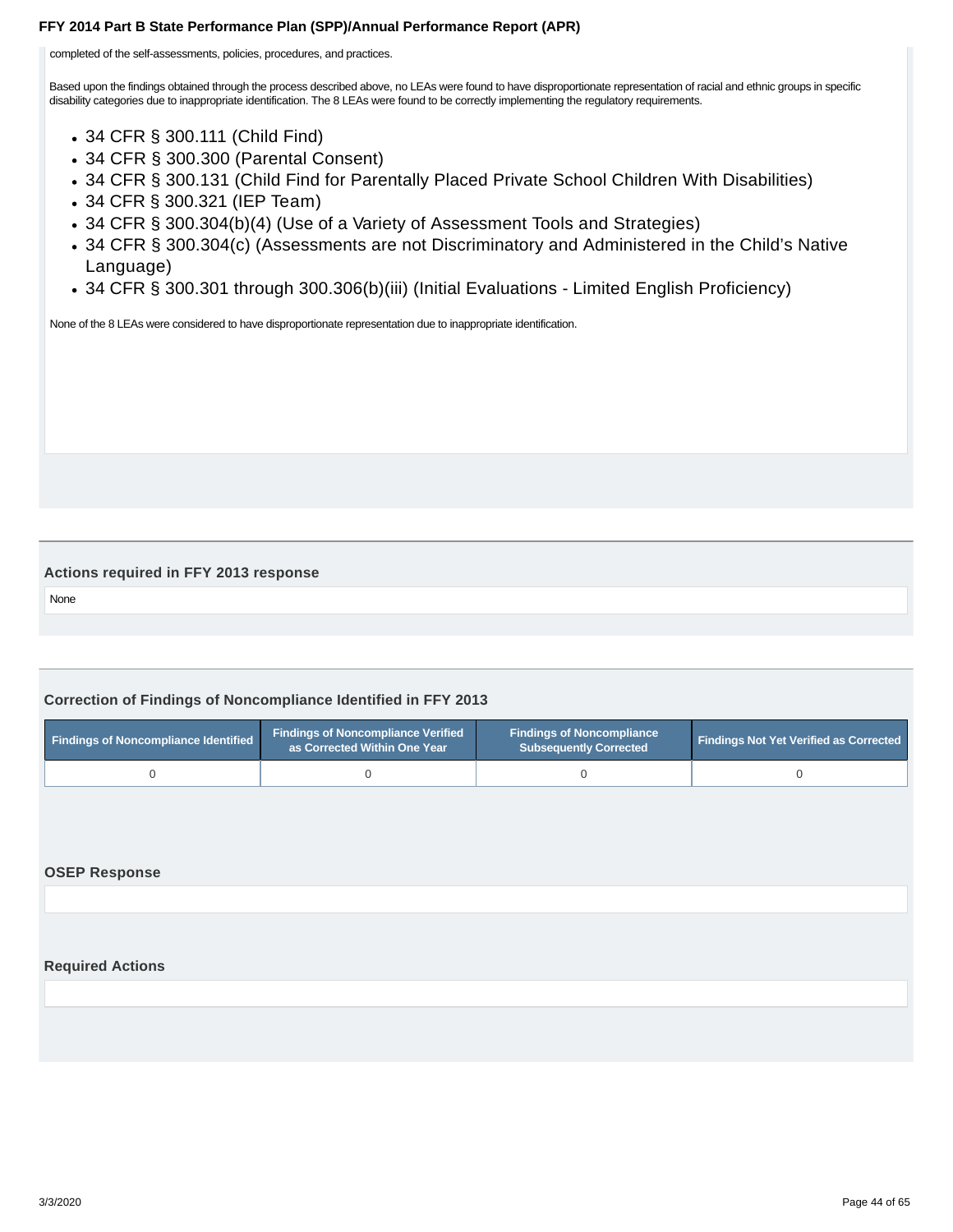<span id="page-43-0"></span>completed of the self-assessments, policies, procedures, and practices.

Based upon the findings obtained through the process described above, no LEAs were found to have disproportionate representation of racial and ethnic groups in specific disability categories due to inappropriate identification. The 8 LEAs were found to be correctly implementing the regulatory requirements.

- 34 CFR § 300.111 (Child Find)
- 34 CFR § 300.300 (Parental Consent)
- 34 CFR § 300.131 (Child Find for Parentally Placed Private School Children With Disabilities)
- 34 CFR § 300.321 (IEP Team)
- 34 CFR § 300.304(b)(4) (Use of a Variety of Assessment Tools and Strategies)
- 34 CFR § 300.304(c) (Assessments are not Discriminatory and Administered in the Child's Native Language)
- 34 CFR § 300.301 through 300.306(b)(iii) (Initial Evaluations Limited English Proficiency)

None of the 8 LEAs were considered to have disproportionate representation due to inappropriate identification.

#### **Actions required in FFY 2013 response**

None

### **Correction of Findings of Noncompliance Identified in FFY 2013**

| <b>Findings of Noncompliance Identified</b> | <b>Findings of Noncompliance Verified</b><br>as Corrected Within One Year | <b>Findings of Noncompliance</b><br><b>Subsequently Corrected</b> | <b>Findings Not Yet Verified as Corrected</b> |
|---------------------------------------------|---------------------------------------------------------------------------|-------------------------------------------------------------------|-----------------------------------------------|
|                                             |                                                                           |                                                                   |                                               |

#### **OSEP Response**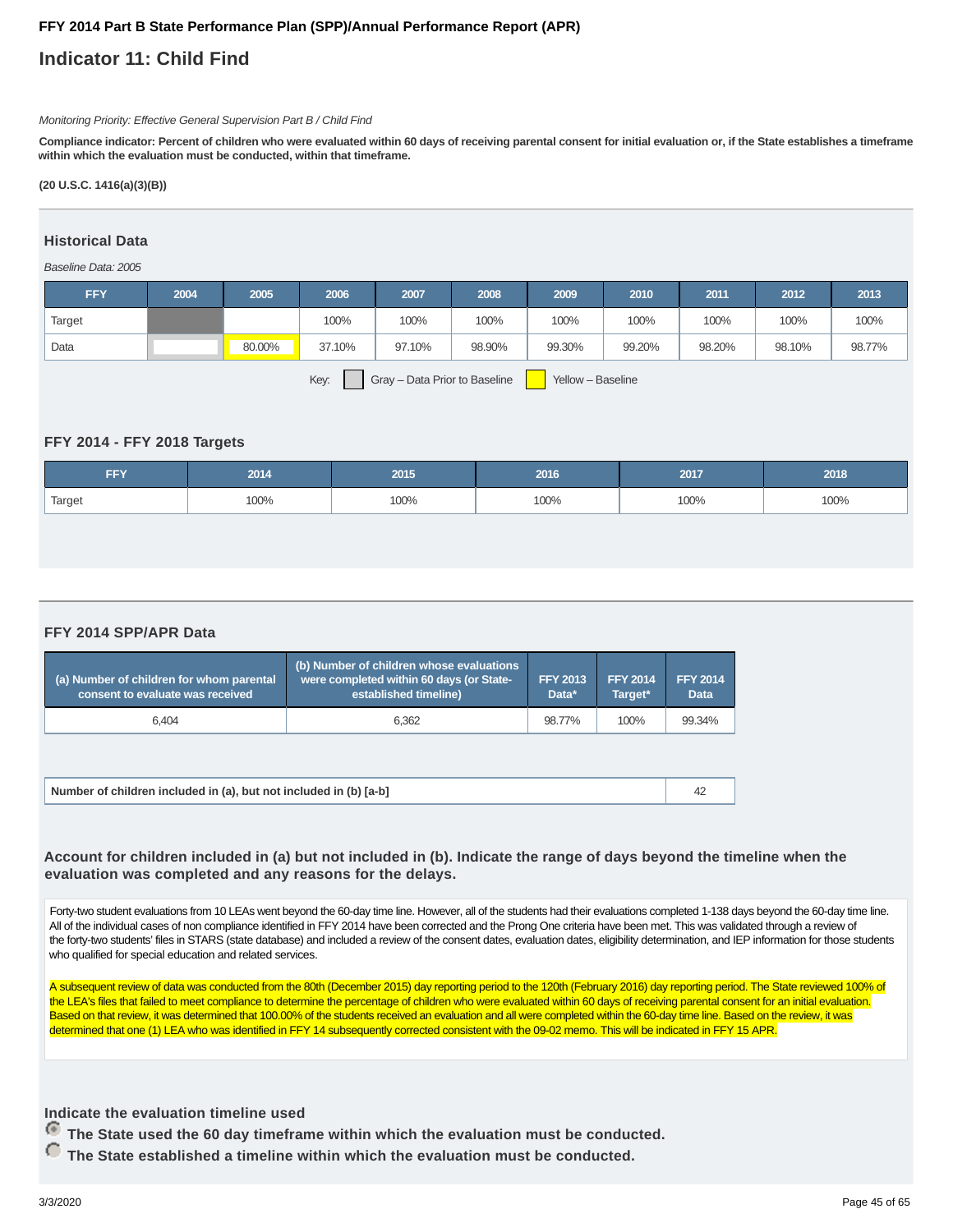## **Indicator 11: Child Find**

#### Monitoring Priority: Effective General Supervision Part B / Child Find

**Compliance indicator: Percent of children who were evaluated within 60 days of receiving parental consent for initial evaluation or, if the State establishes a timeframe within which the evaluation must be conducted, within that timeframe.**

#### **(20 U.S.C. 1416(a)(3)(B))**

#### **Historical Data**

#### Baseline Data: 2005

| <b>FFY</b>                                                 | 2004 | 2005   | 2006   | 2007   | 2008   | 2009   | 2010   | 2011   | 2012   | 2013   |
|------------------------------------------------------------|------|--------|--------|--------|--------|--------|--------|--------|--------|--------|
| Target                                                     |      |        | 100%   | 100%   | 100%   | 100%   | 100%   | 100%   | 100%   | 100%   |
| Data                                                       |      | 80.00% | 37.10% | 97.10% | 98.90% | 99.30% | 99.20% | 98.20% | 98.10% | 98.77% |
| Key:<br>Gray - Data Prior to Baseline<br>Yellow - Baseline |      |        |        |        |        |        |        |        |        |        |

#### **FFY 2014 - FFY 2018 Targets**

| FFY    | 2014 | 2015 | 2016 | 2017 | 2018 |
|--------|------|------|------|------|------|
| Target | 100% | 100% | 100% | 100% | 100% |

#### **FFY 2014 SPP/APR Data**

| (a) Number of children for whom parental<br>consent to evaluate was received | (b) Number of children whose evaluations<br>were completed within 60 days (or State-<br>established timeline) | <b>FFY 2013</b><br>Data* | <b>FFY 2014</b><br>Target* | <b>FFY 2014</b><br><b>Data</b> |
|------------------------------------------------------------------------------|---------------------------------------------------------------------------------------------------------------|--------------------------|----------------------------|--------------------------------|
| 6.404                                                                        | 6.362                                                                                                         | 98.77%                   | 100%                       | 99.34%                         |

| Number of children included in (a), but not included in (b) [a-b] |
|-------------------------------------------------------------------|
|-------------------------------------------------------------------|

#### **Account for children included in (a) but not included in (b). Indicate the range of days beyond the timeline when the evaluation was completed and any reasons for the delays.**

Forty-two student evaluations from 10 LEAs went beyond the 60-day time line. However, all of the students had their evaluations completed 1-138 days beyond the 60-day time line. All of the individual cases of non compliance identified in FFY 2014 have been corrected and the Prong One criteria have been met. This was validated through a review of the forty-two students' files in STARS (state database) and included a review of the consent dates, evaluation dates, eligibility determination, and IEP information for those students who qualified for special education and related services.

A subsequent review of data was conducted from the 80th (December 2015) day reporting period to the 120th (February 2016) day reporting period. The State reviewed 100% of the LEA's files that failed to meet compliance to determine the percentage of children who were evaluated within 60 days of receiving parental consent for an initial evaluation. Based on that review, it was determined that 100,00% of the students received an evaluation and all were completed within the 60-day time line. Based on the review, it was determined that one (1) LEA who was identified in FFY 14 subsequently corrected consistent with the 09-02 memo. This will be indicated in FFY 15 APR.

#### **Indicate the evaluation timeline used**

 **The State used the 60 day timeframe within which the evaluation must be conducted.**

 **The State established a timeline within which the evaluation must be conducted.**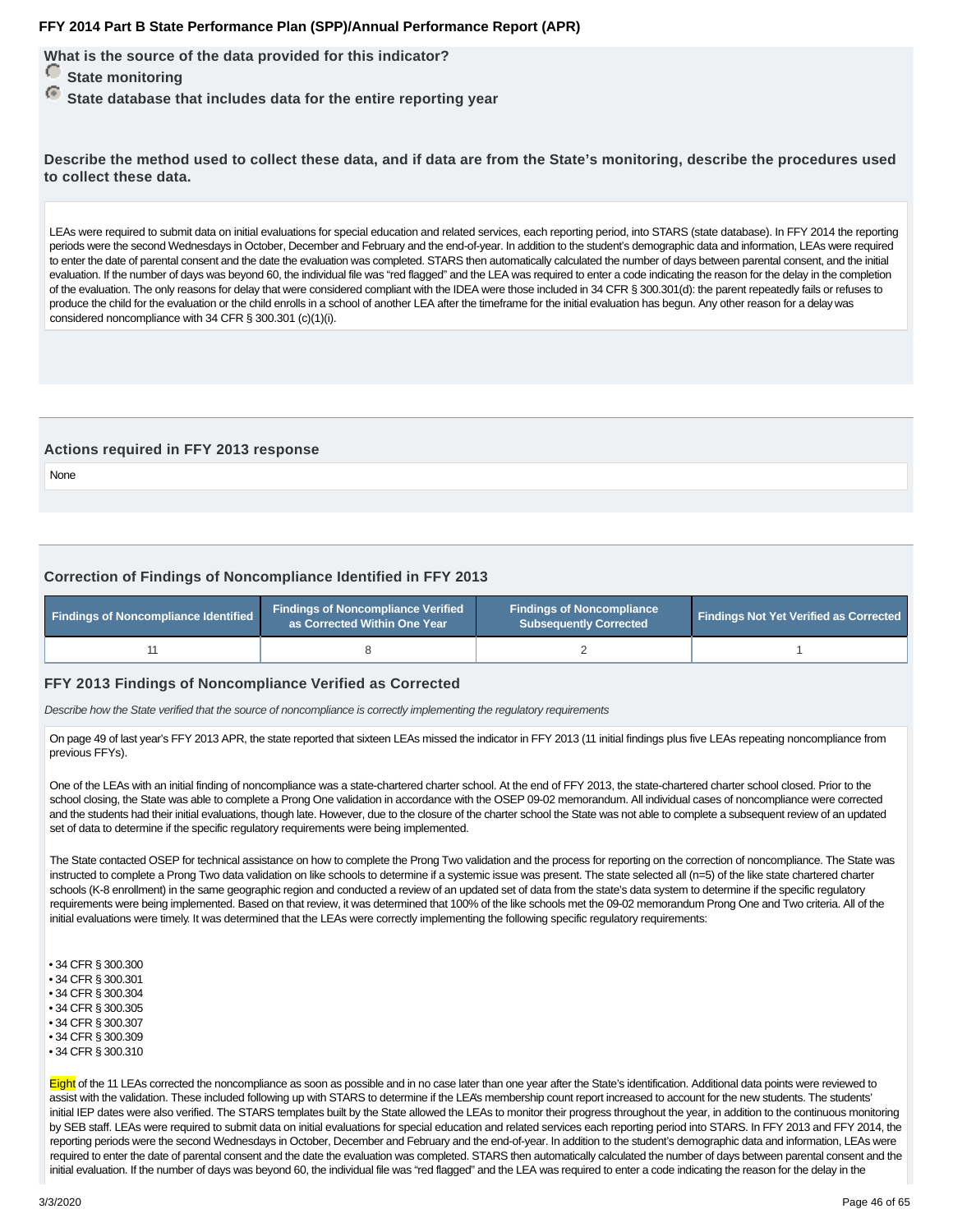**What is the source of the data provided for this indicator?**

- *<u>State monitoring</u>*
- **State database that includes data for the entire reporting year**

**Describe the method used to collect these data, and if data are from the State's monitoring, describe the procedures used to collect these data.**

LEAs were required to submit data on initial evaluations for special education and related services, each reporting period, into STARS (state database). In FFY 2014 the reporting periods were the second Wednesdays in October, December and February and the end-of-year. In addition to the student's demographic data and information, LEAs were required to enter the date of parental consent and the date the evaluation was completed. STARS then automatically calculated the number of days between parental consent, and the initial evaluation. If the number of days was beyond 60, the individual file was "red flagged" and the LEA was required to enter a code indicating the reason for the delay in the completion of the evaluation. The only reasons for delay that were considered compliant with the IDEA were those included in 34 CFR § 300.301(d): the parent repeatedly fails or refuses to produce the child for the evaluation or the child enrolls in a school of another LEA after the timeframe for the initial evaluation has begun. Any other reason for a delay was considered noncompliance with 34 CFR § 300.301 (c)(1)(i).

#### **Actions required in FFY 2013 response**

None

#### **Correction of Findings of Noncompliance Identified in FFY 2013**

| Findings of Noncompliance Identified | <b>Findings of Noncompliance Verified</b><br>as Corrected Within One Year | <b>Findings of Noncompliance</b><br><b>Subsequently Corrected</b> | <b>Findings Not Yet Verified as Corrected</b> |  |
|--------------------------------------|---------------------------------------------------------------------------|-------------------------------------------------------------------|-----------------------------------------------|--|
|                                      |                                                                           |                                                                   |                                               |  |

#### **FFY 2013 Findings of Noncompliance Verified as Corrected**

Describe how the State verified that the source of noncompliance is correctly implementing the regulatory requirements

On page 49 of last year's FFY 2013 APR, the state reported that sixteen LEAs missed the indicator in FFY 2013 (11 initial findings plus five LEAs repeating noncompliance from previous FFYs).

One of the LEAs with an initial finding of noncompliance was a state-chartered charter school. At the end of FFY 2013, the state-chartered charter school closed. Prior to the school closing, the State was able to complete a Prong One validation in accordance with the OSEP 09-02 memorandum. All individual cases of noncompliance were corrected and the students had their initial evaluations, though late. However, due to the closure of the charter school the State was not able to complete a subsequent review of an updated set of data to determine if the specific regulatory requirements were being implemented.

The State contacted OSEP for technical assistance on how to complete the Prong Two validation and the process for reporting on the correction of noncompliance. The State was instructed to complete a Prong Two data validation on like schools to determine if a systemic issue was present. The state selected all (n=5) of the like state chartered charter schools (K-8 enrollment) in the same geographic region and conducted a review of an updated set of data from the state's data system to determine if the specific regulatory requirements were being implemented. Based on that review, it was determined that 100% of the like schools met the 09-02 memorandum Prong One and Two criteria. All of the initial evaluations were timely. It was determined that the LEAs were correctly implementing the following specific regulatory requirements:

- 34 CFR § 300.300
- 34 CFR § 300.301
- 34 CFR § 300.304
- 34 CFR § 300.305 • 34 CFR § 300.307
- 34 CFR § 300.309
- 34 CFR § 300.310
- 

Eight of the 11 LEAs corrected the noncompliance as soon as possible and in no case later than one year after the State's identification. Additional data points were reviewed to assist with the validation. These included following up with STARS to determine if the LEA's membership count report increased to account for the new students. The students' initial IEP dates were also verified. The STARS templates built by the State allowed the LEAs to monitor their progress throughout the year, in addition to the continuous monitoring by SEB staff. LEAs were required to submit data on initial evaluations for special education and related services each reporting period into STARS. In FFY 2013 and FFY 2014, the reporting periods were the second Wednesdays in October, December and February and the end-of-year. In addition to the student's demographic data and information, LEAs were required to enter the date of parental consent and the date the evaluation was completed. STARS then automatically calculated the number of days between parental consent and the initial evaluation. If the number of days was beyond 60, the individual file was "red flagged" and the LEA was required to enter a code indicating the reason for the delay in the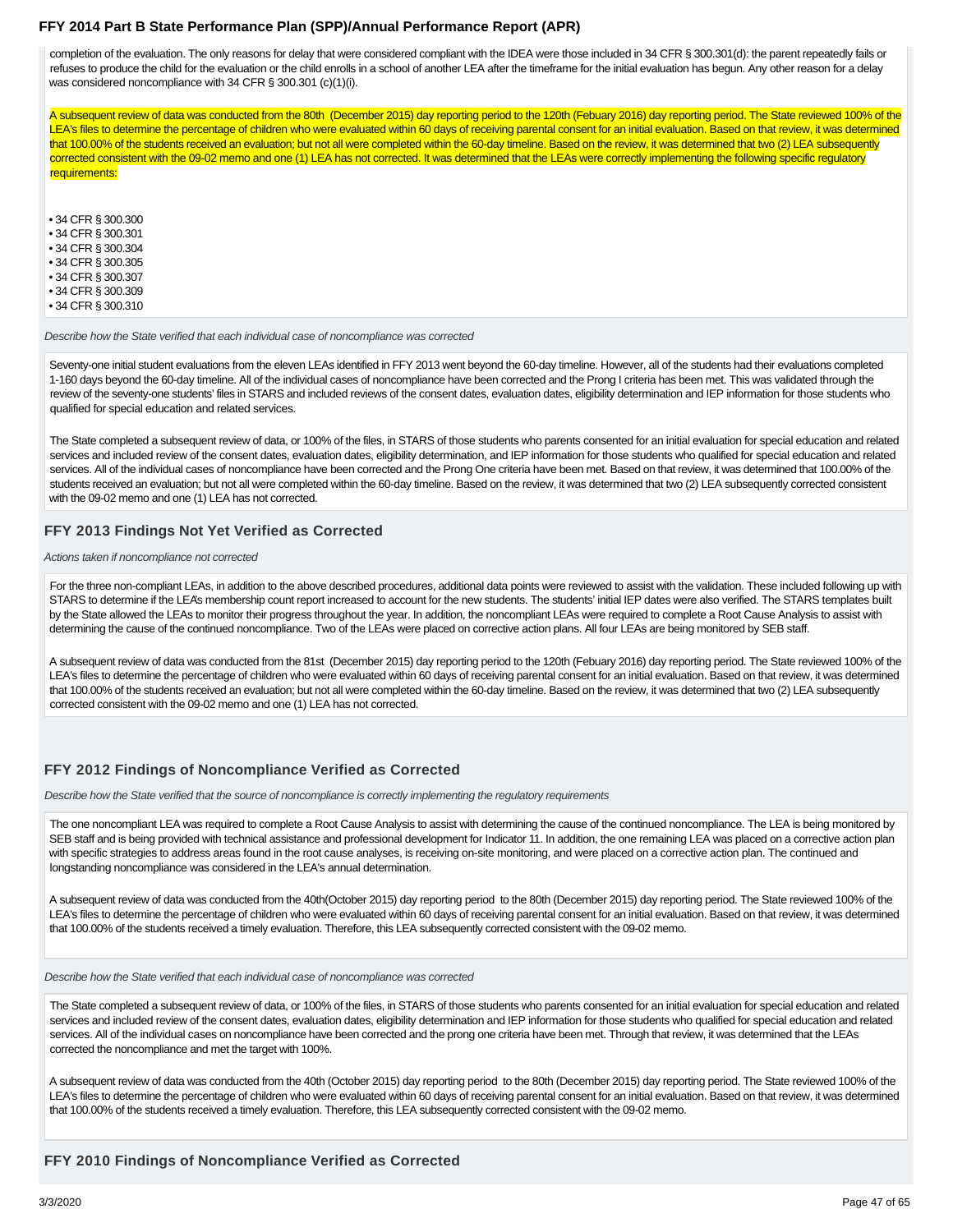completion of the evaluation. The only reasons for delay that were considered compliant with the IDEA were those included in 34 CFR § 300.301(d): the parent repeatedly fails or refuses to produce the child for the evaluation or the child enrolls in a school of another LEA after the timeframe for the initial evaluation has begun. Any other reason for a delay was considered noncompliance with 34 CFR § 300.301 (c)(1)(i).

A subsequent review of data was conducted from the 80th (December 2015) day reporting period to the 120th (Febuary 2016) day reporting period. The State reviewed 100% of the LEA's files to determine the percentage of children who were evaluated within 60 days of receiving parental consent for an initial evaluation. Based on that review, it was determined that 100.00% of the students received an evaluation; but not all were completed within the 60-day timeline. Based on the review, it was determined that two (2) LEA subsequently corrected consistent with the 09-02 memo and one (1) LEA has not corrected. It was determined that the LEAs were correctly implementing the following specific regulatory requirements:

• 34 CFR § 300.300

• 34 CFR § 300.301

• 34 CFR § 300.304

• 34 CFR § 300.305 • 34 CFR § 300.307

• 34 CFR § 300.309

• 34 CFR § 300.310

Describe how the State verified that each individual case of noncompliance was corrected

Seventy-one initial student evaluations from the eleven LEAs identified in FFY 2013 went beyond the 60-day timeline. However, all of the students had their evaluations completed 1-160 days beyond the 60-day timeline. All of the individual cases of noncompliance have been corrected and the Prong I criteria has been met. This was validated through the review of the seventy-one students' files in STARS and included reviews of the consent dates, evaluation dates, eligibility determination and IEP information for those students who qualified for special education and related services.

The State completed a subsequent review of data, or 100% of the files, in STARS of those students who parents consented for an initial evaluation for special education and related services and included review of the consent dates, evaluation dates, eligibility determination, and IEP information for those students who qualified for special education and related services. All of the individual cases of noncompliance have been corrected and the Prong One criteria have been met. Based on that review, it was determined that 100.00% of the students received an evaluation; but not all were completed within the 60-day timeline. Based on the review, it was determined that two (2) LEA subsequently corrected consistent with the 09-02 memo and one (1) LEA has not corrected.

#### **FFY 2013 Findings Not Yet Verified as Corrected**

Actions taken if noncompliance not corrected

For the three non-compliant LEAs, in addition to the above described procedures, additional data points were reviewed to assist with the validation. These included following up with STARS to determine if the LEA's membership count report increased to account for the new students. The students' initial IEP dates were also verified. The STARS templates built by the State allowed the LEAs to monitor their progress throughout the year. In addition, the noncompliant LEAs were required to complete a Root Cause Analysis to assist with determining the cause of the continued noncompliance. Two of the LEAs were placed on corrective action plans. All four LEAs are being monitored by SEB staff.

A subsequent review of data was conducted from the 81st (December 2015) day reporting period to the 120th (Febuary 2016) day reporting period. The State reviewed 100% of the LEA's files to determine the percentage of children who were evaluated within 60 days of receiving parental consent for an initial evaluation. Based on that review, it was determined that 100.00% of the students received an evaluation; but not all were completed within the 60-day timeline. Based on the review, it was determined that two (2) LEA subsequently corrected consistent with the 09-02 memo and one (1) LEA has not corrected.

#### **FFY 2012 Findings of Noncompliance Verified as Corrected**

Describe how the State verified that the source of noncompliance is correctly implementing the regulatory requirements

The one noncompliant LEA was required to complete a Root Cause Analysis to assist with determining the cause of the continued noncompliance. The LEA is being monitored by SEB staff and is being provided with technical assistance and professional development for Indicator 11. In addition, the one remaining LEA was placed on a corrective action plan with specific strategies to address areas found in the root cause analyses, is receiving on-site monitoring, and were placed on a corrective action plan. The continued and longstanding noncompliance was considered in the LEA's annual determination.

A subsequent review of data was conducted from the 40th(October 2015) day reporting period to the 80th (December 2015) day reporting period. The State reviewed 100% of the LEA's files to determine the percentage of children who were evaluated within 60 days of receiving parental consent for an initial evaluation. Based on that review, it was determined that 100.00% of the students received a timely evaluation. Therefore, this LEA subsequently corrected consistent with the 09-02 memo.

Describe how the State verified that each individual case of noncompliance was corrected

The State completed a subsequent review of data, or 100% of the files, in STARS of those students who parents consented for an initial evaluation for special education and related services and included review of the consent dates, evaluation dates, eligibility determination and IEP information for those students who qualified for special education and related services. All of the individual cases on noncompliance have been corrected and the prong one criteria have been met. Through that review, it was determined that the LEAs corrected the noncompliance and met the target with 100%.

A subsequent review of data was conducted from the 40th (October 2015) day reporting period to the 80th (December 2015) day reporting period. The State reviewed 100% of the LEA's files to determine the percentage of children who were evaluated within 60 days of receiving parental consent for an initial evaluation. Based on that review, it was determined that 100.00% of the students received a timely evaluation. Therefore, this LEA subsequently corrected consistent with the 09-02 memo.

#### **FFY 2010 Findings of Noncompliance Verified as Corrected**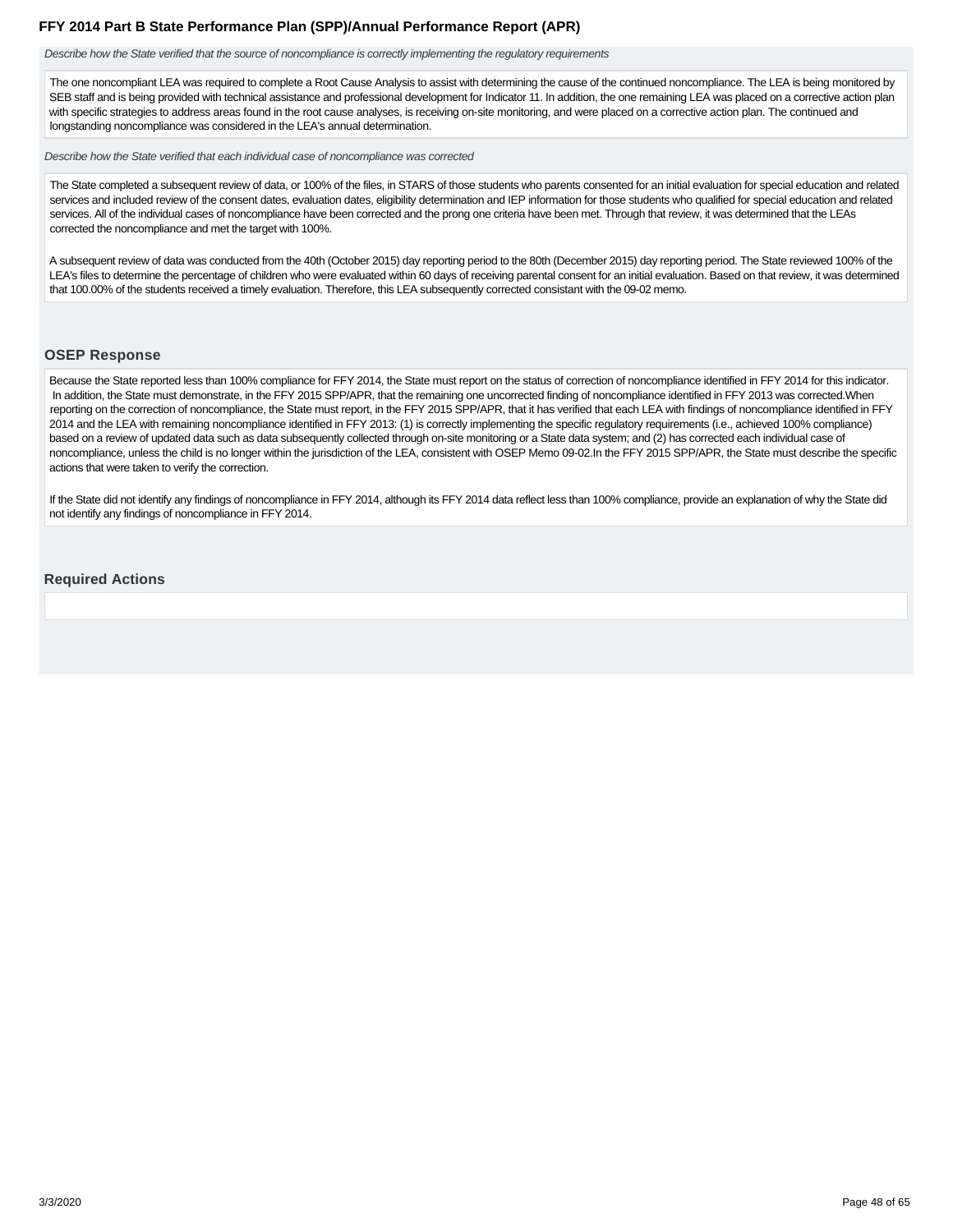<span id="page-47-0"></span>Describe how the State verified that the source of noncompliance is correctly implementing the regulatory requirements

The one noncompliant LEA was required to complete a Root Cause Analysis to assist with determining the cause of the continued noncompliance. The LEA is being monitored by SEB staff and is being provided with technical assistance and professional development for Indicator 11. In addition, the one remaining LEA was placed on a corrective action plan with specific strategies to address areas found in the root cause analyses, is receiving on-site monitoring, and were placed on a corrective action plan. The continued and longstanding noncompliance was considered in the LEA's annual determination.

Describe how the State verified that each individual case of noncompliance was corrected

The State completed a subsequent review of data, or 100% of the files, in STARS of those students who parents consented for an initial evaluation for special education and related services and included review of the consent dates, evaluation dates, eligibility determination and IEP information for those students who qualified for special education and related services. All of the individual cases of noncompliance have been corrected and the prong one criteria have been met. Through that review, it was determined that the LEAs corrected the noncompliance and met the target with 100%.

A subsequent review of data was conducted from the 40th (October 2015) day reporting period to the 80th (December 2015) day reporting period. The State reviewed 100% of the LEA's files to determine the percentage of children who were evaluated within 60 days of receiving parental consent for an initial evaluation. Based on that review, it was determined that 100.00% of the students received a timely evaluation. Therefore, this LEA subsequently corrected consistant with the 09-02 memo.

#### **OSEP Response**

Because the State reported less than 100% compliance for FFY 2014, the State must report on the status of correction of noncompliance identified in FFY 2014 for this indicator. In addition, the State must demonstrate, in the FFY 2015 SPP/APR, that the remaining one uncorrected finding of noncompliance identified in FFY 2013 was corrected. When reporting on the correction of noncompliance, the State must report, in the FFY 2015 SPP/APR, that it has verified that each LEA with findings of noncompliance identified in FFY 2014 and the LEA with remaining noncompliance identified in FFY 2013: (1) is correctly implementing the specific regulatory requirements (i.e., achieved 100% compliance) based on a review of updated data such as data subsequently collected through on-site monitoring or a State data system; and (2) has corrected each individual case of noncompliance, unless the child is no longer within the jurisdiction of the LEA, consistent with OSEP Memo 09-02.In the FFY 2015 SPP/APR, the State must describe the specific actions that were taken to verify the correction.

If the State did not identify any findings of noncompliance in FFY 2014, although its FFY 2014 data reflect less than 100% compliance, provide an explanation of why the State did not identify any findings of noncompliance in FFY 2014.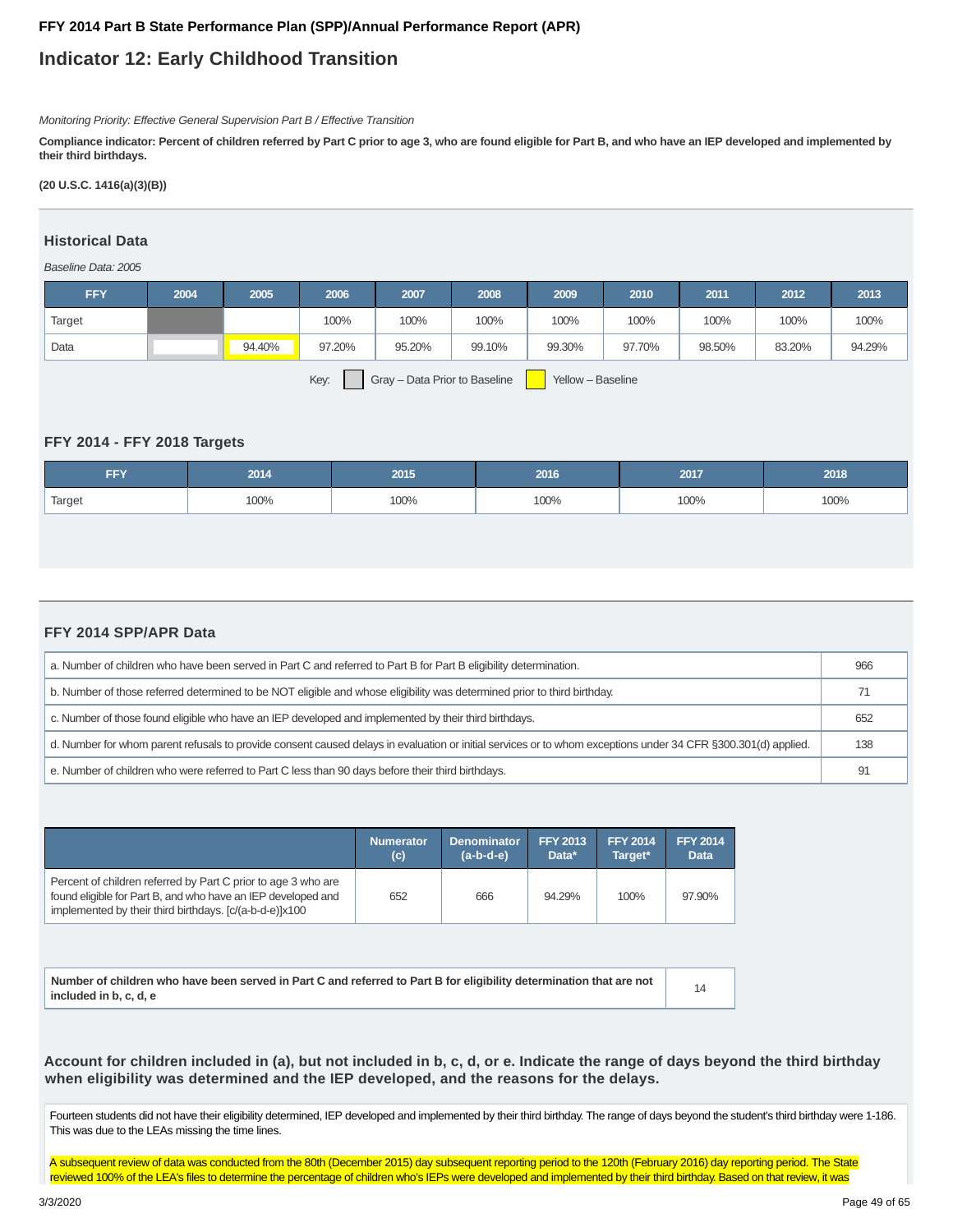## **Indicator 12: Early Childhood Transition**

Monitoring Priority: Effective General Supervision Part B / Effective Transition

**Compliance indicator: Percent of children referred by Part C prior to age 3, who are found eligible for Part B, and who have an IEP developed and implemented by their third birthdays.**

**(20 U.S.C. 1416(a)(3)(B))**

#### **Historical Data**

Baseline Data: 2005

| <b>FFY</b>                                                 | 2004 | 2005   | 2006   | 2007   | 2008   | 2009   | 2010   | 2011   | 2012   | 2013   |
|------------------------------------------------------------|------|--------|--------|--------|--------|--------|--------|--------|--------|--------|
| Target                                                     |      |        | 100%   | 100%   | 100%   | 100%   | 100%   | 100%   | 100%   | 100%   |
| Data                                                       |      | 94.40% | 97.20% | 95.20% | 99.10% | 99.30% | 97.70% | 98.50% | 83.20% | 94.29% |
| Key:<br>Gray - Data Prior to Baseline<br>Yellow - Baseline |      |        |        |        |        |        |        |        |        |        |

#### **FFY 2014 - FFY 2018 Targets**

| <b>FFY</b> | 2014 | 2015 | 2016 | 2017 | 2018 |
|------------|------|------|------|------|------|
| Target     | 100% | 100% | 100% | 100% | 100% |

#### **FFY 2014 SPP/APR Data**

| a. Number of children who have been served in Part C and referred to Part B for Part B eligibility determination.                                             | 966 |  |  |  |
|---------------------------------------------------------------------------------------------------------------------------------------------------------------|-----|--|--|--|
| b. Number of those referred determined to be NOT eligible and whose eligibility was determined prior to third birthday.                                       |     |  |  |  |
| c. Number of those found eligible who have an IEP developed and implemented by their third birthdays.                                                         |     |  |  |  |
| d. Number for whom parent refusals to provide consent caused delays in evaluation or initial services or to whom exceptions under 34 CFR §300.301(d) applied. | 138 |  |  |  |
| e. Number of children who were referred to Part C less than 90 days before their third birthdays.                                                             | 91  |  |  |  |

|                                                                                                                                                                                          | <b>Numerator</b> | <b>Denominator</b> | <b>FFY 2013</b> | <b>FFY 2014</b> | <b>FFY 2014</b> |
|------------------------------------------------------------------------------------------------------------------------------------------------------------------------------------------|------------------|--------------------|-----------------|-----------------|-----------------|
|                                                                                                                                                                                          | (c)              | $(a-b-d-e)$        | Data*           | Target*         | <b>Data</b>     |
| Percent of children referred by Part C prior to age 3 who are<br>found eligible for Part B, and who have an IEP developed and<br>implemented by their third birthdays. [c/(a-b-d-e)]x100 | 652              | 666                | 94.29%          | 100%            | 97.90%          |

| Number of children who have been served in Part C and referred to Part B for eligibility determination that are not |  |
|---------------------------------------------------------------------------------------------------------------------|--|
| included in b. c. d. e                                                                                              |  |

**Account for children included in (a), but not included in b, c, d, or e. Indicate the range of days beyond the third birthday when eligibility was determined and the IEP developed, and the reasons for the delays.**

Fourteen students did not have their eligibility determined, IEP developed and implemented by their third birthday. The range of days beyond the student's third birthday were 1-186. This was due to the LEAs missing the time lines.

A subsequent review of data was conducted from the 80th (December 2015) day subsequent reporting period to the 120th (February 2016) day reporting period. The State reviewed 100% of the LEA's files to determine the percentage of children who's IEPs were developed and implemented by their third birthday. Based on that review, it was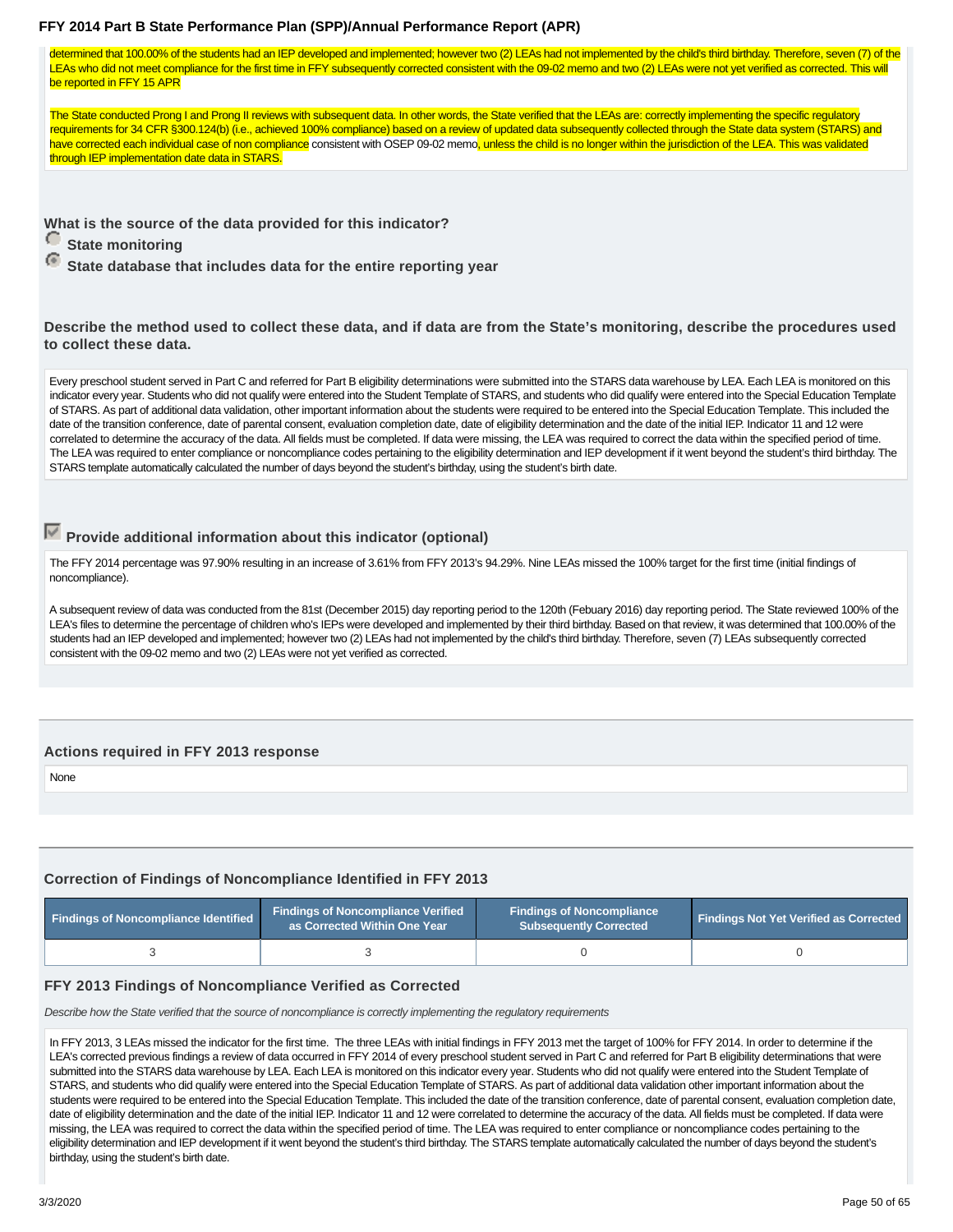determined that 100.00% of the students had an IEP developed and implemented; however two (2) LEAs had not implemented by the child's third birthday. Therefore, seven (7) of the LEAs who did not meet compliance for the first time in FFY subsequently corrected consistent with the 09-02 memo and two (2) LEAs were not yet verified as corrected. This will be reported in FFY 15 APR

The State conducted Prong I and Prong II reviews with subsequent data. In other words, the State verified that the LEAs are: correctly implementing the specific regulatory requirements for 34 CFR §300.124(b) (i.e., achieved 100% compliance) based on a review of updated data subsequently collected through the State data system (STARS) and have corrected each individual case of non compliance consistent with OSEP 09-02 memo, unless the child is no longer within the jurisdiction of the LEA. This was validated through IEP implementation date data in STARS.

**What is the source of the data provided for this indicator?**

*<u>State monitoring</u>* 

 **State database that includes data for the entire reporting year**

**Describe the method used to collect these data, and if data are from the State's monitoring, describe the procedures used to collect these data.**

Every preschool student served in Part C and referred for Part B eligibility determinations were submitted into the STARS data warehouse by LEA. Each LEA is monitored on this indicator every year. Students who did not qualify were entered into the Student Template of STARS, and students who did qualify were entered into the Special Education Template of STARS. As part of additional data validation, other important information about the students were required to be entered into the Special Education Template. This included the date of the transition conference, date of parental consent, evaluation completion date, date of eligibility determination and the date of the initial IEP. Indicator 11 and 12 were correlated to determine the accuracy of the data. All fields must be completed. If data were missing, the LEA was required to correct the data within the specified period of time. The LEA was required to enter compliance or noncompliance codes pertaining to the eligibility determination and IEP development if it went beyond the student's third birthday. The STARS template automatically calculated the number of days beyond the student's birthday, using the student's birth date.

## **Provide additional information about this indicator (optional)**

The FFY 2014 percentage was 97.90% resulting in an increase of 3.61% from FFY 2013's 94.29%. Nine LEAs missed the 100% target for the first time (initial findings of noncompliance).

A subsequent review of data was conducted from the 81st (December 2015) day reporting period to the 120th (Febuary 2016) day reporting period. The State reviewed 100% of the LEA's files to determine the percentage of children who's IEPs were developed and implemented by their third birthday. Based on that review, it was determined that 100.00% of the students had an IEP developed and implemented; however two (2) LEAs had not implemented by the child's third birthday. Therefore, seven (7) LEAs subsequently corrected consistent with the 09-02 memo and two (2) LEAs were not yet verified as corrected.

#### **Actions required in FFY 2013 response**

None

## **Correction of Findings of Noncompliance Identified in FFY 2013**

| <b>Findings of Noncompliance Identified</b> | <b>Findings of Noncompliance Verified</b><br>as Corrected Within One Year \ | <b>Findings of Noncompliance</b><br><b>Subsequently Corrected</b> | <b>Findings Not Yet Verified as Corrected</b> |  |
|---------------------------------------------|-----------------------------------------------------------------------------|-------------------------------------------------------------------|-----------------------------------------------|--|
|                                             |                                                                             |                                                                   |                                               |  |

#### **FFY 2013 Findings of Noncompliance Verified as Corrected**

Describe how the State verified that the source of noncompliance is correctly implementing the regulatory requirements

In FFY 2013, 3 LEAs missed the indicator for the first time. The three LEAs with initial findings in FFY 2013 met the target of 100% for FFY 2014. In order to determine if the LEA's corrected previous findings a review of data occurred in FFY 2014 of every preschool student served in Part C and referred for Part B eligibility determinations that were submitted into the STARS data warehouse by LEA. Each LEA is monitored on this indicator every year. Students who did not qualify were entered into the Student Template of STARS, and students who did qualify were entered into the Special Education Template of STARS. As part of additional data validation other important information about the students were required to be entered into the Special Education Template. This included the date of the transition conference, date of parental consent, evaluation completion date, date of eligibility determination and the date of the initial IEP. Indicator 11 and 12 were correlated to determine the accuracy of the data. All fields must be completed. If data were missing, the LEA was required to correct the data within the specified period of time. The LEA was required to enter compliance or noncompliance codes pertaining to the eligibility determination and IEP development if it went beyond the student's third birthday. The STARS template automatically calculated the number of days beyond the student's birthday, using the student's birth date.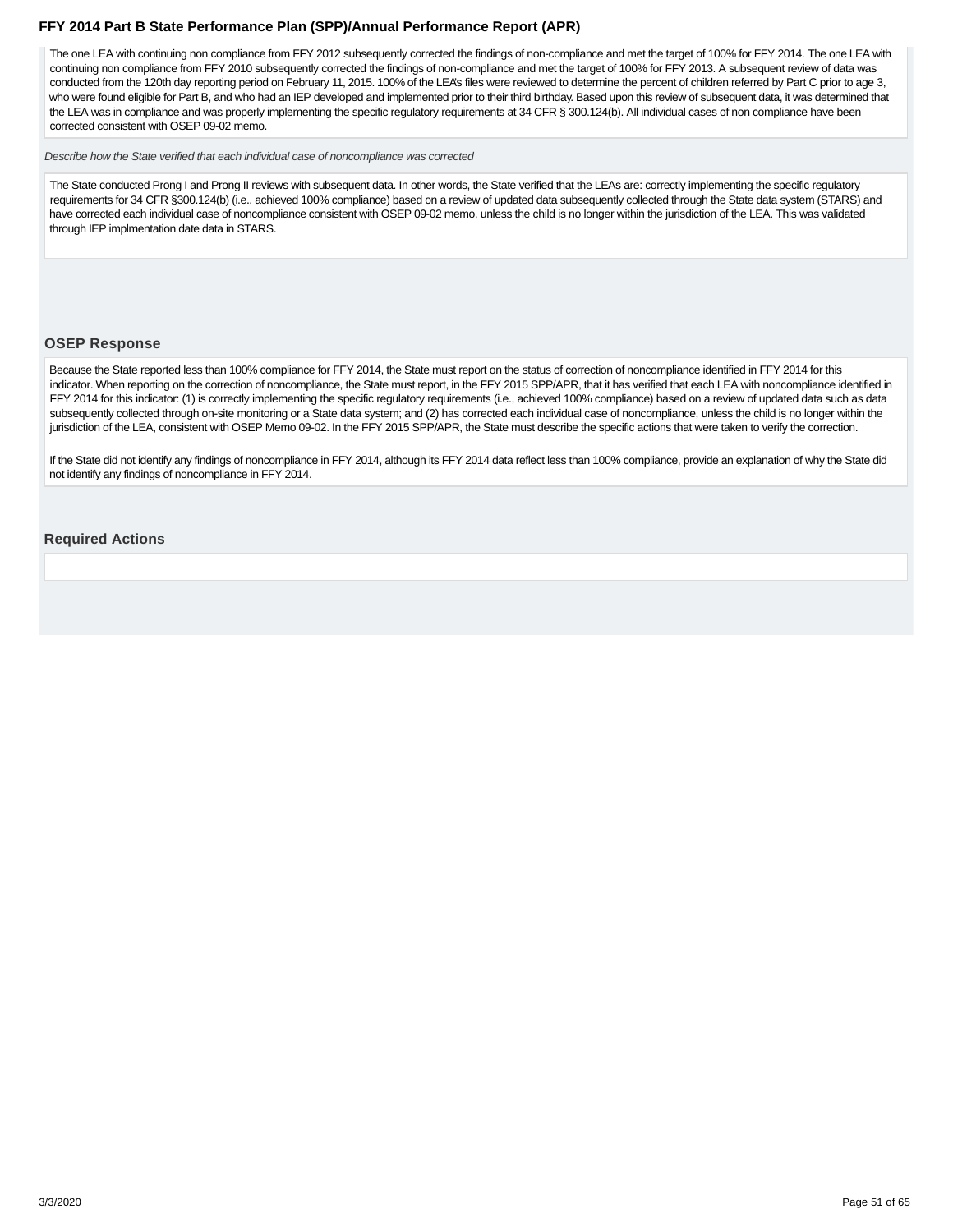<span id="page-50-0"></span>The one LEA with continuing non compliance from FFY 2012 subsequently corrected the findings of non-compliance and met the target of 100% for FFY 2014. The one LEA with continuing non compliance from FFY 2010 subsequently corrected the findings of non-compliance and met the target of 100% for FFY 2013. A subsequent review of data was conducted from the 120th day reporting period on February 11, 2015. 100% of the LEA's files were reviewed to determine the percent of children referred by Part C prior to age 3, who were found eligible for Part B, and who had an IEP developed and implemented prior to their third birthday. Based upon this review of subsequent data, it was determined that the LEA was in compliance and was properly implementing the specific regulatory requirements at 34 CFR § 300.124(b). All individual cases of non compliance have been corrected consistent with OSEP 09-02 memo.

Describe how the State verified that each individual case of noncompliance was corrected

The State conducted Prong I and Prong II reviews with subsequent data. In other words, the State verified that the LEAs are: correctly implementing the specific regulatory requirements for 34 CFR §300.124(b) (i.e., achieved 100% compliance) based on a review of updated data subsequently collected through the State data system (STARS) and have corrected each individual case of noncompliance consistent with OSEP 09-02 memo, unless the child is no longer within the jurisdiction of the LEA. This was validated through IEP implmentation date data in STARS.

#### **OSEP Response**

Because the State reported less than 100% compliance for FFY 2014, the State must report on the status of correction of noncompliance identified in FFY 2014 for this indicator. When reporting on the correction of noncompliance, the State must report, in the FFY 2015 SPP/APR, that it has verified that each LEA with noncompliance identified in FFY 2014 for this indicator: (1) is correctly implementing the specific regulatory requirements (i.e., achieved 100% compliance) based on a review of updated data such as data subsequently collected through on-site monitoring or a State data system; and (2) has corrected each individual case of noncompliance, unless the child is no longer within the jurisdiction of the LEA, consistent with OSEP Memo 09-02. In the FFY 2015 SPP/APR, the State must describe the specific actions that were taken to verify the correction.

If the State did not identify any findings of noncompliance in FFY 2014, although its FFY 2014 data reflect less than 100% compliance, provide an explanation of why the State did not identify any findings of noncompliance in FFY 2014.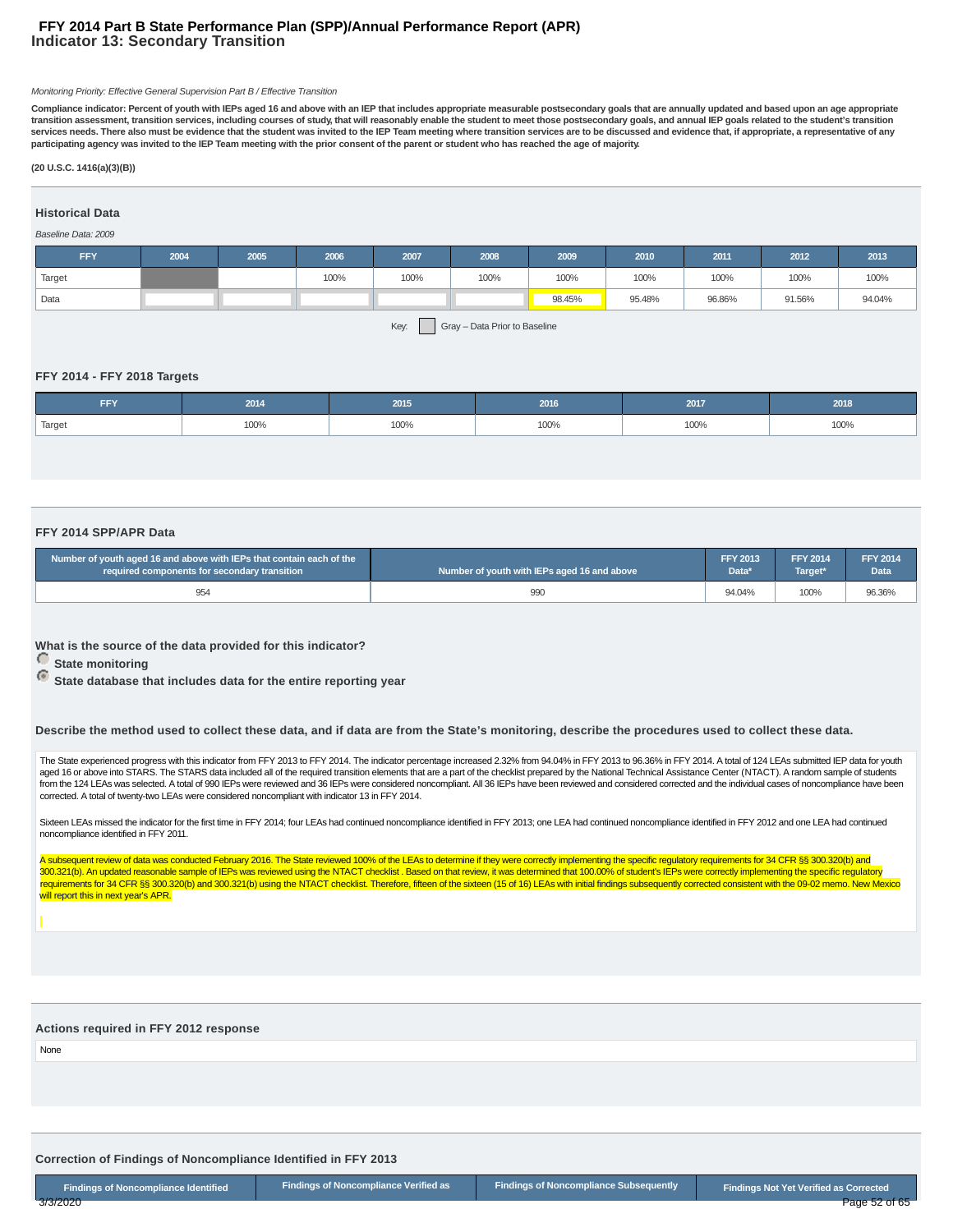#### **Indicator 13: Secondary Transition FFY 2014 Part B State Performance Plan (SPP)/Annual Performance Report (APR)**

#### Monitoring Priority: Effective General Supervision Part B / Effective Transition

**Compliance indicator: Percent of youth with IEPs aged 16 and above with an IEP that includes appropriate measurable postsecondary goals that are annually updated and based upon an age appropriate transition assessment, transition services, including courses of study, that will reasonably enable the student to meet those postsecondary goals, and annual IEP goals related to the student's transition services needs. There also must be evidence that the student was invited to the IEP Team meeting where transition services are to be discussed and evidence that, if appropriate, a representative of any participating agency was invited to the IEP Team meeting with the prior consent of the parent or student who has reached the age of majority.**

#### **(20 U.S.C. 1416(a)(3)(B))**

## **Historical Data**

#### Baseline Data: 2009

| <b>FFY</b> | 2004 | 2005 | 2006 | 2007 | 2008 | 2009   | 2010   | 2011   | 2012   | 2013   |
|------------|------|------|------|------|------|--------|--------|--------|--------|--------|
| Target     |      |      | 100% | 100% | 100% | 100%   | 100%   | 100%   | 100%   | 100%   |
| Data       |      |      |      |      |      | 98.45% | 95.48% | 96.86% | 91.56% | 94.04% |
|            |      |      |      | ___  |      |        |        |        |        |        |

Key: Gray – Data Prior to Baseline

#### **FFY 2014 - FFY 2018 Targets**

| FFY    | 2014 | 2015 | 2016 | 2017 | 2018 |
|--------|------|------|------|------|------|
| Target | 100% | 100% | 100% | 100% | 100% |

#### **FFY 2014 SPP/APR Data**

| Number of youth aged 16 and above with IEPs that contain each of the | Number of youth with IEPs aged 16 and above | <b>FFY 2013</b> | <b>FFY 2014</b> | <b>FFY 2014</b>   |
|----------------------------------------------------------------------|---------------------------------------------|-----------------|-----------------|-------------------|
| required components for secondary transition                         |                                             | Data*           | Target*         | Data <sup>'</sup> |
| 954                                                                  | 990                                         | 94.04%          | 100%            | 96.36%            |

**What is the source of the data provided for this indicator?**

**C** State monitoring

 **State database that includes data for the entire reporting year**

**Describe the method used to collect these data, and if data are from the State's monitoring, describe the procedures used to collect these data.**

The State experienced progress with this indicator from FFY 2013 to FFY 2014. The indicator percentage increased 2.32% from 94.04% in FFY 2013 to 96.36% in FFY 2014. A total of 124 LEAs submitted IEP data for youth aged 16 or above into STARS. The STARS data included all of the required transition elements that are a part of the checklist prepared by the National Technical Assistance Center (NTACT). A random sample of students from the 124 LEAs was selected. A total of 990 IEPs were reviewed and 36 IEPs were considered noncompliant. All 36 IEPs have been reviewed and considered corrected and the individual cases of noncompliance have been corrected. A total of twenty-two LEAs were considered noncompliant with indicator 13 in FFY 2014.

Sixteen LEAs missed the indicator for the first time in FFY 2014; four LEAs had continued noncompliance identified in FFY 2013; one LEA had continued noncompliance identified in FFY 2012 and one LEA had continued noncompliance identified in FFY 2011.

A subsequent review of data was conducted February 2016. The State reviewed 100% of the LEAs to determine if they were correctly implementing the specific regulatory requirements for 34 CFR §§ 300.320(b) and An updated reasonable sample of IEPs was reviewed using the NTACT checklist. Based on that review, it was determined that 100.00% of student's IEPs were correctly implementing the specific regulatory in the specific regula requirements for 34 CFR §§ 300.320(b) and 300.321(b) using the NTACT checklist. Therefore, fifteen of the sixteen (15 of 16) LEAs with initial findings subsequently corrected consistent with the 09-02 memo. New Mexico will report this in next year's APR.

#### **Actions required in FFY 2012 response**

None

**Correction of Findings of Noncompliance Identified in FFY 2013**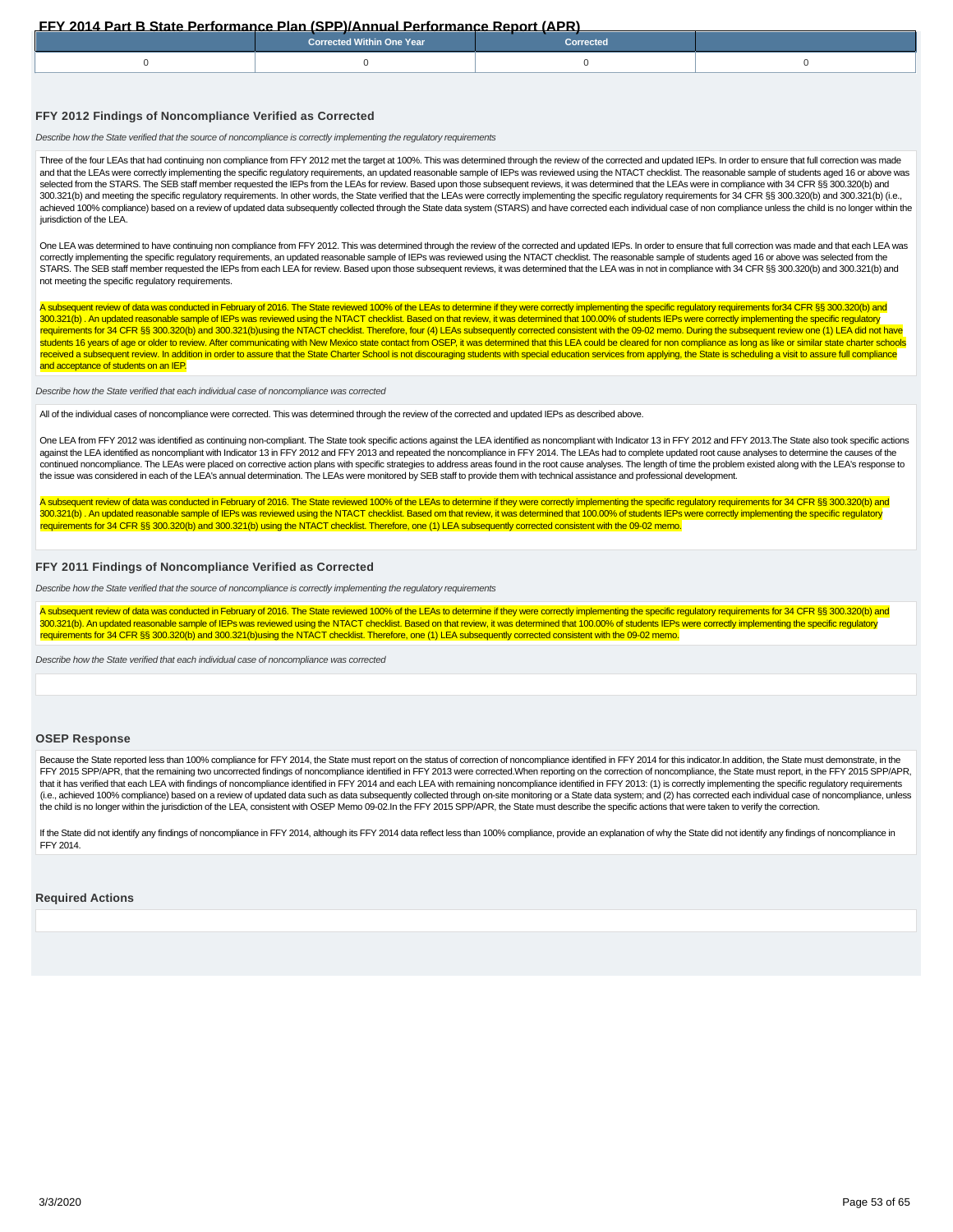<span id="page-52-0"></span>

| <b>Corrected Within One Year</b> | <b>Corrected</b> |  |
|----------------------------------|------------------|--|
|                                  |                  |  |

#### **FFY 2012 Findings of Noncompliance Verified as Corrected**

Describe how the State verified that the source of noncompliance is correctly implementing the regulatory requirements

Three of the four LEAs that had continuing non compliance from FFY 2012 met the target at 100%. This was determined through the review of the corrected and updated IEPs. In order to ensure that full correction was made and that the LEAs were correctly implementing the specific regulatory requirements, an updated reasonable sample of lEPs was reviewed using the NTACT checklist. The reasonable sample of students aged 16 or above was selected from the STARS. The SEB staff member requested the IEPs from the LEAs for review. Based upon those subsequent reviews, it was determined that the LEAs were in compliance with 34 CFR §§ 300.320(b) and 300.321(b) and meeting the specific regulatory requirements. In other words, the State verified that the LEAs were correctly implementing the specific regulatory requirements for 34 CFR §§ 300.320(b) and 300.321(b) (i.e., achieved 100% compliance) based on a review of updated data subsequently collected through the State data system (STARS) and have corrected each individual case of non compliance unless the child is no longer within the jurisdiction of the LEA.

One LEA was determined to have continuing non compliance from FFY 2012. This was determined through the review of the corrected and updated IEPs. In order to ensure that full correction was made and that each LEA was correctly implementing the specific regulatory requirements, an updated reasonable sample of IEPs was reviewed using the NTACT checklist. The reasonable sample of students aged 16 or above was selected from the STARS. The SEB staff member requested the IEPs from each LEA for review. Based upon those subsequent reviews, it was determined that the LEA was in not in compliance with 34 CFR §§ 300.320(b) and 300.321(b) and not meeting the specific regulatory requirements.

A subsequent review of data was conducted in February of 2016. The State reviewed 100% of the LEAs to determine if they were correctly implementing the specific regulatory requirements for34 CFR §§ 300.320(b) and 300.321(b) . An updated reasonable sample of IEPs was reviewed using the NTACT checklist. Based on that review, it was determined that 100.00% of students IEPs were correctly implementing the specific regulatory requirements for 34 CFR §§ 300.320(b) and 300.321(b)using the NTACT checklist. Therefore, four (4) LEAs subsequently corrected consistent with the 09-02 memo. During the subsequent review one (1) LEA did not have students 16 years of age or older to review. After communicating with New Mexico state contact from OSEP, it was determined that this LEA could be cleared for non compliance as long as like or similar state charter schools received a subsequent review. In addition in order to assure that the State Charter School is not discouraging students with special education services from applying, the State is scheduling a visit to assure full complian and acceptance of students on an IEP.

#### Describe how the State verified that each individual case of noncompliance was corrected

All of the individual cases of noncompliance were corrected. This was determined through the review of the corrected and updated IEPs as described above.

One LEA from FFY 2012 was identified as continuing non-compliant. The State took specific actions against the LEA identified as noncompliant with Indicator 13 in FFY 2012 and FFY 2013. The State also took specific actions against the LEA identified as noncompliant with Indicator 13 in FFY 2012 and FFY 2013 and repeated the noncompliance in FFY 2014. The LEAs had to complete updated root cause analyses to determine the causes of the continued noncompliance. The LEAs were placed on corrective action plans with specific strategies to address areas found in the root cause analyses. The length of time the problem existed along with the LEA's response to the issue was considered in each of the LEA's annual determination. The LEAs were monitored by SEB staff to provide them with technical assistance and professional development.

A subsequent review of data was conducted in February of 2016. The State reviewed 100% of the LEAs to determine if they were correctly implementing the specific regulatory requirements for 34 CFR §§ 300.320(b) and 300.321(b). An updated reasonable sample of IEPs was reviewed using the NTACT checklist. Based om that review, it was determined that 100.00% of students IEPs were correctly implementing the specific regulatory requirements for 34 CFR §§ 300.320(b) and 300.321(b) using the NTACT checklist. Therefore, one (1) LEA subsequently corrected consistent with the 09-02 memo.

#### **FFY 2011 Findings of Noncompliance Verified as Corrected**

Describe how the State verified that the source of noncompliance is correctly implementing the regulatory requirements

A subsequent review of data was conducted in February of 2016. The State reviewed 100% of the LEAs to determine if they were correctly implementing the specific regulatory requirements for 34 CFR §§ 300.320(b) and 300.321(b). An updated reasonable sample of IEPs was reviewed using the NTACT checklist. Based on that review, it was determined that 100.00% of students IEPs were correctly implementing the specific regulatory requirements for 34 CFR §§ 300.320(b) and 300.321(b)using the NTACT checklist. Therefore, one (1) LEA subsequently corrected consistent with the 09-02 memo.

Describe how the State verified that each individual case of noncompliance was corrected

#### **OSEP Response**

Because the State reported less than 100% compliance for FFY 2014, the State must report on the status of correction of noncompliance identified in FFY 2014 for this indicator.In addition, the State must demonstrate, in th FFY 2015 SPP/APR, that the remaining two uncorrected findings of noncompliance identified in FFY 2013 were corrected.When reporting on the correction of noncompliance, the State must report, in the FFY 2015 SPP/APR, that it has verified that each LEA with findings of noncompliance identified in FFY 2014 and each LEA with remaining noncompliance identified in FFY 2013: (1) is correctly implementing the specific regulatory requirements (i.e., achieved 100% compliance) based on a review of updated data such as data subsequently collected through on-site monitoring or a State data system; and (2) has corrected each individual case of noncompliance, unless the child is no longer within the jurisdiction of the LEA, consistent with OSEP Memo 09-02.In the FFY 2015 SPP/APR, the State must describe the specific actions that were taken to verify the correction.

If the State did not identify any findings of noncompliance in FFY 2014, although its FFY 2014 data reflect less than 100% compliance, provide an explanation of why the State did not identify any findings of noncompliance FFY 2014.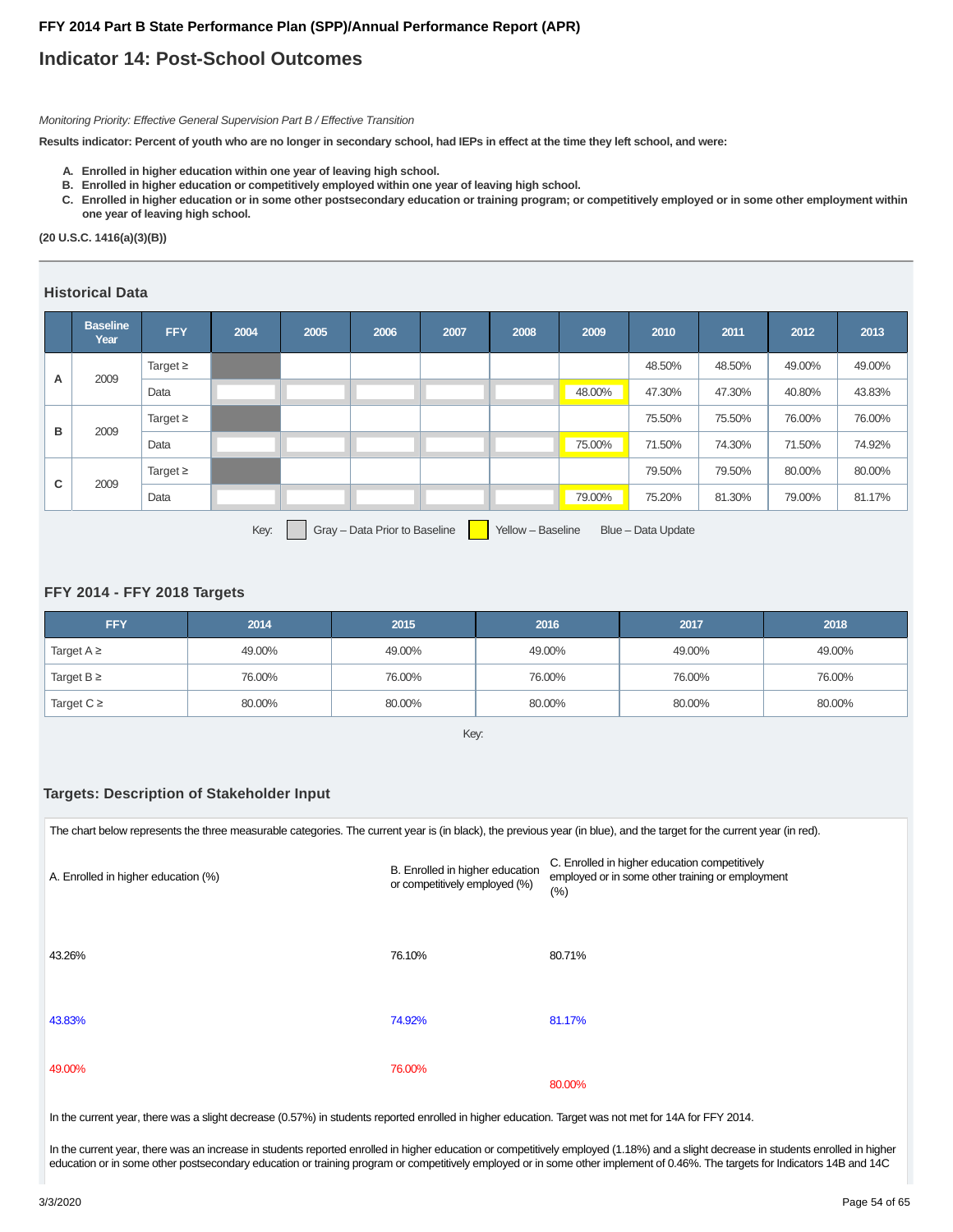## **Indicator 14: Post-School Outcomes**

Monitoring Priority: Effective General Supervision Part B / Effective Transition

**Results indicator: Percent of youth who are no longer in secondary school, had IEPs in effect at the time they left school, and were:**

- **A. Enrolled in higher education within one year of leaving high school.**
- **B. Enrolled in higher education or competitively employed within one year of leaving high school.**
- **Enrolled in higher education or in some other postsecondary education or training program; or competitively employed or in some other employment within C. one year of leaving high school.**

#### **(20 U.S.C. 1416(a)(3)(B))**

#### **Historical Data**

|   | <b>Baseline</b><br>Year | <b>FFY</b>    | 2004 | 2005 | 2006                          | 2007 | 2008              | 2009   | 2010               | 2011   | 2012   | 2013   |
|---|-------------------------|---------------|------|------|-------------------------------|------|-------------------|--------|--------------------|--------|--------|--------|
|   |                         | Target $\geq$ |      |      |                               |      |                   |        | 48.50%             | 48.50% | 49.00% | 49.00% |
| А | 2009                    | Data          |      |      |                               |      |                   | 48.00% | 47.30%             | 47.30% | 40.80% | 43.83% |
|   |                         | Target $\geq$ |      |      |                               |      |                   |        | 75.50%             | 75.50% | 76.00% | 76.00% |
| в | 2009                    | Data          |      |      |                               |      |                   | 75.00% | 71.50%             | 74.30% | 71.50% | 74.92% |
|   |                         | Target $\geq$ |      |      |                               |      |                   |        | 79.50%             | 79.50% | 80.00% | 80.00% |
| C | 2009                    | Data          |      |      |                               |      |                   | 79.00% | 75.20%             | 81.30% | 79.00% | 81.17% |
|   |                         |               | Key: |      | Gray - Data Prior to Baseline |      | Yellow - Baseline |        | Blue - Data Update |        |        |        |

#### **FFY 2014 - FFY 2018 Targets**

| <b>FFY</b>      | 2014   | 2015   | 2016   | 2017   | 2018   |
|-----------------|--------|--------|--------|--------|--------|
| Target $A \geq$ | 49.00% | 49.00% | 49.00% | 49.00% | 49.00% |
| Target $B \geq$ | 76.00% | 76.00% | 76.00% | 76.00% | 76.00% |
| Target $C \geq$ | 80.00% | 80.00% | 80.00% | 80.00% | 80.00% |

Key:

#### **Targets: Description of Stakeholder Input**

| The chart below represents the three measurable categories. The current year is (in black), the previous year (in blue), and the target for the current year (in red). |                                                                  |                                                                                                           |
|------------------------------------------------------------------------------------------------------------------------------------------------------------------------|------------------------------------------------------------------|-----------------------------------------------------------------------------------------------------------|
| A. Enrolled in higher education (%)                                                                                                                                    | B. Enrolled in higher education<br>or competitively employed (%) | C. Enrolled in higher education competitively<br>employed or in some other training or employment<br>(% ) |
| 43.26%                                                                                                                                                                 | 76.10%                                                           | 80.71%                                                                                                    |
| 43.83%                                                                                                                                                                 | 74.92%                                                           | 81.17%                                                                                                    |
| 49.00%                                                                                                                                                                 | 76.00%                                                           | 80.00%                                                                                                    |

In the current year, there was a slight decrease (0.57%) in students reported enrolled in higher education. Target was not met for 14A for FFY 2014.

In the current year, there was an increase in students reported enrolled in higher education or competitively employed (1.18%) and a slight decrease in students enrolled in higher education or in some other postsecondary education or training program or competitively employed or in some other implement of 0.46%. The targets for Indicators 14B and 14C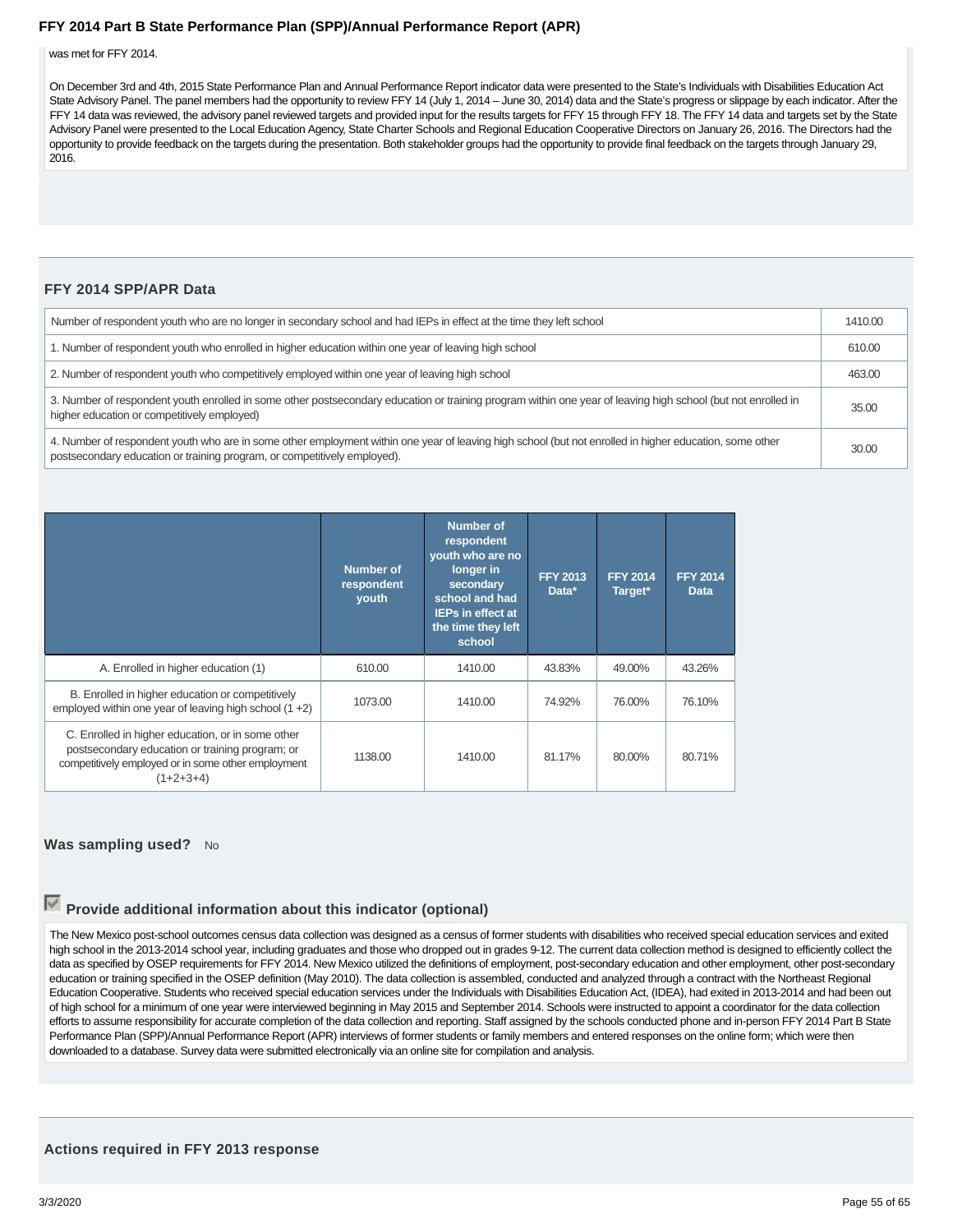was met for FFY 2014.

On December 3rd and 4th, 2015 State Performance Plan and Annual Performance Report indicator data were presented to the State's Individuals with Disabilities Education Act State Advisory Panel. The panel members had the opportunity to review FFY 14 (July 1, 2014 – June 30, 2014) data and the State's progress or slippage by each indicator. After the FFY 14 data was reviewed, the advisory panel reviewed targets and provided input for the results targets for FFY 15 through FFY 18. The FFY 14 data and targets set by the State Advisory Panel were presented to the Local Education Agency, State Charter Schools and Regional Education Cooperative Directors on January 26, 2016. The Directors had the opportunity to provide feedback on the targets during the presentation. Both stakeholder groups had the opportunity to provide final feedback on the targets through January 29, 2016.

#### **FFY 2014 SPP/APR Data**

| Number of respondent youth who are no longer in secondary school and had IEPs in effect at the time they left school                                                                                                                | 1410.00 |
|-------------------------------------------------------------------------------------------------------------------------------------------------------------------------------------------------------------------------------------|---------|
| 1. Number of respondent youth who enrolled in higher education within one year of leaving high school                                                                                                                               | 610.00  |
| 2. Number of respondent youth who competitively employed within one year of leaving high school                                                                                                                                     | 463.00  |
| 3. Number of respondent youth enrolled in some other postsecondary education or training program within one year of leaving high school (but not enrolled in<br>higher education or competitively employed)                         | 35.00   |
| 4. Number of respondent youth who are in some other employment within one year of leaving high school (but not enrolled in higher education, some other<br>postsecondary education or training program, or competitively employed). | 30.00   |

|                                                                                                                                                                           | <b>Number of</b><br>respondent<br>youth | <b>Number of</b><br>respondent<br>youth who are no<br>longer in<br>secondary<br>school and had<br><b>IEPs in effect at</b><br>the time they left<br>school | <b>FFY 2013</b><br>Data* | <b>FFY 2014</b><br>Target* | <b>FFY 2014</b><br><b>Data</b> |
|---------------------------------------------------------------------------------------------------------------------------------------------------------------------------|-----------------------------------------|------------------------------------------------------------------------------------------------------------------------------------------------------------|--------------------------|----------------------------|--------------------------------|
| A. Enrolled in higher education (1)                                                                                                                                       | 610.00                                  | 1410.00                                                                                                                                                    | 43.83%                   | 49.00%                     | 43.26%                         |
| B. Enrolled in higher education or competitively<br>employed within one year of leaving high school $(1 + 2)$                                                             | 1073.00                                 | 1410.00                                                                                                                                                    | 74.92%                   | 76.00%                     | 76.10%                         |
| C. Enrolled in higher education, or in some other<br>postsecondary education or training program; or<br>competitively employed or in some other employment<br>$(1+2+3+4)$ | 1138.00                                 | 1410.00                                                                                                                                                    | 81.17%                   | 80.00%                     | 80.71%                         |

#### **Was sampling used?** No

## **Provide additional information about this indicator (optional)**

The New Mexico post-school outcomes census data collection was designed as a census of former students with disabilities who received special education services and exited high school in the 2013-2014 school year, including graduates and those who dropped out in grades 9-12. The current data collection method is designed to efficiently collect the data as specified by OSEP requirements for FFY 2014. New Mexico utilized the definitions of employment, post-secondary education and other employment, other post-secondary education or training specified in the OSEP definition (May 2010). The data collection is assembled, conducted and analyzed through a contract with the Northeast Regional Education Cooperative. Students who received special education services under the Individuals with Disabilities Education Act, (IDEA), had exited in 2013-2014 and had been out of high school for a minimum of one year were interviewed beginning in May 2015 and September 2014. Schools were instructed to appoint a coordinator for the data collection efforts to assume responsibility for accurate completion of the data collection and reporting. Staff assigned by the schools conducted phone and in-person FFY 2014 Part B State Performance Plan (SPP)/Annual Performance Report (APR) interviews of former students or family members and entered responses on the online form; which were then downloaded to a database. Survey data were submitted electronically via an online site for compilation and analysis.

### **Actions required in FFY 2013 response**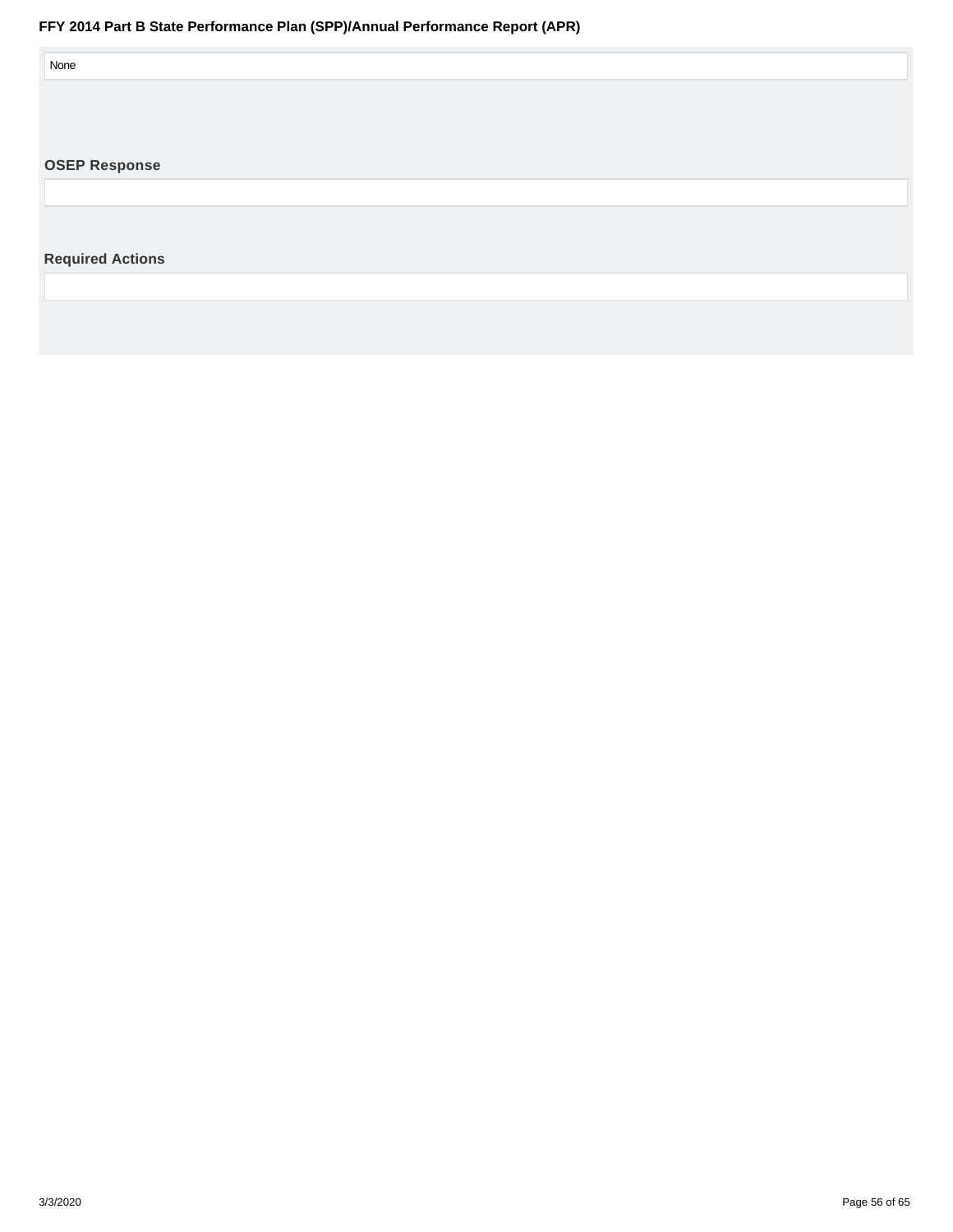<span id="page-55-0"></span>

| None                    |  |  |
|-------------------------|--|--|
|                         |  |  |
|                         |  |  |
| <b>OSEP Response</b>    |  |  |
|                         |  |  |
| <b>Required Actions</b> |  |  |
|                         |  |  |
|                         |  |  |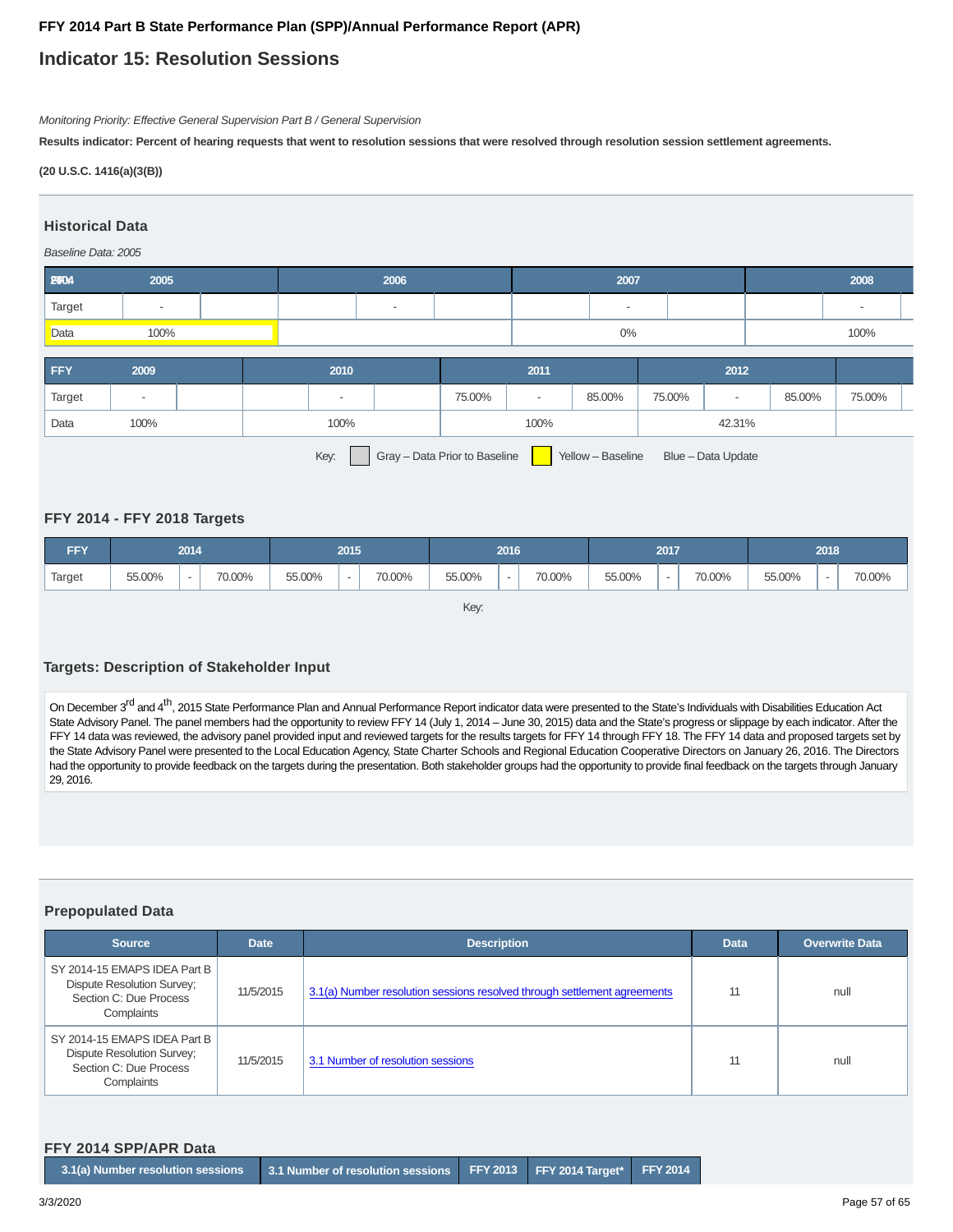## **Indicator 15: Resolution Sessions**

Monitoring Priority: Effective General Supervision Part B / General Supervision

**Results indicator: Percent of hearing requests that went to resolution sessions that were resolved through resolution session settlement agreements.**

**(20 U.S.C. 1416(a)(3(B))**

#### **Historical Data**

#### Baseline Data: 2005





Key: Gray – Data Prior to Baseline Yellow – Baseline Blue – Data Update

#### **FFY 2014 - FFY 2018 Targets**

| <b>FFY</b> |        | 2014                     |        | 2016<br>2015 |                          | 2017   |        |   | 2018   |        |                          |        |        |  |        |
|------------|--------|--------------------------|--------|--------------|--------------------------|--------|--------|---|--------|--------|--------------------------|--------|--------|--|--------|
| Target     | 55.00% | $\overline{\phantom{a}}$ | 70.00% | 55.00%       | $\overline{\phantom{a}}$ | 70.00% | 55.00% | - | 70.00% | 55.00% | $\overline{\phantom{a}}$ | 70.00% | 55.00% |  | 70.00% |

Key:

#### **Targets: Description of Stakeholder Input**

On December 3<sup>rd</sup> and 4<sup>th</sup>, 2015 State Performance Plan and Annual Performance Report indicator data were presented to the State's Individuals with Disabilities Education Act State Advisory Panel. The panel members had the opportunity to review FFY 14 (July 1, 2014 – June 30, 2015) data and the State's progress or slippage by each indicator. After the FFY 14 data was reviewed, the advisory panel provided input and reviewed targets for the results targets for FFY 14 through FFY 18. The FFY 14 data and proposed targets set by the State Advisory Panel were presented to the Local Education Agency, State Charter Schools and Regional Education Cooperative Directors on January 26, 2016. The Directors had the opportunity to provide feedback on the targets during the presentation. Both stakeholder groups had the opportunity to provide final feedback on the targets through January 29, 2016.

#### **Prepopulated Data**

| <b>Source</b>                                                                                             | <b>Date</b> | <b>Description</b>                                                       | <b>Data</b> | <b>Overwrite Data</b> |
|-----------------------------------------------------------------------------------------------------------|-------------|--------------------------------------------------------------------------|-------------|-----------------------|
| SY 2014-15 EMAPS IDEA Part B<br><b>Dispute Resolution Survey:</b><br>Section C: Due Process<br>Complaints | 11/5/2015   | 3.1(a) Number resolution sessions resolved through settlement agreements | 11          | null                  |
| SY 2014-15 EMAPS IDEA Part B<br><b>Dispute Resolution Survey;</b><br>Section C: Due Process<br>Complaints | 11/5/2015   | 3.1 Number of resolution sessions                                        |             | null                  |

#### **FFY 2014 SPP/APR Data**

| $\;$ 3.1(a) Number resolution sessions $\;$ 3.1 Number of resolution sessions FFY 2013 FFY 2014 Target* FFY 2014 p |
|--------------------------------------------------------------------------------------------------------------------|
|--------------------------------------------------------------------------------------------------------------------|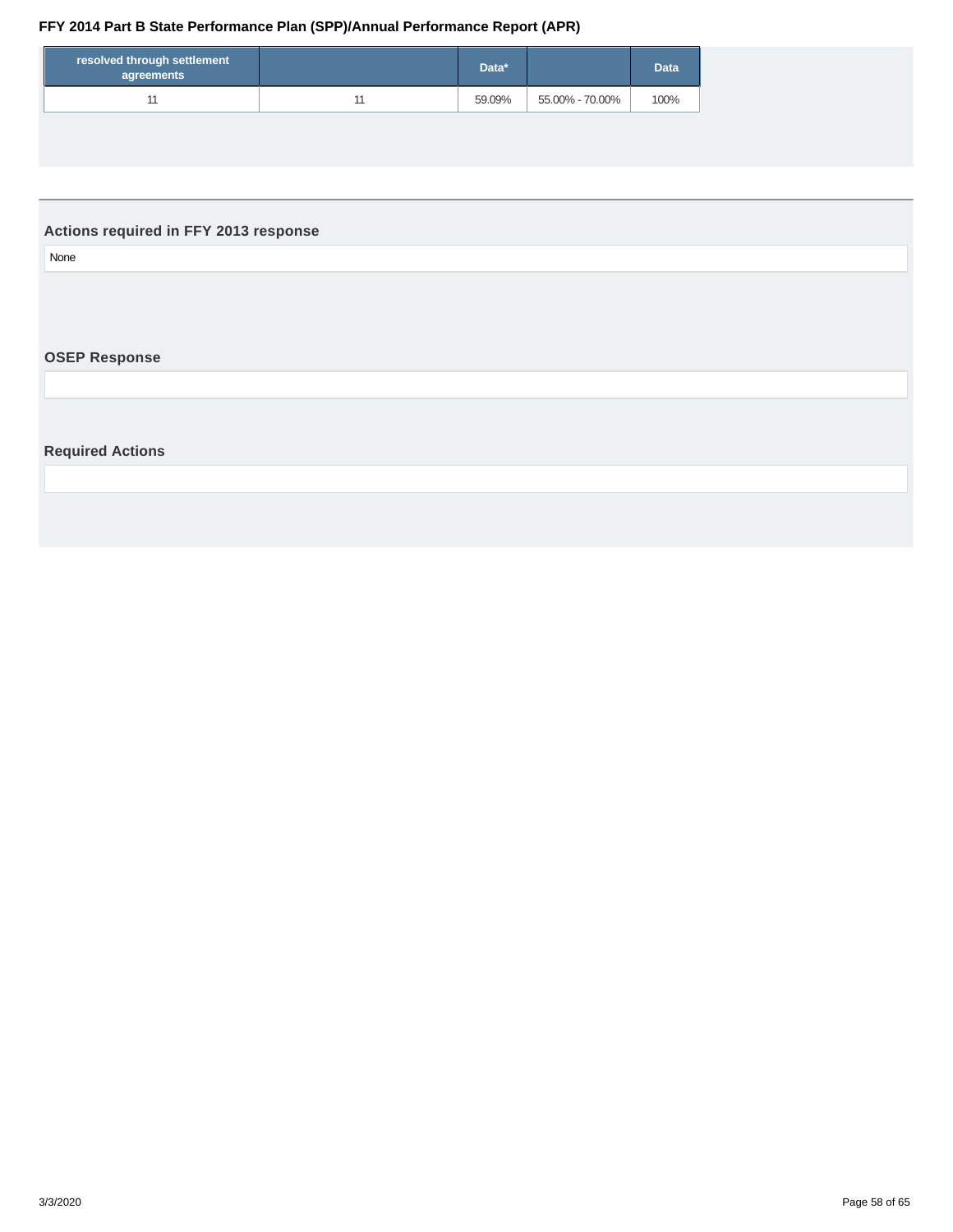<span id="page-57-0"></span>

| resolved through settlement<br>agreements | Data*  |                 | <b>Data</b> |
|-------------------------------------------|--------|-----------------|-------------|
| 44                                        | 59.09% | 55.00% - 70.00% | 100%        |

## **Actions required in FFY 2013 response**

None

## **OSEP Response**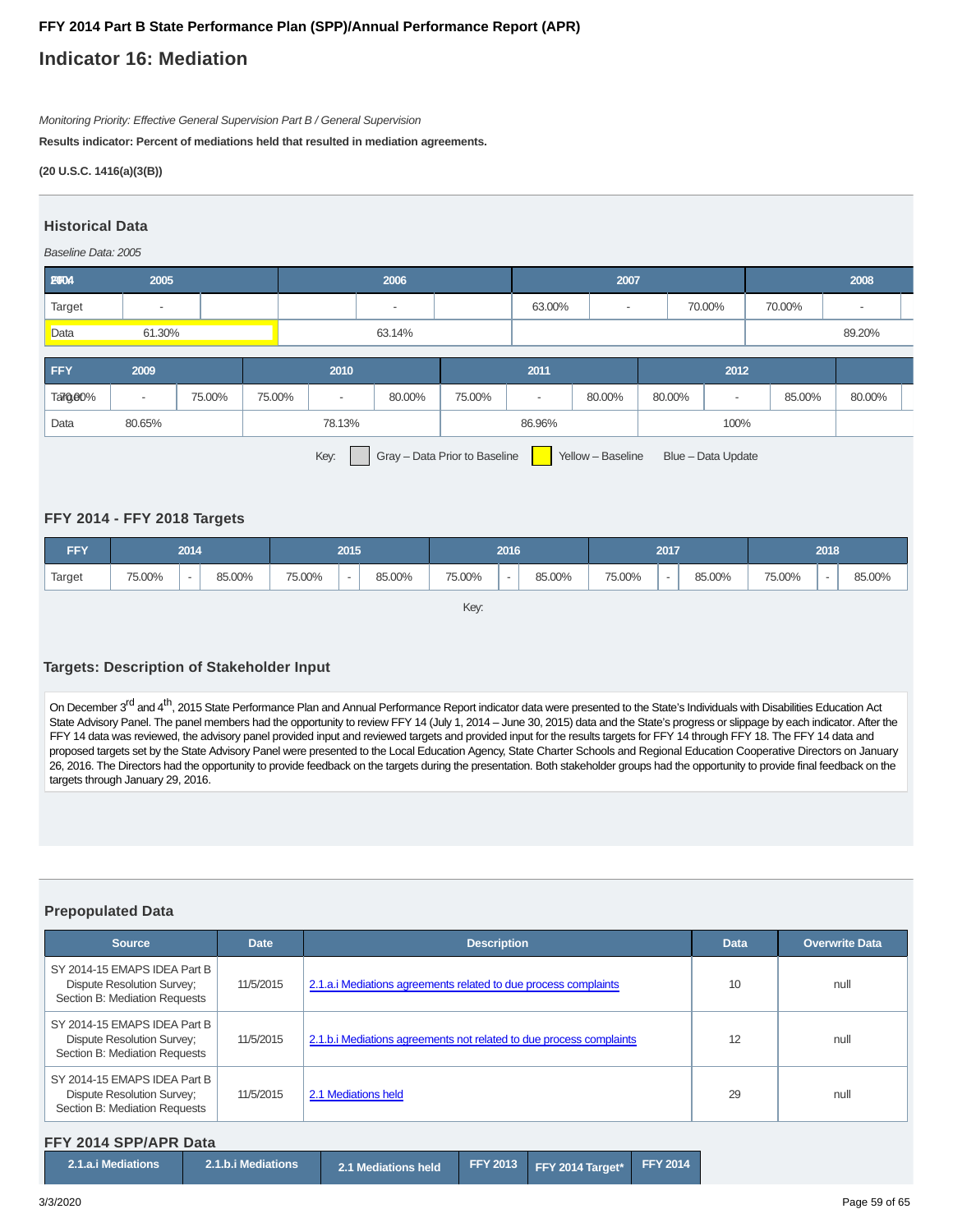## **Indicator 16: Mediation**

Monitoring Priority: Effective General Supervision Part B / General Supervision

**Results indicator: Percent of mediations held that resulted in mediation agreements.**

**(20 U.S.C. 1416(a)(3(B))**

#### **Historical Data**

#### Baseline Data: 2005

| <b>E004</b> | 2005   | 2006   |  |        | 2007 |        |        | 2008 |  |  |  |
|-------------|--------|--------|--|--------|------|--------|--------|------|--|--|--|
| Target      |        |        |  | 63.00% | $\,$ | 70.00% | 70.00% |      |  |  |  |
| Data        | 61.30% | 63.14% |  |        |      |        | 89.20% |      |  |  |  |

| <b>FFY</b> | 2009                                                       |        |        | 2010   |        |        | 2011 |        |                    |  |        |        |  |
|------------|------------------------------------------------------------|--------|--------|--------|--------|--------|------|--------|--------------------|--|--------|--------|--|
| Target0%   | $\,$                                                       | 75.00% | 75.00% |        | 80.00% | 75.00% | -    | 80.00% | 80.00%             |  | 85.00% | 80.00% |  |
| Data       | 80.65%                                                     |        |        | 78.13% |        | 86.96% |      |        | 100%               |  |        |        |  |
|            | Key:<br>Gray - Data Prior to Baseline<br>Yellow - Baseline |        |        |        |        |        |      |        | Blue - Data Update |  |        |        |  |

#### **FFY 2014 - FFY 2018 Targets**

| <b>FFY</b> | 2014<br>2015<br>2016 |                          | 2017   |        |                          | 2018   |        |   |        |        |                          |        |        |  |        |
|------------|----------------------|--------------------------|--------|--------|--------------------------|--------|--------|---|--------|--------|--------------------------|--------|--------|--|--------|
| Target     | 75.00%               | $\overline{\phantom{a}}$ | 85.00% | 75.00% | $\overline{\phantom{a}}$ | 85.00% | 75.00% | - | 85.00% | 75.00% | $\overline{\phantom{a}}$ | 85.00% | 75.00% |  | 85.00% |

Key:

#### **Targets: Description of Stakeholder Input**

On December 3<sup>rd</sup> and 4<sup>th</sup>, 2015 State Performance Plan and Annual Performance Report indicator data were presented to the State's Individuals with Disabilities Education Act State Advisory Panel. The panel members had the opportunity to review FFY 14 (July 1, 2014 – June 30, 2015) data and the State's progress or slippage by each indicator. After the FFY 14 data was reviewed, the advisory panel provided input and reviewed targets and provided input for the results targets for FFY 14 through FFY 18. The FFY 14 data and proposed targets set by the State Advisory Panel were presented to the Local Education Agency, State Charter Schools and Regional Education Cooperative Directors on January 26, 2016. The Directors had the opportunity to provide feedback on the targets during the presentation. Both stakeholder groups had the opportunity to provide final feedback on the targets through January 29, 2016.

#### **Prepopulated Data**

| <b>Source</b>                                                                                      | <b>Date</b> | <b>Description</b>                                                  | <b>Data</b> | <b>Overwrite Data</b> |
|----------------------------------------------------------------------------------------------------|-------------|---------------------------------------------------------------------|-------------|-----------------------|
| SY 2014-15 EMAPS IDEA Part B<br><b>Dispute Resolution Survey:</b><br>Section B: Mediation Requests | 11/5/2015   | 2.1.a. iMediations agreements related to due process complaints     | 10          | null                  |
| SY 2014-15 EMAPS IDEA Part B<br><b>Dispute Resolution Survey:</b><br>Section B: Mediation Requests | 11/5/2015   | 2.1.b. iMediations agreements not related to due process complaints | 12          | null                  |
| SY 2014-15 EMAPS IDEA Part B<br><b>Dispute Resolution Survey:</b><br>Section B: Mediation Requests | 11/5/2015   | 2.1 Mediations held                                                 | 29          | null                  |

#### **FFY 2014 SPP/APR Data**

| 2.1.a.i Mediations | 2.1.b.i Mediations | 2.1 Mediations held FFY 2013 FFY 2014 Target* FFY 2014 |  |  |  |
|--------------------|--------------------|--------------------------------------------------------|--|--|--|
|--------------------|--------------------|--------------------------------------------------------|--|--|--|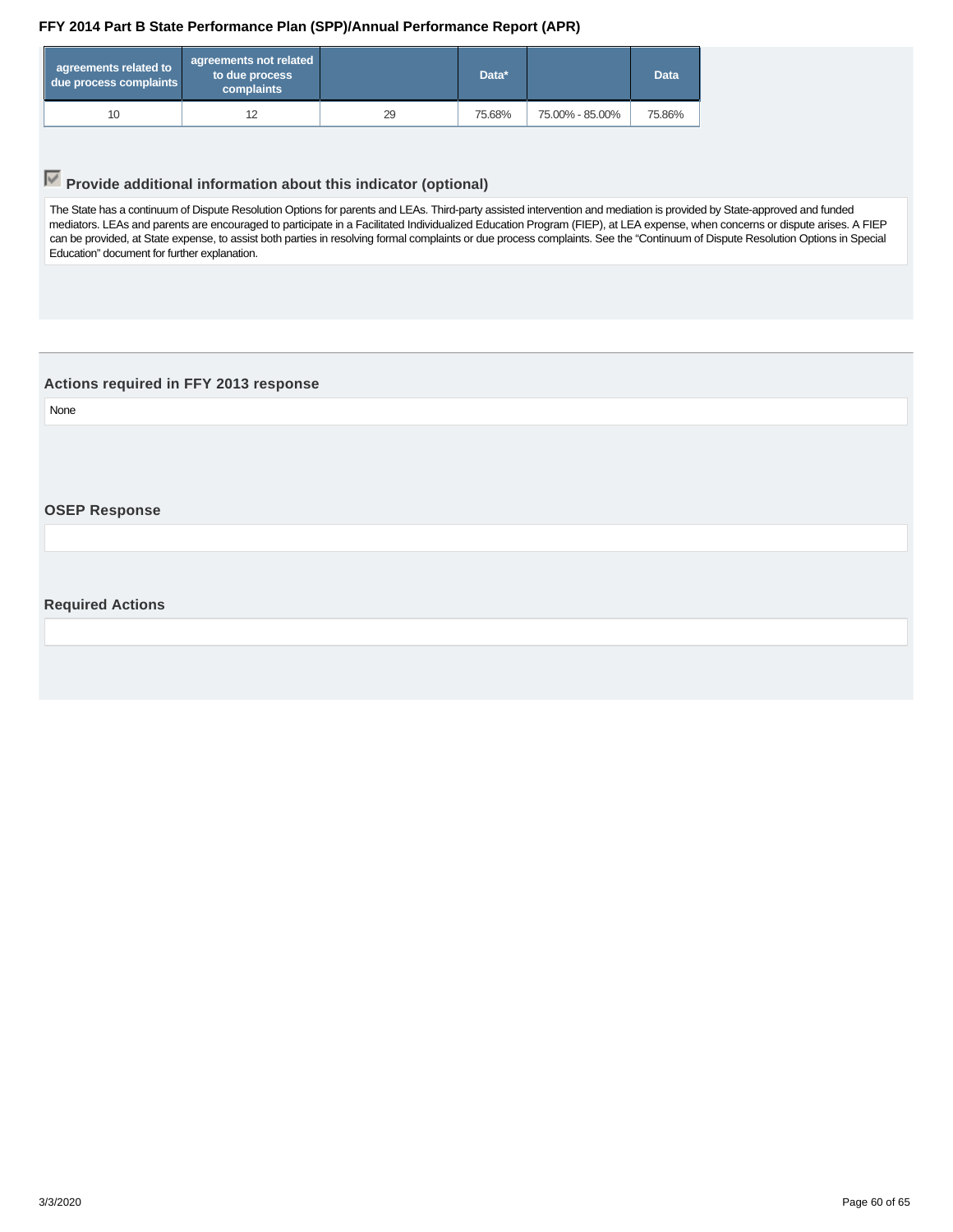<span id="page-59-0"></span>

| agreements related to<br>due process complaints | agreements not related<br>to due process<br>complaints |    | Data*  |                 | <b>Data</b> |
|-------------------------------------------------|--------------------------------------------------------|----|--------|-----------------|-------------|
| 10                                              | 12                                                     | 29 | 75.68% | 75.00% - 85.00% | 75.86%      |

## **Provide additional information about this indicator (optional)**

The State has a continuum of Dispute Resolution Options for parents and LEAs. Third-party assisted intervention and mediation is provided by State-approved and funded mediators. LEAs and parents are encouraged to participate in a Facilitated Individualized Education Program (FIEP), at LEA expense, when concerns or dispute arises. A FIEP can be provided, at State expense, to assist both parties in resolving formal complaints or due process complaints. See the "Continuum of Dispute Resolution Options in Special Education" document for further explanation.

#### **Actions required in FFY 2013 response**

None

**OSEP Response**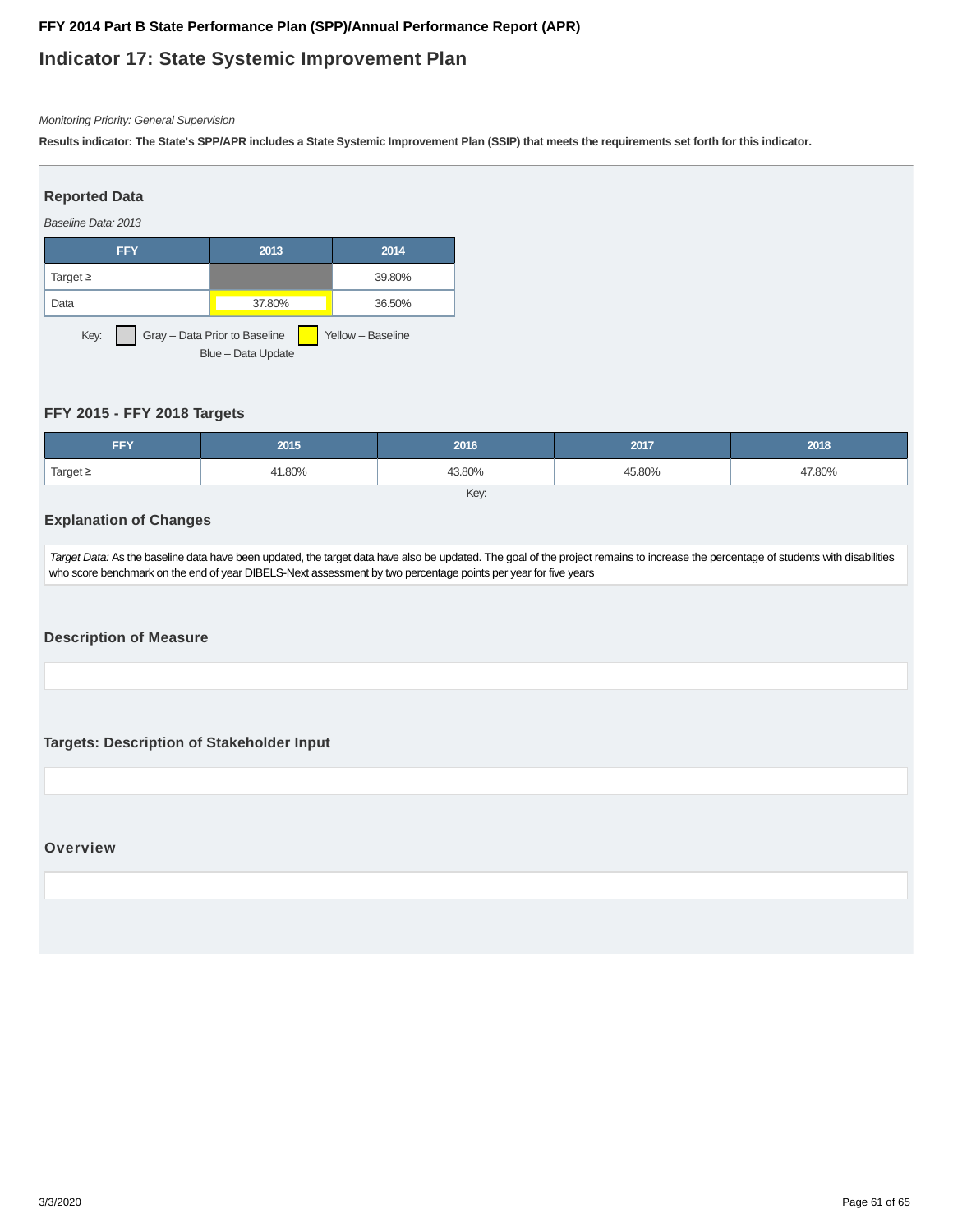## **Indicator 17: State Systemic Improvement Plan**

#### Monitoring Priority: General Supervision

**Results indicator: The State's SPP/APR includes a State Systemic Improvement Plan (SSIP) that meets the requirements set forth for this indicator.**

## Baseline Data: 2013 **Reported Data FFY 2013 2014** Target ≥  $\qquad \qquad$  39.80% Data 37.80% 36.50% Key: Gray – Data Prior to Baseline Yellow – Baseline Blue – Data Update

#### **FFY 2015 - FFY 2018 Targets**

| <b>FFY</b>    | 2015   | 2016   | 2017   | 2018   |
|---------------|--------|--------|--------|--------|
| Target $\geq$ | 41.80% | 43.80% | 45.80% | 47.80% |
| Key:          |        |        |        |        |

#### **Explanation of Changes**

Target Data: As the baseline data have been updated, the target data have also be updated. The goal of the project remains to increase the percentage of students with disabilities who score benchmark on the end of year DIBELS-Next assessment by two percentage points per year for five years

**Description of Measure**

**Targets: Description of Stakeholder Input**

**Overview**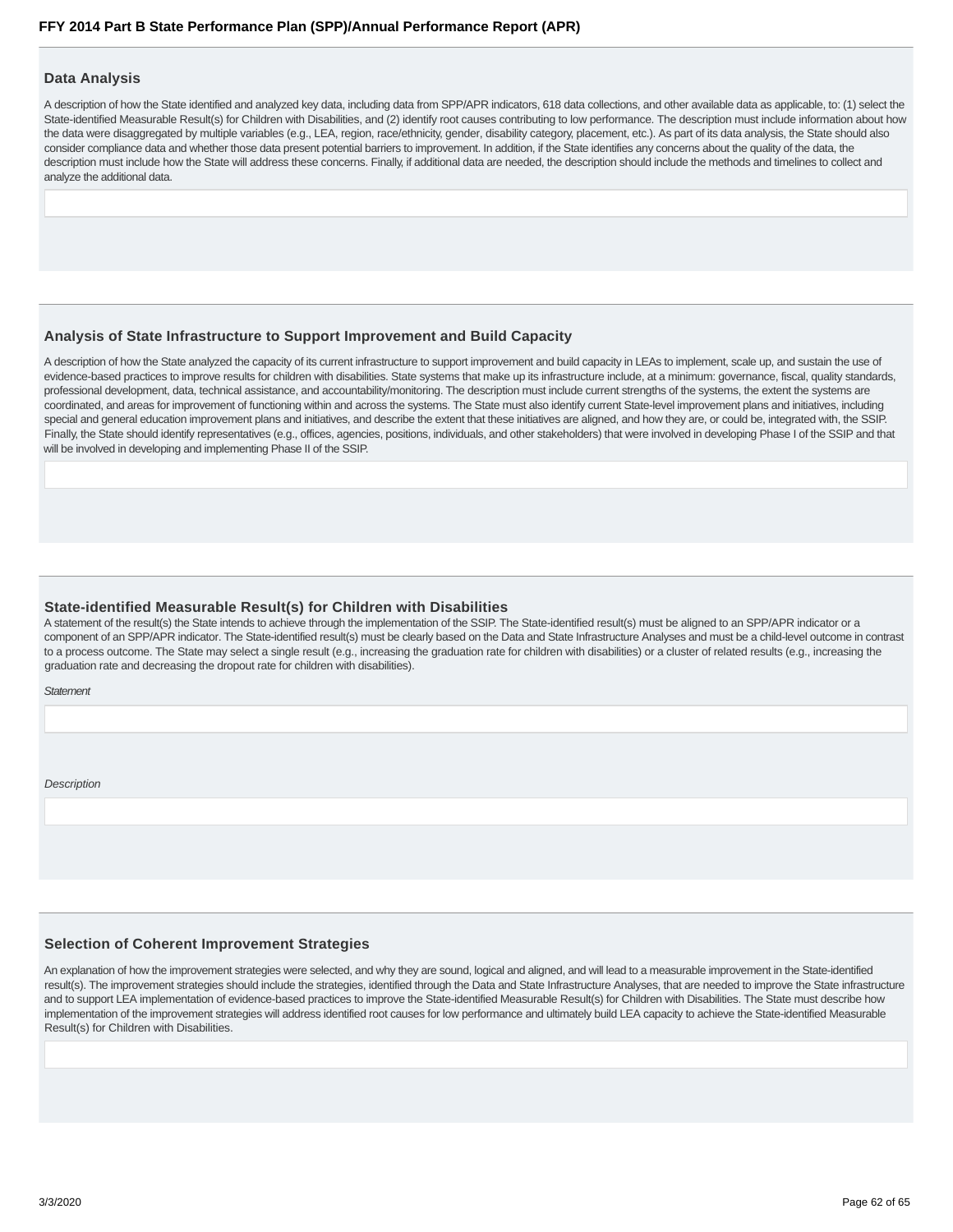#### **Data Analysis**

A description of how the State identified and analyzed key data, including data from SPP/APR indicators, 618 data collections, and other available data as applicable, to: (1) select the State-identified Measurable Result(s) for Children with Disabilities, and (2) identify root causes contributing to low performance. The description must include information about how the data were disaggregated by multiple variables (e.g., LEA, region, race/ethnicity, gender, disability category, placement, etc.). As part of its data analysis, the State should also consider compliance data and whether those data present potential barriers to improvement. In addition, if the State identifies any concerns about the quality of the data, the description must include how the State will address these concerns. Finally, if additional data are needed, the description should include the methods and timelines to collect and analyze the additional data.

#### **Analysis of State Infrastructure to Support Improvement and Build Capacity**

A description of how the State analyzed the capacity of its current infrastructure to support improvement and build capacity in LEAs to implement, scale up, and sustain the use of evidence-based practices to improve results for children with disabilities. State systems that make up its infrastructure include, at a minimum: governance, fiscal, quality standards, professional development, data, technical assistance, and accountability/monitoring. The description must include current strengths of the systems, the extent the systems are coordinated, and areas for improvement of functioning within and across the systems. The State must also identify current State-level improvement plans and initiatives, including special and general education improvement plans and initiatives, and describe the extent that these initiatives are aligned, and how they are, or could be, integrated with, the SSIP. Finally, the State should identify representatives (e.g., offices, agencies, positions, individuals, and other stakeholders) that were involved in developing Phase I of the SSIP and that will be involved in developing and implementing Phase II of the SSIP.

#### **State-identified Measurable Result(s) for Children with Disabilities**

A statement of the result(s) the State intends to achieve through the implementation of the SSIP. The State-identified result(s) must be aligned to an SPP/APR indicator or a component of an SPP/APR indicator. The State-identified result(s) must be clearly based on the Data and State Infrastructure Analyses and must be a child-level outcome in contrast to a process outcome. The State may select a single result (e.g., increasing the graduation rate for children with disabilities) or a cluster of related results (e.g., increasing the graduation rate and decreasing the dropout rate for children with disabilities).

**Statement** 

**Description** 

#### **Selection of Coherent Improvement Strategies**

An explanation of how the improvement strategies were selected, and why they are sound, logical and aligned, and will lead to a measurable improvement in the State-identified result(s). The improvement strategies should include the strategies, identified through the Data and State Infrastructure Analyses, that are needed to improve the State infrastructure and to support LEA implementation of evidence-based practices to improve the State-identified Measurable Result(s) for Children with Disabilities. The State must describe how implementation of the improvement strategies will address identified root causes for low performance and ultimately build LEA capacity to achieve the State-identified Measurable Result(s) for Children with Disabilities.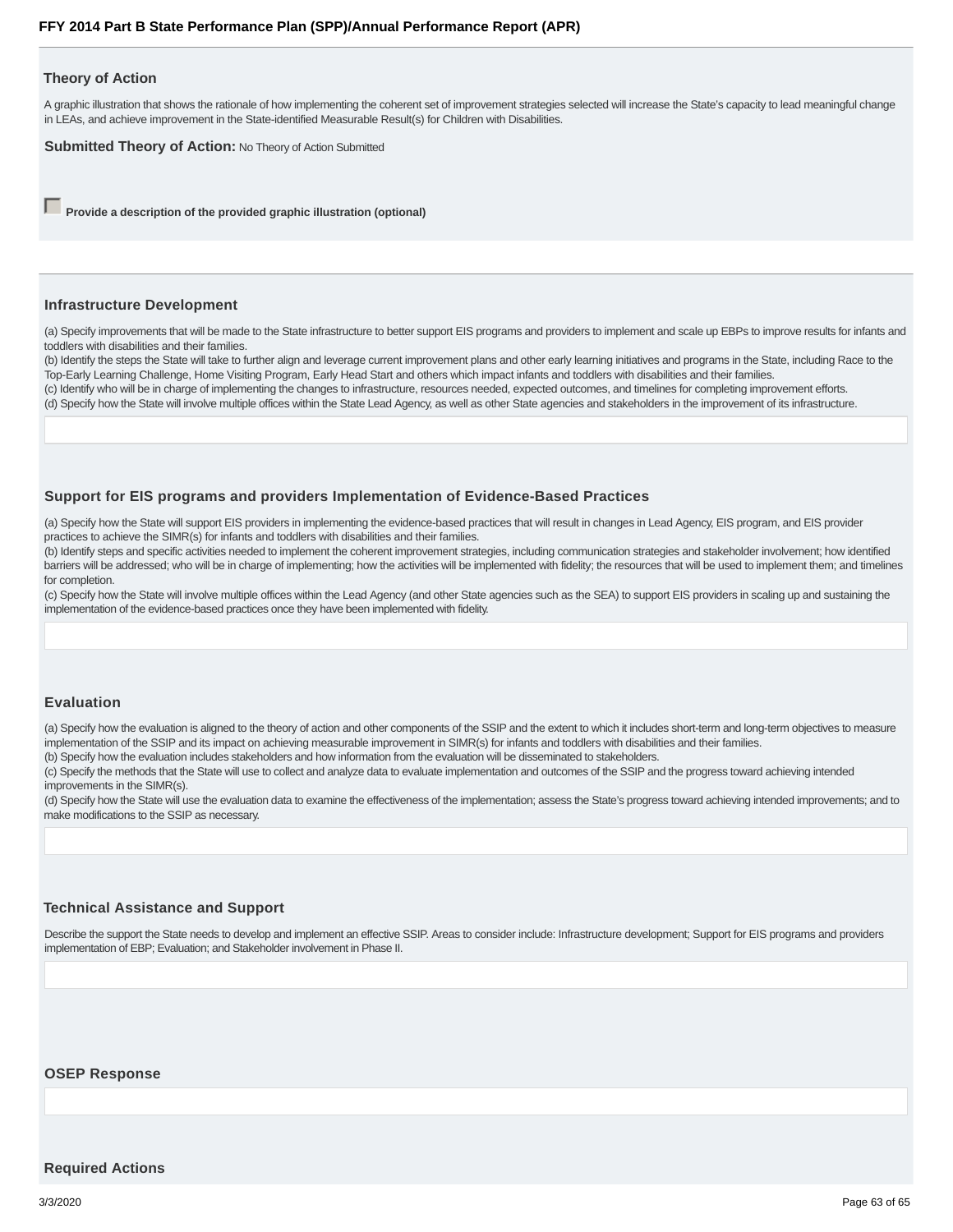#### **Theory of Action**

A graphic illustration that shows the rationale of how implementing the coherent set of improvement strategies selected will increase the State's capacity to lead meaningful change in LEAs, and achieve improvement in the State-identified Measurable Result(s) for Children with Disabilities.

**Submitted Theory of Action: No Theory of Action Submitted** 

**Provide a description of the provided graphic illustration (optional)** 

#### **Infrastructure Development**

(a) Specify improvements that will be made to the State infrastructure to better support EIS programs and providers to implement and scale up EBPs to improve results for infants and toddlers with disabilities and their families.

(b) Identify the steps the State will take to further align and leverage current improvement plans and other early learning initiatives and programs in the State, including Race to the Top-Early Learning Challenge, Home Visiting Program, Early Head Start and others which impact infants and toddlers with disabilities and their families.

(c) Identify who will be in charge of implementing the changes to infrastructure, resources needed, expected outcomes, and timelines for completing improvement efforts.

(d) Specify how the State will involve multiple offices within the State Lead Agency, as well as other State agencies and stakeholders in the improvement of its infrastructure.

#### **Support for EIS programs and providers Implementation of Evidence-Based Practices**

(a) Specify how the State will support EIS providers in implementing the evidence-based practices that will result in changes in Lead Agency, EIS program, and EIS provider practices to achieve the SIMR(s) for infants and toddlers with disabilities and their families.

(b) Identify steps and specific activities needed to implement the coherent improvement strategies, including communication strategies and stakeholder involvement; how identified barriers will be addressed; who will be in charge of implementing; how the activities will be implemented with fidelity; the resources that will be used to implement them; and timelines for completion.

(c) Specify how the State will involve multiple offices within the Lead Agency (and other State agencies such as the SEA) to support EIS providers in scaling up and sustaining the implementation of the evidence-based practices once they have been implemented with fidelity.

#### **Evaluation**

(a) Specify how the evaluation is aligned to the theory of action and other components of the SSIP and the extent to which it includes short-term and long-term objectives to measure implementation of the SSIP and its impact on achieving measurable improvement in SIMR(s) for infants and toddlers with disabilities and their families.

(b) Specify how the evaluation includes stakeholders and how information from the evaluation will be disseminated to stakeholders.

(c) Specify the methods that the State will use to collect and analyze data to evaluate implementation and outcomes of the SSIP and the progress toward achieving intended improvements in the SIMR(s).

(d) Specify how the State will use the evaluation data to examine the effectiveness of the implementation; assess the State's progress toward achieving intended improvements; and to make modifications to the SSIP as necessary.

#### **Technical Assistance and Support**

Describe the support the State needs to develop and implement an effective SSIP. Areas to consider include: Infrastructure development; Support for EIS programs and providers implementation of EBP; Evaluation; and Stakeholder involvement in Phase II.

#### **OSEP Response**